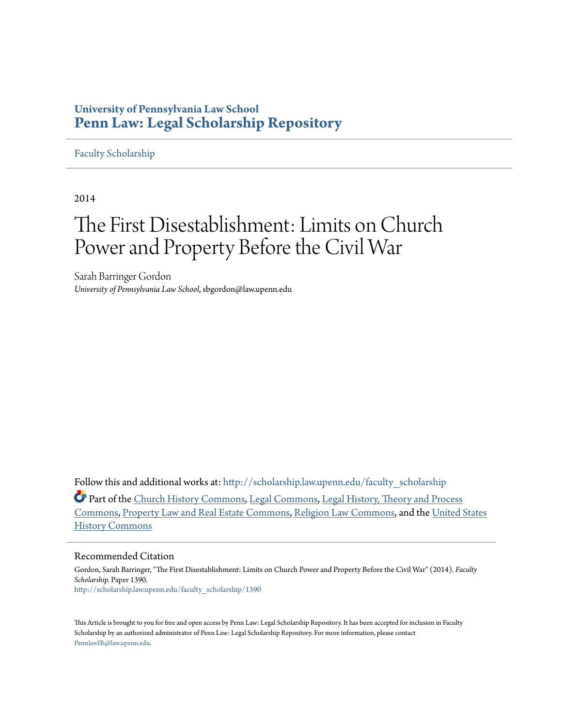# **University of Pennsylvania Law School [Penn Law: Legal Scholarship Repository](http://scholarship.law.upenn.edu?utm_source=scholarship.law.upenn.edu%2Ffaculty_scholarship%2F1390&utm_medium=PDF&utm_campaign=PDFCoverPages)**

# [Faculty Scholarship](http://scholarship.law.upenn.edu/faculty_scholarship?utm_source=scholarship.law.upenn.edu%2Ffaculty_scholarship%2F1390&utm_medium=PDF&utm_campaign=PDFCoverPages)

2014

# The First Disestablishment: Limits on Church Power and Property Before the Civil War

Sarah Barringer Gordon *University of Pennsylvania Law School*, sbgordon@law.upenn.edu

Follow this and additional works at: [http://scholarship.law.upenn.edu/faculty\\_scholarship](http://scholarship.law.upenn.edu/faculty_scholarship?utm_source=scholarship.law.upenn.edu%2Ffaculty_scholarship%2F1390&utm_medium=PDF&utm_campaign=PDFCoverPages)

Part of the [Church History Commons,](http://network.bepress.com/hgg/discipline/1183?utm_source=scholarship.law.upenn.edu%2Ffaculty_scholarship%2F1390&utm_medium=PDF&utm_campaign=PDFCoverPages) [Legal Commons](http://network.bepress.com/hgg/discipline/502?utm_source=scholarship.law.upenn.edu%2Ffaculty_scholarship%2F1390&utm_medium=PDF&utm_campaign=PDFCoverPages), [Legal History, Theory and Process](http://network.bepress.com/hgg/discipline/904?utm_source=scholarship.law.upenn.edu%2Ffaculty_scholarship%2F1390&utm_medium=PDF&utm_campaign=PDFCoverPages) [Commons,](http://network.bepress.com/hgg/discipline/904?utm_source=scholarship.law.upenn.edu%2Ffaculty_scholarship%2F1390&utm_medium=PDF&utm_campaign=PDFCoverPages) [Property Law and Real Estate Commons,](http://network.bepress.com/hgg/discipline/897?utm_source=scholarship.law.upenn.edu%2Ffaculty_scholarship%2F1390&utm_medium=PDF&utm_campaign=PDFCoverPages) [Religion Law Commons](http://network.bepress.com/hgg/discipline/872?utm_source=scholarship.law.upenn.edu%2Ffaculty_scholarship%2F1390&utm_medium=PDF&utm_campaign=PDFCoverPages), and the [United States](http://network.bepress.com/hgg/discipline/495?utm_source=scholarship.law.upenn.edu%2Ffaculty_scholarship%2F1390&utm_medium=PDF&utm_campaign=PDFCoverPages) [History Commons](http://network.bepress.com/hgg/discipline/495?utm_source=scholarship.law.upenn.edu%2Ffaculty_scholarship%2F1390&utm_medium=PDF&utm_campaign=PDFCoverPages)

# Recommended Citation

Gordon, Sarah Barringer, "The First Disestablishment: Limits on Church Power and Property Before the Civil War" (2014). *Faculty Scholarship.* Paper 1390. [http://scholarship.law.upenn.edu/faculty\\_scholarship/1390](http://scholarship.law.upenn.edu/faculty_scholarship/1390?utm_source=scholarship.law.upenn.edu%2Ffaculty_scholarship%2F1390&utm_medium=PDF&utm_campaign=PDFCoverPages)

This Article is brought to you for free and open access by Penn Law: Legal Scholarship Repository. It has been accepted for inclusion in Faculty Scholarship by an authorized administrator of Penn Law: Legal Scholarship Repository. For more information, please contact [PennlawIR@law.upenn.edu](mailto:PennlawIR@law.upenn.edu).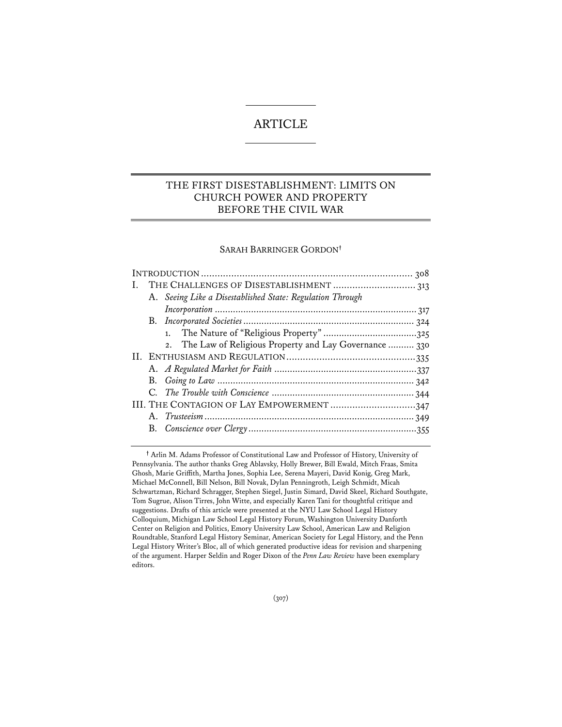# ARTICLE

# THE FIRST DISESTABLISHMENT: LIMITS ON CHURCH POWER AND PROPERTY BEFORE THE CIVIL WAR

# SARAH BARRINGER GORDON**†**

|  | A. Seeing Like a Disestablished State: Regulation Through |  |
|--|-----------------------------------------------------------|--|
|  |                                                           |  |
|  |                                                           |  |
|  |                                                           |  |
|  | 2. The Law of Religious Property and Lay Governance  330  |  |
|  |                                                           |  |
|  |                                                           |  |
|  |                                                           |  |
|  |                                                           |  |
|  | III. THE CONTAGION OF LAY EMPOWERMENT 347                 |  |
|  |                                                           |  |
|  |                                                           |  |
|  |                                                           |  |

**†** Arlin M. Adams Professor of Constitutional Law and Professor of History, University of Pennsylvania. The author thanks Greg Ablavsky, Holly Brewer, Bill Ewald, Mitch Fraas, Smita Ghosh, Marie Griffith, Martha Jones, Sophia Lee, Serena Mayeri, David Konig, Greg Mark, Michael McConnell, Bill Nelson, Bill Novak, Dylan Penningroth, Leigh Schmidt, Micah Schwartzman, Richard Schragger, Stephen Siegel, Justin Simard, David Skeel, Richard Southgate, Tom Sugrue, Alison Tirres, John Witte, and especially Karen Tani for thoughtful critique and suggestions. Drafts of this article were presented at the NYU Law School Legal History Colloquium, Michigan Law School Legal History Forum, Washington University Danforth Center on Religion and Politics, Emory University Law School, American Law and Religion Roundtable, Stanford Legal History Seminar, American Society for Legal History, and the Penn Legal History Writer's Bloc, all of which generated productive ideas for revision and sharpening of the argument. Harper Seldin and Roger Dixon of the *Penn Law Review* have been exemplary editors.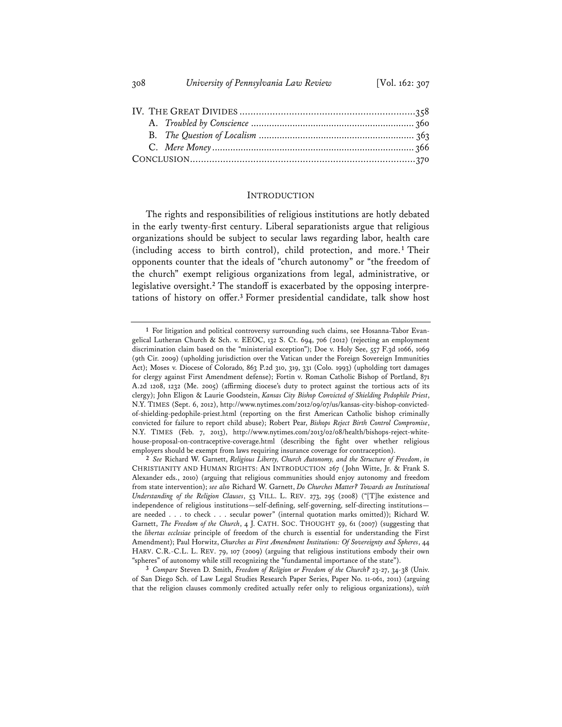#### INTRODUCTION

The rights and responsibilities of religious institutions are hotly debated in the early twenty-first century. Liberal separationists argue that religious organizations should be subject to secular laws regarding labor, health care (including access to birth control), child protection, and more.**<sup>1</sup>** Their opponents counter that the ideals of "church autonomy" or "the freedom of the church" exempt religious organizations from legal, administrative, or legislative oversight.**2** The standoff is exacerbated by the opposing interpretations of history on offer.**<sup>3</sup>** Former presidential candidate, talk show host

**3** *Compare* Steven D. Smith, *Freedom of Religion or Freedom of the Church?* 23-27, 34-38 (Univ. of San Diego Sch. of Law Legal Studies Research Paper Series, Paper No. 11-061, 2011) (arguing that the religion clauses commonly credited actually refer only to religious organizations), *with*

**<sup>1</sup>** For litigation and political controversy surrounding such claims, see Hosanna-Tabor Evangelical Lutheran Church & Sch. v. EEOC, 132 S. Ct. 694, 706 (2012) (rejecting an employment discrimination claim based on the "ministerial exception"); Doe v. Holy See, 557 F.3d 1066, 1069 (9th Cir. 2009) (upholding jurisdiction over the Vatican under the Foreign Sovereign Immunities Act); Moses v. Diocese of Colorado, 863 P.2d 310, 319, 331 (Colo. 1993) (upholding tort damages for clergy against First Amendment defense); Fortin v. Roman Catholic Bishop of Portland, 871 A.2d 1208, 1232 (Me. 2005) (affirming diocese's duty to protect against the tortious acts of its clergy); John Eligon & Laurie Goodstein, *Kansas City Bishop Convicted of Shielding Pedophile Priest*, N.Y. TIMES (Sept. 6, 2012), http://www.nytimes.com/2012/09/07/us/kansas-city-bishop-convictedof-shielding-pedophile-priest.html (reporting on the first American Catholic bishop criminally convicted for failure to report child abuse); Robert Pear, *Bishops Reject Birth Control Compromise*, N.Y. TIMES (Feb. 7, 2013), http://www.nytimes.com/2013/02/08/health/bishops-reject-whitehouse-proposal-on-contraceptive-coverage.html (describing the fight over whether religious employers should be exempt from laws requiring insurance coverage for contraception).

**<sup>2</sup>** *See* Richard W. Garnett, *Religious Liberty, Church Autonomy, and the Structure of Freedom*, *in* CHRISTIANITY AND HUMAN RIGHTS: AN INTRODUCTION 267 (John Witte, Jr. & Frank S. Alexander eds., 2010) (arguing that religious communities should enjoy autonomy and freedom from state intervention); *see also* Richard W. Garnett, *Do Churches Matter? Towards an Institutional Understanding of the Religion Clauses*, 53 VILL. L. REV. 273, 295 (2008) ("[T]he existence and independence of religious institutions—self-defining, self-governing, self-directing institutions are needed . . . to check . . . secular power" (internal quotation marks omitted)); Richard W. Garnett, *The Freedom of the Church*, 4 J. CATH. SOC. THOUGHT 59, 61 (2007) (suggesting that the *libertas ecclesiae* principle of freedom of the church is essential for understanding the First Amendment); Paul Horwitz, *Churches as First Amendment Institutions: Of Sovereignty and Spheres*, 44 HARV. C.R.-C.L. L. REV. 79, 107 (2009) (arguing that religious institutions embody their own "spheres" of autonomy while still recognizing the "fundamental importance of the state").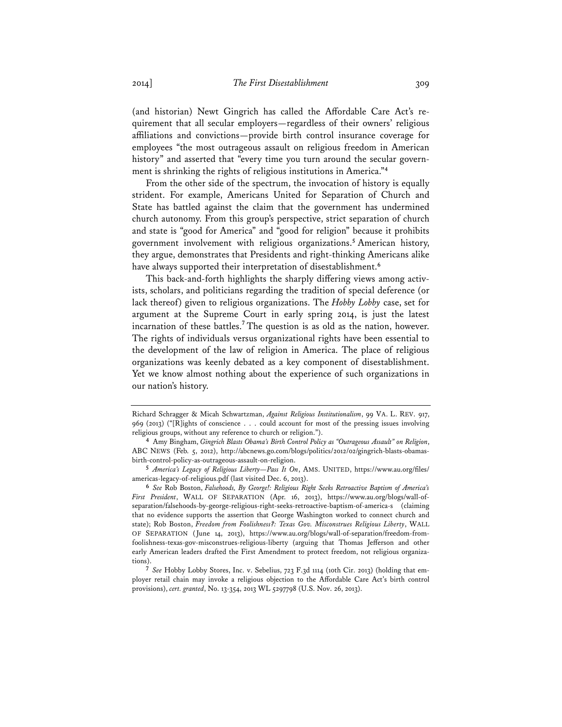(and historian) Newt Gingrich has called the Affordable Care Act's requirement that all secular employers—regardless of their owners' religious affiliations and convictions—provide birth control insurance coverage for employees "the most outrageous assault on religious freedom in American history" and asserted that "every time you turn around the secular government is shrinking the rights of religious institutions in America."**<sup>4</sup>**

From the other side of the spectrum, the invocation of history is equally strident. For example, Americans United for Separation of Church and State has battled against the claim that the government has undermined church autonomy. From this group's perspective, strict separation of church and state is "good for America" and "good for religion" because it prohibits government involvement with religious organizations.**<sup>5</sup>** American history, they argue, demonstrates that Presidents and right-thinking Americans alike have always supported their interpretation of disestablishment.**<sup>6</sup>**

This back-and-forth highlights the sharply differing views among activists, scholars, and politicians regarding the tradition of special deference (or lack thereof) given to religious organizations. The *Hobby Lobby* case, set for argument at the Supreme Court in early spring 2014, is just the latest incarnation of these battles.**<sup>7</sup>** The question is as old as the nation, however. The rights of individuals versus organizational rights have been essential to the development of the law of religion in America. The place of religious organizations was keenly debated as a key component of disestablishment. Yet we know almost nothing about the experience of such organizations in our nation's history.

Richard Schragger & Micah Schwartzman, *Against Religious Institutionalism*, 99 VA. L. REV. 917, 969 (2013) ("[R]ights of conscience . . . could account for most of the pressing issues involving religious groups, without any reference to church or religion.").

**<sup>4</sup>** Amy Bingham, *Gingrich Blasts Obama's Birth Control Policy as "Outrageous Assault" on Religion*, ABC NEWS (Feb. 5, 2012), http://abcnews.go.com/blogs/politics/2012/02/gingrich-blasts-obamasbirth-control-policy-as-outrageous-assault-on-religion.

**<sup>5</sup>** *America's Legacy of Religious Liberty—Pass It On*, AMS. UNITED, https://www.au.org/files/ americas-legacy-of-religious.pdf (last visited Dec. 6, 2013).

**<sup>6</sup>** *See* Rob Boston, *Falsehoods, By George!: Religious Right Seeks Retroactive Baptism of America's First President*, WALL OF SEPARATION (Apr. 16, 2013), https://www.au.org/blogs/wall-ofseparation/falsehoods-by-george-religious-right-seeks-retroactive-baptism-of-america-s (claiming that no evidence supports the assertion that George Washington worked to connect church and state); Rob Boston, *Freedom from Foolishness?: Texas Gov. Misconstrues Religious Liberty*, WALL OF SEPARATION (June 14, 2013), https://www.au.org/blogs/wall-of-separation/freedom-fromfoolishness-texas-gov-misconstrues-religious-liberty (arguing that Thomas Jefferson and other early American leaders drafted the First Amendment to protect freedom, not religious organizations).

**<sup>7</sup>** *See* Hobby Lobby Stores, Inc. v. Sebelius, 723 F.3d 1114 (10th Cir. 2013) (holding that employer retail chain may invoke a religious objection to the Affordable Care Act's birth control provisions), *cert. granted*, No. 13-354, 2013 WL 5297798 (U.S. Nov. 26, 2013).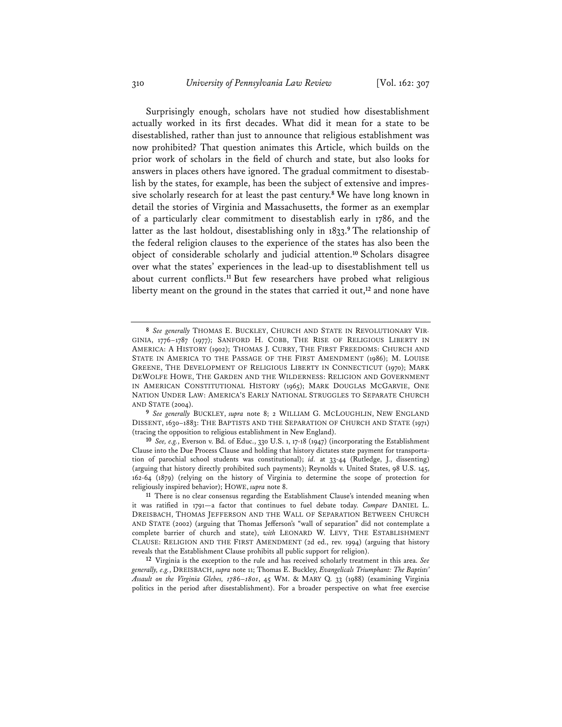Surprisingly enough, scholars have not studied how disestablishment actually worked in its first decades. What did it mean for a state to be disestablished, rather than just to announce that religious establishment was now prohibited? That question animates this Article, which builds on the prior work of scholars in the field of church and state, but also looks for answers in places others have ignored. The gradual commitment to disestablish by the states, for example, has been the subject of extensive and impressive scholarly research for at least the past century.**<sup>8</sup>** We have long known in detail the stories of Virginia and Massachusetts, the former as an exemplar of a particularly clear commitment to disestablish early in 1786, and the latter as the last holdout, disestablishing only in 1833.**<sup>9</sup>** The relationship of the federal religion clauses to the experience of the states has also been the object of considerable scholarly and judicial attention.**<sup>10</sup>** Scholars disagree over what the states' experiences in the lead-up to disestablishment tell us about current conflicts.**<sup>11</sup>** But few researchers have probed what religious liberty meant on the ground in the states that carried it out,**<sup>12</sup>** and none have

**<sup>8</sup>** *See generally* THOMAS E. BUCKLEY, CHURCH AND STATE IN REVOLUTIONARY VIR-GINIA, 1776–1787 (1977); SANFORD H. COBB, THE RISE OF RELIGIOUS LIBERTY IN AMERICA: A HISTORY (1902); THOMAS J. CURRY, THE FIRST FREEDOMS: CHURCH AND STATE IN AMERICA TO THE PASSAGE OF THE FIRST AMENDMENT (1986); M. LOUISE GREENE, THE DEVELOPMENT OF RELIGIOUS LIBERTY IN CONNECTICUT (1970); MARK DEWOLFE HOWE, THE GARDEN AND THE WILDERNESS: RELIGION AND GOVERNMENT IN AMERICAN CONSTITUTIONAL HISTORY (1965); MARK DOUGLAS MCGARVIE, ONE NATION UNDER LAW: AMERICA'S EARLY NATIONAL STRUGGLES TO SEPARATE CHURCH AND STATE (2004).

**<sup>9</sup>** *See generally* BUCKLEY, *supra* note 8; 2 WILLIAM G. MCLOUGHLIN, NEW ENGLAND DISSENT, 1630–1883: THE BAPTISTS AND THE SEPARATION OF CHURCH AND STATE (1971) (tracing the opposition to religious establishment in New England).

**<sup>10</sup>** *See, e.g.*, Everson v. Bd. of Educ., 330 U.S. 1, 17-18 (1947) (incorporating the Establishment Clause into the Due Process Clause and holding that history dictates state payment for transportation of parochial school students was constitutional); *id.* at 33-44 (Rutledge, J., dissenting) (arguing that history directly prohibited such payments); Reynolds v. United States, 98 U.S. 145, 162-64 (1879) (relying on the history of Virginia to determine the scope of protection for religiously inspired behavior); HOWE, *supra* note 8.

**<sup>11</sup>** There is no clear consensus regarding the Establishment Clause's intended meaning when it was ratified in 1791—a factor that continues to fuel debate today. *Compare* DANIEL L. DREISBACH, THOMAS JEFFERSON AND THE WALL OF SEPARATION BETWEEN CHURCH AND STATE (2002) (arguing that Thomas Jefferson's "wall of separation" did not contemplate a complete barrier of church and state), *with* LEONARD W. LEVY, THE ESTABLISHMENT CLAUSE: RELIGION AND THE FIRST AMENDMENT (2d ed., rev. 1994) (arguing that history reveals that the Establishment Clause prohibits all public support for religion).

**<sup>12</sup>** Virginia is the exception to the rule and has received scholarly treatment in this area. *See generally, e.g.*, DREISBACH, *supra* note 11; Thomas E. Buckley, *Evangelicals Triumphant: The Baptists' Assault on the Virginia Glebes, 178*6–*1801*, 45 WM. & MARY Q. 33 (1988) (examining Virginia politics in the period after disestablishment). For a broader perspective on what free exercise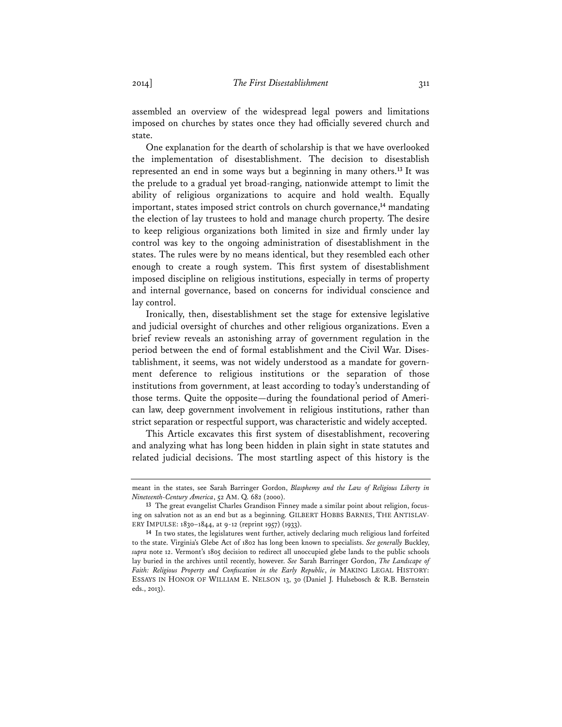assembled an overview of the widespread legal powers and limitations imposed on churches by states once they had officially severed church and state.

One explanation for the dearth of scholarship is that we have overlooked the implementation of disestablishment. The decision to disestablish represented an end in some ways but a beginning in many others.**<sup>13</sup>** It was the prelude to a gradual yet broad-ranging, nationwide attempt to limit the ability of religious organizations to acquire and hold wealth. Equally important, states imposed strict controls on church governance,**<sup>14</sup>** mandating the election of lay trustees to hold and manage church property. The desire to keep religious organizations both limited in size and firmly under lay control was key to the ongoing administration of disestablishment in the states. The rules were by no means identical, but they resembled each other enough to create a rough system. This first system of disestablishment imposed discipline on religious institutions, especially in terms of property and internal governance, based on concerns for individual conscience and lay control.

Ironically, then, disestablishment set the stage for extensive legislative and judicial oversight of churches and other religious organizations. Even a brief review reveals an astonishing array of government regulation in the period between the end of formal establishment and the Civil War. Disestablishment, it seems, was not widely understood as a mandate for government deference to religious institutions or the separation of those institutions from government, at least according to today's understanding of those terms. Quite the opposite—during the foundational period of American law, deep government involvement in religious institutions, rather than strict separation or respectful support, was characteristic and widely accepted.

This Article excavates this first system of disestablishment, recovering and analyzing what has long been hidden in plain sight in state statutes and related judicial decisions. The most startling aspect of this history is the

meant in the states, see Sarah Barringer Gordon, *Blasphemy and the Law of Religious Liberty in Nineteenth-Century America*, 52 AM. Q. 682 (2000).

**<sup>13</sup>** The great evangelist Charles Grandison Finney made a similar point about religion, focusing on salvation not as an end but as a beginning. GILBERT HOBBS BARNES, THE ANTISLAV-ERY IMPULSE: 1830–1844, at 9-12 (reprint 1957) (1933).

**<sup>14</sup>** In two states, the legislatures went further, actively declaring much religious land forfeited to the state. Virginia's Glebe Act of 1802 has long been known to specialists. *See generally* Buckley, *supra* note 12. Vermont's 1805 decision to redirect all unoccupied glebe lands to the public schools lay buried in the archives until recently, however. *See* Sarah Barringer Gordon, *The Landscape of Faith: Religious Property and Confiscation in the Early Republic*, *in* MAKING LEGAL HISTORY: ESSAYS IN HONOR OF WILLIAM E. NELSON 13, 30 (Daniel J. Hulsebosch & R.B. Bernstein eds., 2013).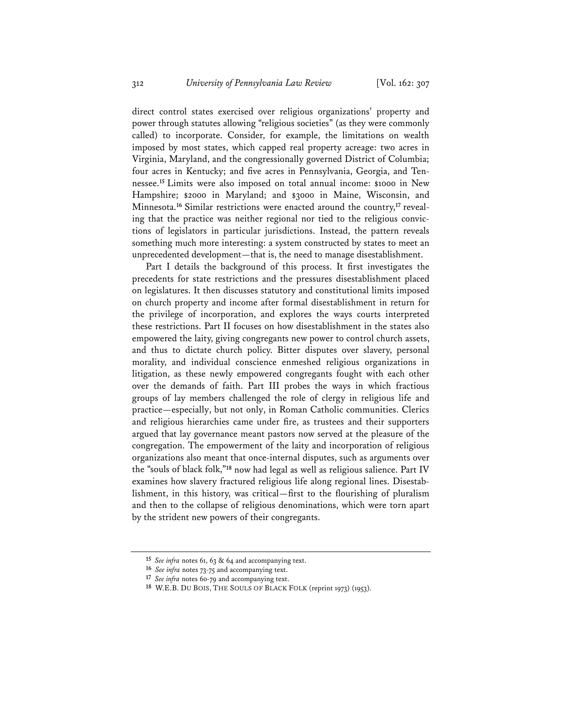direct control states exercised over religious organizations' property and power through statutes allowing "religious societies" (as they were commonly called) to incorporate. Consider, for example, the limitations on wealth imposed by most states, which capped real property acreage: two acres in Virginia, Maryland, and the congressionally governed District of Columbia; four acres in Kentucky; and five acres in Pennsylvania, Georgia, and Tennessee.**<sup>15</sup>** Limits were also imposed on total annual income: \$1000 in New Hampshire; \$2000 in Maryland; and \$3000 in Maine, Wisconsin, and Minnesota.**16** Similar restrictions were enacted around the country,**17** revealing that the practice was neither regional nor tied to the religious convictions of legislators in particular jurisdictions. Instead, the pattern reveals something much more interesting: a system constructed by states to meet an unprecedented development—that is, the need to manage disestablishment.

Part I details the background of this process. It first investigates the precedents for state restrictions and the pressures disestablishment placed on legislatures. It then discusses statutory and constitutional limits imposed on church property and income after formal disestablishment in return for the privilege of incorporation, and explores the ways courts interpreted these restrictions. Part II focuses on how disestablishment in the states also empowered the laity, giving congregants new power to control church assets, and thus to dictate church policy. Bitter disputes over slavery, personal morality, and individual conscience enmeshed religious organizations in litigation, as these newly empowered congregants fought with each other over the demands of faith. Part III probes the ways in which fractious groups of lay members challenged the role of clergy in religious life and practice—especially, but not only, in Roman Catholic communities. Clerics and religious hierarchies came under fire, as trustees and their supporters argued that lay governance meant pastors now served at the pleasure of the congregation. The empowerment of the laity and incorporation of religious organizations also meant that once-internal disputes, such as arguments over the "souls of black folk,"**<sup>18</sup>** now had legal as well as religious salience. Part IV examines how slavery fractured religious life along regional lines. Disestablishment, in this history, was critical—first to the flourishing of pluralism and then to the collapse of religious denominations, which were torn apart by the strident new powers of their congregants.

**<sup>15</sup>** *See infra* notes 61, 63 & 64 and accompanying text.

**<sup>16</sup>** *See infra* notes 73-75 and accompanying text.

**<sup>17</sup>** *See infra* notes 60-79 and accompanying text.

**<sup>18</sup>** W.E.B. DU BOIS, THE SOULS OF BLACK FOLK (reprint 1973) (1953).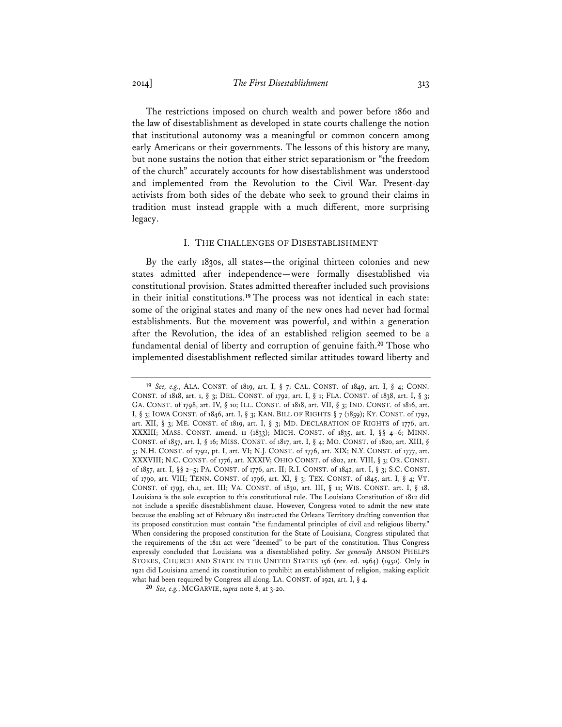The restrictions imposed on church wealth and power before 1860 and the law of disestablishment as developed in state courts challenge the notion that institutional autonomy was a meaningful or common concern among early Americans or their governments. The lessons of this history are many, but none sustains the notion that either strict separationism or "the freedom of the church" accurately accounts for how disestablishment was understood and implemented from the Revolution to the Civil War. Present-day activists from both sides of the debate who seek to ground their claims in tradition must instead grapple with a much different, more surprising legacy.

# I. THE CHALLENGES OF DISESTABLISHMENT

By the early 1830s, all states—the original thirteen colonies and new states admitted after independence—were formally disestablished via constitutional provision. States admitted thereafter included such provisions in their initial constitutions.**<sup>19</sup>** The process was not identical in each state: some of the original states and many of the new ones had never had formal establishments. But the movement was powerful, and within a generation after the Revolution, the idea of an established religion seemed to be a fundamental denial of liberty and corruption of genuine faith.**<sup>20</sup>** Those who implemented disestablishment reflected similar attitudes toward liberty and

**<sup>19</sup>** *See, e.g.*, ALA. CONST. of 1819, art. I, § 7; CAL. CONST. of 1849, art. I, § 4; CONN. CONST. of 1818, art. 1, § 3; DEL. CONST. of 1792, art. I, § 1; FLA. CONST. of 1838, art. I, § 3; GA. CONST. of 1798, art. IV, § 10; ILL. CONST. of 1818, art. VII, § 3; IND. CONST. of 1816, art. I, § 3; IOWA CONST. of 1846, art. I, § 3; KAN. BILL OF RIGHTS § 7 (1859); KY. CONST. of 1792, art. XII, § 3; ME. CONST. of 1819, art. I, § 3; MD. DECLARATION OF RIGHTS of 1776, art. XXXIII; MASS. CONST. amend. 11 (1833); MICH. CONST. of 1835, art. I, §§ 4–6; MINN. CONST. of 1857, art. I, § 16; MISS. CONST. of 1817, art. I, § 4; MO. CONST. of 1820, art. XIII, § 5; N.H. CONST. of 1792, pt. I, art. VI; N.J. CONST. of 1776, art. XIX; N.Y. CONST. of 1777, art. XXXVIII; N.C. CONST. of 1776, art. XXXIV; OHIO CONST. of 1802, art. VIII, § 3; OR. CONST. of 1857, art. I, §§ 2–5; PA. CONST. of 1776, art. II; R.I. CONST. of 1842, art. I, § 3; S.C. CONST. of 1790, art. VIII; TENN. CONST. of 1796, art. XI, § 3; TEX. CONST. of 1845, art. I, § 4; VT. CONST. of 1793, ch.1, art. III; VA. CONST. of 1830, art. III, § 11; WIS. CONST. art. I, § 18. Louisiana is the sole exception to this constitutional rule. The Louisiana Constitution of 1812 did not include a specific disestablishment clause. However, Congress voted to admit the new state because the enabling act of February 1811 instructed the Orleans Territory drafting convention that its proposed constitution must contain "the fundamental principles of civil and religious liberty." When considering the proposed constitution for the State of Louisiana, Congress stipulated that the requirements of the 1811 act were "deemed" to be part of the constitution. Thus Congress expressly concluded that Louisiana was a disestablished polity. *See generally* ANSON PHELPS STOKES, CHURCH AND STATE IN THE UNITED STATES 156 (rev. ed. 1964) (1950). Only in 1921 did Louisiana amend its constitution to prohibit an establishment of religion, making explicit what had been required by Congress all along. LA. CONST. of 1921, art. I, § 4.

**<sup>20</sup>** *See, e.g.*, MCGARVIE, *supra* note 8, at 3-20.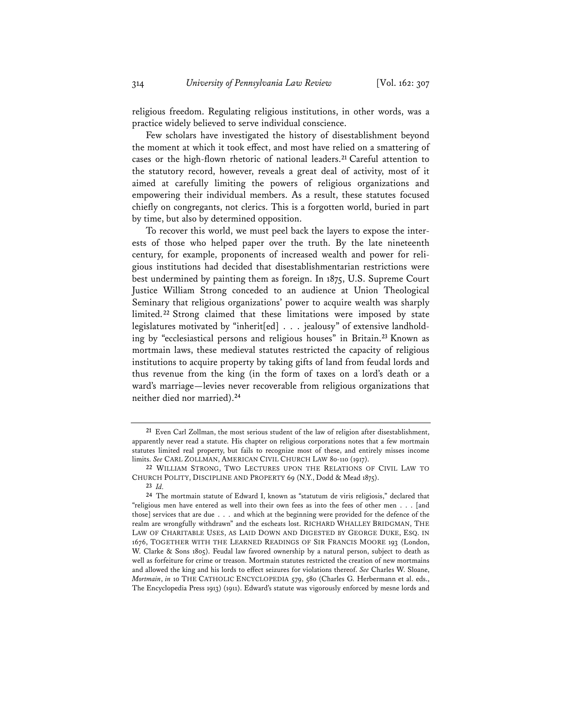religious freedom. Regulating religious institutions, in other words, was a practice widely believed to serve individual conscience.

Few scholars have investigated the history of disestablishment beyond the moment at which it took effect, and most have relied on a smattering of cases or the high-flown rhetoric of national leaders.**<sup>21</sup>** Careful attention to the statutory record, however, reveals a great deal of activity, most of it aimed at carefully limiting the powers of religious organizations and empowering their individual members. As a result, these statutes focused chiefly on congregants, not clerics. This is a forgotten world, buried in part by time, but also by determined opposition.

To recover this world, we must peel back the layers to expose the interests of those who helped paper over the truth. By the late nineteenth century, for example, proponents of increased wealth and power for religious institutions had decided that disestablishmentarian restrictions were best undermined by painting them as foreign. In 1875, U.S. Supreme Court Justice William Strong conceded to an audience at Union Theological Seminary that religious organizations' power to acquire wealth was sharply limited.**<sup>22</sup>** Strong claimed that these limitations were imposed by state legislatures motivated by "inherit[ed] . . . jealousy" of extensive landholding by "ecclesiastical persons and religious houses" in Britain.**<sup>23</sup>** Known as mortmain laws, these medieval statutes restricted the capacity of religious institutions to acquire property by taking gifts of land from feudal lords and thus revenue from the king (in the form of taxes on a lord's death or a ward's marriage—levies never recoverable from religious organizations that neither died nor married).**<sup>24</sup>**

**<sup>21</sup>** Even Carl Zollman, the most serious student of the law of religion after disestablishment, apparently never read a statute. His chapter on religious corporations notes that a few mortmain statutes limited real property, but fails to recognize most of these, and entirely misses income limits. *See* CARL ZOLLMAN, AMERICAN CIVIL CHURCH LAW 80-110 (1917).

**<sup>22</sup>** WILLIAM STRONG, TWO LECTURES UPON THE RELATIONS OF CIVIL LAW TO CHURCH POLITY, DISCIPLINE AND PROPERTY 69 (N.Y., Dodd & Mead 1875).

**<sup>23</sup>** *Id.*

**<sup>24</sup>** The mortmain statute of Edward I, known as "statutum de viris religiosis," declared that "religious men have entered as well into their own fees as into the fees of other men . . . [and those] services that are due . . . and which at the beginning were provided for the defence of the realm are wrongfully withdrawn" and the escheats lost. RICHARD WHALLEY BRIDGMAN, THE LAW OF CHARITABLE USES, AS LAID DOWN AND DIGESTED BY GEORGE DUKE, ESQ. IN 1676, TOGETHER WITH THE LEARNED READINGS OF SIR FRANCIS MOORE 193 (London, W. Clarke & Sons 1805). Feudal law favored ownership by a natural person, subject to death as well as forfeiture for crime or treason. Mortmain statutes restricted the creation of new mortmains and allowed the king and his lords to effect seizures for violations thereof. *See* Charles W. Sloane, *Mortmain*, *in* 10 THE CATHOLIC ENCYCLOPEDIA 579, 580 (Charles G. Herbermann et al. eds., The Encyclopedia Press 1913) (1911). Edward's statute was vigorously enforced by mesne lords and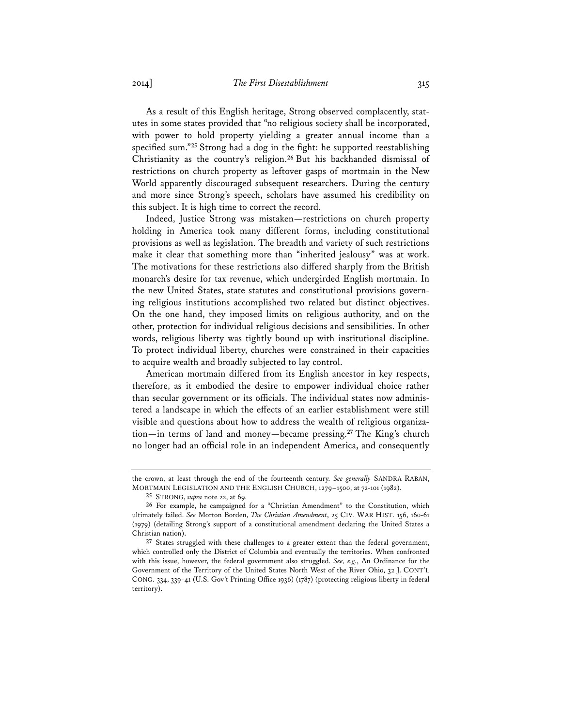As a result of this English heritage, Strong observed complacently, statutes in some states provided that "no religious society shall be incorporated, with power to hold property yielding a greater annual income than a specified sum."**<sup>25</sup>** Strong had a dog in the fight: he supported reestablishing Christianity as the country's religion.**<sup>26</sup>** But his backhanded dismissal of restrictions on church property as leftover gasps of mortmain in the New World apparently discouraged subsequent researchers. During the century and more since Strong's speech, scholars have assumed his credibility on this subject. It is high time to correct the record.

Indeed, Justice Strong was mistaken—restrictions on church property holding in America took many different forms, including constitutional provisions as well as legislation. The breadth and variety of such restrictions make it clear that something more than "inherited jealousy" was at work. The motivations for these restrictions also differed sharply from the British monarch's desire for tax revenue, which undergirded English mortmain. In the new United States, state statutes and constitutional provisions governing religious institutions accomplished two related but distinct objectives. On the one hand, they imposed limits on religious authority, and on the other, protection for individual religious decisions and sensibilities. In other words, religious liberty was tightly bound up with institutional discipline. To protect individual liberty, churches were constrained in their capacities to acquire wealth and broadly subjected to lay control.

American mortmain differed from its English ancestor in key respects, therefore, as it embodied the desire to empower individual choice rather than secular government or its officials. The individual states now administered a landscape in which the effects of an earlier establishment were still visible and questions about how to address the wealth of religious organization—in terms of land and money—became pressing.**<sup>27</sup>** The King's church no longer had an official role in an independent America, and consequently

the crown, at least through the end of the fourteenth century. *See generally* SANDRA RABAN, MORTMAIN LEGISLATION AND THE ENGLISH CHURCH, 1279–1500, at 72-101 (1982).

**<sup>25</sup>** STRONG, *supra* note 22, at 69.

**<sup>26</sup>** For example, he campaigned for a "Christian Amendment" to the Constitution, which ultimately failed. *See* Morton Borden, *The Christian Amendment*, 25 CIV. WAR HIST. 156, 160-61 (1979) (detailing Strong's support of a constitutional amendment declaring the United States a Christian nation).

**<sup>27</sup>** States struggled with these challenges to a greater extent than the federal government, which controlled only the District of Columbia and eventually the territories. When confronted with this issue, however, the federal government also struggled. *See, e.g.*, An Ordinance for the Government of the Territory of the United States North West of the River Ohio, 32 J. CONT'L CONG. 334, 339-41 (U.S. Gov't Printing Office 1936) (1787) (protecting religious liberty in federal territory).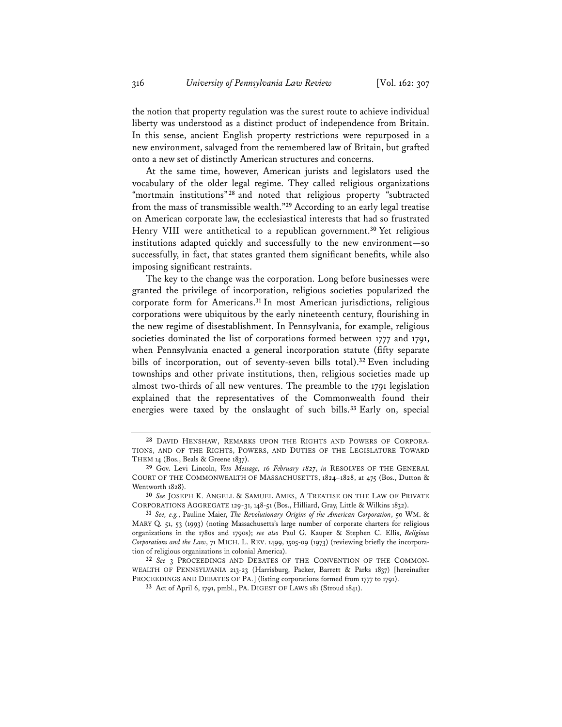the notion that property regulation was the surest route to achieve individual liberty was understood as a distinct product of independence from Britain. In this sense, ancient English property restrictions were repurposed in a new environment, salvaged from the remembered law of Britain, but grafted onto a new set of distinctly American structures and concerns.

At the same time, however, American jurists and legislators used the vocabulary of the older legal regime. They called religious organizations "mortmain institutions"<sup>28</sup> and noted that religious property "subtracted from the mass of transmissible wealth."**<sup>29</sup>** According to an early legal treatise on American corporate law, the ecclesiastical interests that had so frustrated Henry VIII were antithetical to a republican government.**<sup>30</sup>** Yet religious institutions adapted quickly and successfully to the new environment—so successfully, in fact, that states granted them significant benefits, while also imposing significant restraints.

The key to the change was the corporation. Long before businesses were granted the privilege of incorporation, religious societies popularized the corporate form for Americans.**<sup>31</sup>** In most American jurisdictions, religious corporations were ubiquitous by the early nineteenth century, flourishing in the new regime of disestablishment. In Pennsylvania, for example, religious societies dominated the list of corporations formed between 1777 and 1791, when Pennsylvania enacted a general incorporation statute (fifty separate bills of incorporation, out of seventy-seven bills total).**<sup>32</sup>** Even including townships and other private institutions, then, religious societies made up almost two-thirds of all new ventures. The preamble to the 1791 legislation explained that the representatives of the Commonwealth found their energies were taxed by the onslaught of such bills.**<sup>33</sup>** Early on, special

**<sup>28</sup>** DAVID HENSHAW, REMARKS UPON THE RIGHTS AND POWERS OF CORPORA-TIONS, AND OF THE RIGHTS, POWERS, AND DUTIES OF THE LEGISLATURE TOWARD THEM 14 (Bos., Beals & Greene 1837).

**<sup>29</sup>** Gov. Levi Lincoln, *Veto Message, 16 February 1827*, *in* RESOLVES OF THE GENERAL COURT OF THE COMMONWEALTH OF MASSACHUSETTS, 1824–1828, at 475 (Bos., Dutton & Wentworth 1828).

**<sup>30</sup>** *See* JOSEPH K. ANGELL & SAMUEL AMES, A TREATISE ON THE LAW OF PRIVATE CORPORATIONS AGGREGATE 129-31, 148-51 (Bos., Hilliard, Gray, Little & Wilkins 1832).

**<sup>31</sup>** *See, e.g.*, Pauline Maier, *The Revolutionary Origins of the American Corporation*, 50 WM. & MARY Q. 51, 53 (1993) (noting Massachusetts's large number of corporate charters for religious organizations in the 1780s and 1790s); *see also* Paul G. Kauper & Stephen C. Ellis, *Religious Corporations and the Law*, 71 MICH. L. REV. 1499, 1505-09 (1973) (reviewing briefly the incorporation of religious organizations in colonial America).

**<sup>32</sup>** *See* 3 PROCEEDINGS AND DEBATES OF THE CONVENTION OF THE COMMON-WEALTH OF PENNSYLVANIA 213-23 (Harrisburg, Packer, Barrett & Parks 1837) [hereinafter PROCEEDINGS AND DEBATES OF PA.] (listing corporations formed from 1777 to 1791).

**<sup>33</sup>** Act of April 6, 1791, pmbl., PA. DIGEST OF LAWS 181 (Stroud 1841).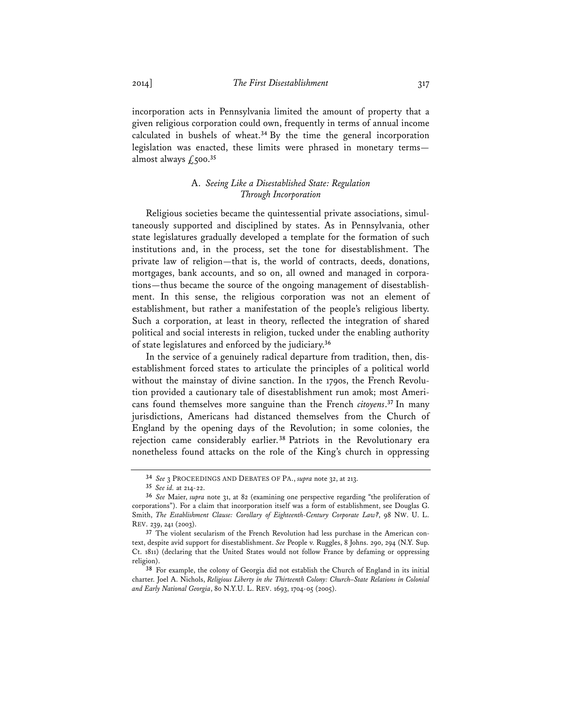incorporation acts in Pennsylvania limited the amount of property that a given religious corporation could own, frequently in terms of annual income calculated in bushels of wheat.**<sup>34</sup>** By the time the general incorporation legislation was enacted, these limits were phrased in monetary terms almost always  $\int_{0}^{35}$ 

# A. *Seeing Like a Disestablished State: Regulation Through Incorporation*

Religious societies became the quintessential private associations, simultaneously supported and disciplined by states. As in Pennsylvania, other state legislatures gradually developed a template for the formation of such institutions and, in the process, set the tone for disestablishment. The private law of religion—that is, the world of contracts, deeds, donations, mortgages, bank accounts, and so on, all owned and managed in corporations—thus became the source of the ongoing management of disestablishment. In this sense, the religious corporation was not an element of establishment, but rather a manifestation of the people's religious liberty. Such a corporation, at least in theory, reflected the integration of shared political and social interests in religion, tucked under the enabling authority of state legislatures and enforced by the judiciary.**<sup>36</sup>**

In the service of a genuinely radical departure from tradition, then, disestablishment forced states to articulate the principles of a political world without the mainstay of divine sanction. In the 1790s, the French Revolution provided a cautionary tale of disestablishment run amok; most Americans found themselves more sanguine than the French *citoyens*. **<sup>37</sup>** In many jurisdictions, Americans had distanced themselves from the Church of England by the opening days of the Revolution; in some colonies, the rejection came considerably earlier. **<sup>38</sup>** Patriots in the Revolutionary era nonetheless found attacks on the role of the King's church in oppressing

**<sup>34</sup>** *See* 3 PROCEEDINGS AND DEBATES OF PA., *supra* note 32, at 213.

**<sup>35</sup>** *See id.* at 214-22.

**<sup>36</sup>** *See* Maier, *supra* note 31, at 82 (examining one perspective regarding "the proliferation of corporations"). For a claim that incorporation itself was a form of establishment, see Douglas G. Smith, *The Establishment Clause: Corollary of Eighteenth-Century Corporate Law?*, 98 NW. U. L. REV. 239, 241 (2003).

**<sup>37</sup>** The violent secularism of the French Revolution had less purchase in the American context, despite avid support for disestablishment. *See* People v. Ruggles, 8 Johns. 290, 294 (N.Y. Sup. Ct. 1811) (declaring that the United States would not follow France by defaming or oppressing religion).

**<sup>38</sup>** For example, the colony of Georgia did not establish the Church of England in its initial charter. Joel A. Nichols, *Religious Liberty in the Thirteenth Colony: Church–State Relations in Colonial and Early National Georgia*, 80 N.Y.U. L. REV. 1693, 1704-05 (2005).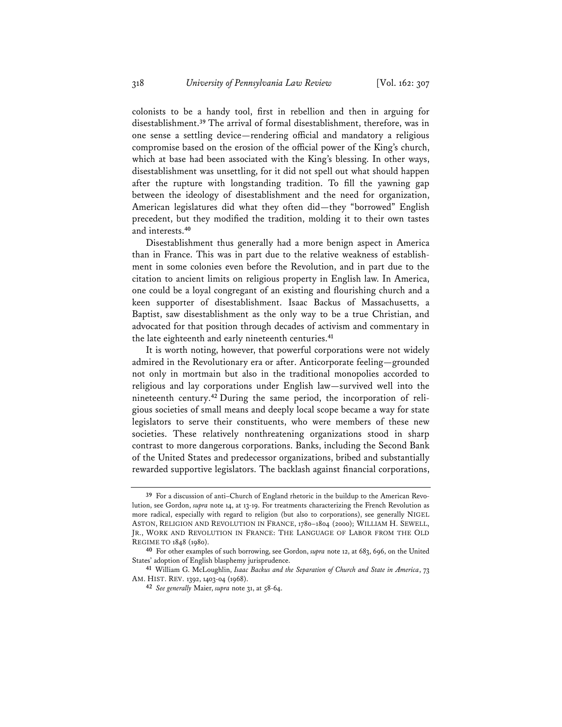colonists to be a handy tool, first in rebellion and then in arguing for disestablishment.**<sup>39</sup>** The arrival of formal disestablishment, therefore, was in one sense a settling device—rendering official and mandatory a religious compromise based on the erosion of the official power of the King's church, which at base had been associated with the King's blessing. In other ways, disestablishment was unsettling, for it did not spell out what should happen after the rupture with longstanding tradition. To fill the yawning gap between the ideology of disestablishment and the need for organization, American legislatures did what they often did—they "borrowed" English precedent, but they modified the tradition, molding it to their own tastes and interests.**<sup>40</sup>**

Disestablishment thus generally had a more benign aspect in America than in France. This was in part due to the relative weakness of establishment in some colonies even before the Revolution, and in part due to the citation to ancient limits on religious property in English law. In America, one could be a loyal congregant of an existing and flourishing church and a keen supporter of disestablishment. Isaac Backus of Massachusetts, a Baptist, saw disestablishment as the only way to be a true Christian, and advocated for that position through decades of activism and commentary in the late eighteenth and early nineteenth centuries.**<sup>41</sup>**

It is worth noting, however, that powerful corporations were not widely admired in the Revolutionary era or after. Anticorporate feeling—grounded not only in mortmain but also in the traditional monopolies accorded to religious and lay corporations under English law—survived well into the nineteenth century.**42** During the same period, the incorporation of religious societies of small means and deeply local scope became a way for state legislators to serve their constituents, who were members of these new societies. These relatively nonthreatening organizations stood in sharp contrast to more dangerous corporations. Banks, including the Second Bank of the United States and predecessor organizations, bribed and substantially rewarded supportive legislators. The backlash against financial corporations,

**<sup>39</sup>** For a discussion of anti–Church of England rhetoric in the buildup to the American Revolution, see Gordon, *supra* note 14, at 13-19. For treatments characterizing the French Revolution as more radical, especially with regard to religion (but also to corporations), see generally NIGEL ASTON, RELIGION AND REVOLUTION IN FRANCE, 1780–1804 (2000); WILLIAM H. SEWELL, JR., WORK AND REVOLUTION IN FRANCE: THE LANGUAGE OF LABOR FROM THE OLD REGIME TO 1848 (1980).

**<sup>40</sup>** For other examples of such borrowing, see Gordon, *supra* note 12, at 683, 696, on the United States' adoption of English blasphemy jurisprudence.

**<sup>41</sup>** William G. McLoughlin, *Isaac Backus and the Separation of Church and State in America*, 73 AM. HIST. REV. 1392, 1403-04 (1968).

**<sup>42</sup>** *See generally* Maier, *supra* note 31, at 58-64.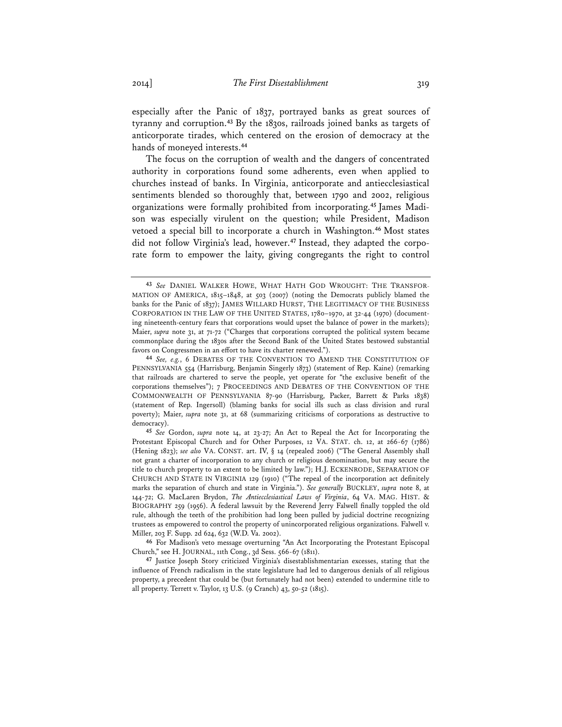especially after the Panic of 1837, portrayed banks as great sources of tyranny and corruption.**<sup>43</sup>** By the 1830s, railroads joined banks as targets of anticorporate tirades, which centered on the erosion of democracy at the hands of moneyed interests.**<sup>44</sup>**

The focus on the corruption of wealth and the dangers of concentrated authority in corporations found some adherents, even when applied to churches instead of banks. In Virginia, anticorporate and antiecclesiastical sentiments blended so thoroughly that, between 1790 and 2002, religious organizations were formally prohibited from incorporating.**45** James Madison was especially virulent on the question; while President, Madison vetoed a special bill to incorporate a church in Washington.**<sup>46</sup>** Most states did not follow Virginia's lead, however.**47** Instead, they adapted the corporate form to empower the laity, giving congregants the right to control

**<sup>43</sup>** *See* DANIEL WALKER HOWE, WHAT HATH GOD WROUGHT: THE TRANSFOR-MATION OF AMERICA, 1815–1848, at 503 (2007) (noting the Democrats publicly blamed the banks for the Panic of 1837); JAMES WILLARD HURST, THE LEGITIMACY OF THE BUSINESS CORPORATION IN THE LAW OF THE UNITED STATES, 1780–1970, at 32-44 (1970) (documenting nineteenth-century fears that corporations would upset the balance of power in the markets); Maier, *supra* note 31, at 71-72 ("Charges that corporations corrupted the political system became commonplace during the 1830s after the Second Bank of the United States bestowed substantial favors on Congressmen in an effort to have its charter renewed.").

**<sup>44</sup>** *See, e.g.*, 6 DEBATES OF THE CONVENTION TO AMEND THE CONSTITUTION OF PENNSYLVANIA 554 (Harrisburg, Benjamin Singerly 1873) (statement of Rep. Kaine) (remarking that railroads are chartered to serve the people, yet operate for "the exclusive benefit of the corporations themselves"); 7 PROCEEDINGS AND DEBATES OF THE CONVENTION OF THE COMMONWEALTH OF PENNSYLVANIA 87-90 (Harrisburg, Packer, Barrett & Parks 1838) (statement of Rep. Ingersoll) (blaming banks for social ills such as class division and rural poverty); Maier, *supra* note 31, at 68 (summarizing criticisms of corporations as destructive to democracy).

**<sup>45</sup>** *See* Gordon, *supra* note 14, at 23-27; An Act to Repeal the Act for Incorporating the Protestant Episcopal Church and for Other Purposes, 12 VA. STAT. ch. 12, at 266-67 (1786) (Hening 1823); *see also* VA. CONST. art. IV, § 14 (repealed 2006) ("The General Assembly shall not grant a charter of incorporation to any church or religious denomination, but may secure the title to church property to an extent to be limited by law."); H.J. ECKENRODE, SEPARATION OF CHURCH AND STATE IN VIRGINIA 129 (1910) ("The repeal of the incorporation act definitely marks the separation of church and state in Virginia."). *See generally* BUCKLEY, *supra* note 8, at 144-72; G. MacLaren Brydon, *The Antiecclesiastical Laws of Virginia*, 64 VA. MAG. HIST. & BIOGRAPHY 259 (1956). A federal lawsuit by the Reverend Jerry Falwell finally toppled the old rule, although the teeth of the prohibition had long been pulled by judicial doctrine recognizing trustees as empowered to control the property of unincorporated religious organizations. Falwell v. Miller, 203 F. Supp. 2d 624, 632 (W.D. Va. 2002).

**<sup>46</sup>** For Madison's veto message overturning "An Act Incorporating the Protestant Episcopal Church," see H. JOURNAL, 11th Cong., 3d Sess. 566-67 (1811).

**<sup>47</sup>** Justice Joseph Story criticized Virginia's disestablishmentarian excesses, stating that the influence of French radicalism in the state legislature had led to dangerous denials of all religious property, a precedent that could be (but fortunately had not been) extended to undermine title to all property. Terrett v. Taylor, 13 U.S. (9 Cranch) 43, 50-52 (1815).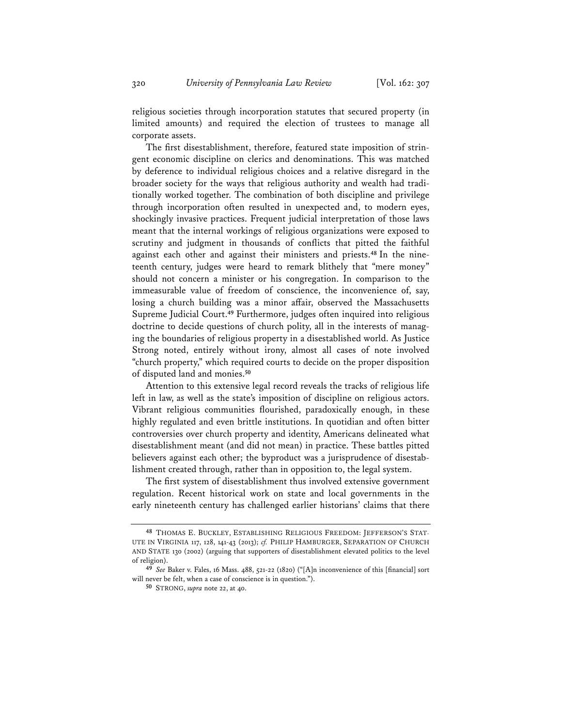religious societies through incorporation statutes that secured property (in limited amounts) and required the election of trustees to manage all corporate assets.

The first disestablishment, therefore, featured state imposition of stringent economic discipline on clerics and denominations. This was matched by deference to individual religious choices and a relative disregard in the broader society for the ways that religious authority and wealth had traditionally worked together. The combination of both discipline and privilege through incorporation often resulted in unexpected and, to modern eyes, shockingly invasive practices. Frequent judicial interpretation of those laws meant that the internal workings of religious organizations were exposed to scrutiny and judgment in thousands of conflicts that pitted the faithful against each other and against their ministers and priests.**48** In the nineteenth century, judges were heard to remark blithely that "mere money" should not concern a minister or his congregation. In comparison to the immeasurable value of freedom of conscience, the inconvenience of, say, losing a church building was a minor affair, observed the Massachusetts Supreme Judicial Court.**<sup>49</sup>** Furthermore, judges often inquired into religious doctrine to decide questions of church polity, all in the interests of managing the boundaries of religious property in a disestablished world. As Justice Strong noted, entirely without irony, almost all cases of note involved "church property," which required courts to decide on the proper disposition of disputed land and monies.**<sup>50</sup>**

Attention to this extensive legal record reveals the tracks of religious life left in law, as well as the state's imposition of discipline on religious actors. Vibrant religious communities flourished, paradoxically enough, in these highly regulated and even brittle institutions. In quotidian and often bitter controversies over church property and identity, Americans delineated what disestablishment meant (and did not mean) in practice. These battles pitted believers against each other; the byproduct was a jurisprudence of disestablishment created through, rather than in opposition to, the legal system.

The first system of disestablishment thus involved extensive government regulation. Recent historical work on state and local governments in the early nineteenth century has challenged earlier historians' claims that there

**<sup>48</sup>** THOMAS E. BUCKLEY, ESTABLISHING RELIGIOUS FREEDOM: JEFFERSON'S STAT-UTE IN VIRGINIA 117, 128, 141-43 (2013); *cf.* PHILIP HAMBURGER, SEPARATION OF CHURCH AND STATE 130 (2002) (arguing that supporters of disestablishment elevated politics to the level of religion).

**<sup>49</sup>** *See* Baker v. Fales, 16 Mass. 488, 521-22 (1820) ("[A]n inconvenience of this [financial] sort will never be felt, when a case of conscience is in question.").

**<sup>50</sup>** STRONG, *supra* note 22, at 40.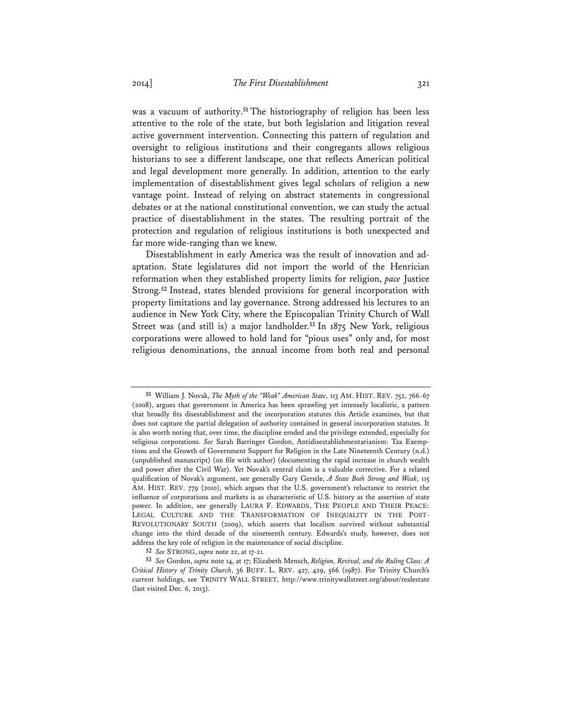was a vacuum of authority.**<sup>51</sup>** The historiography of religion has been less attentive to the role of the state, but both legislation and litigation reveal active government intervention. Connecting this pattern of regulation and oversight to religious institutions and their congregants allows religious historians to see a different landscape, one that reflects American political and legal development more generally. In addition, attention to the early implementation of disestablishment gives legal scholars of religion a new vantage point. Instead of relying on abstract statements in congressional debates or at the national constitutional convention, we can study the actual practice of disestablishment in the states. The resulting portrait of the protection and regulation of religious institutions is both unexpected and far more wide-ranging than we knew.

Disestablishment in early America was the result of innovation and adaptation. State legislatures did not import the world of the Henrician reformation when they established property limits for religion, *pace* Justice Strong.**<sup>52</sup>** Instead, states blended provisions for general incorporation with property limitations and lay governance. Strong addressed his lectures to an audience in New York City, where the Episcopalian Trinity Church of Wall Street was (and still is) a major landholder.**<sup>53</sup>** In 1875 New York, religious corporations were allowed to hold land for "pious uses" only and, for most religious denominations, the annual income from both real and personal

**<sup>51</sup>** William J. Novak, *The Myth of the "Weak" American State*, 113 AM. HIST. REV. 752, 766-67 (2008), argues that government in America has been sprawling yet intensely localistic, a pattern that broadly fits disestablishment and the incorporation statutes this Article examines, but that does not capture the partial delegation of authority contained in general incorporation statutes. It is also worth noting that, over time, the discipline eroded and the privilege extended, especially for religious corporations. *See* Sarah Barringer Gordon, Antidisestablishmentarianism: Tax Exemptions and the Growth of Government Support for Religion in the Late Nineteenth Century (n.d.) (unpublished manuscript) (on file with author) (documenting the rapid increase in church wealth and power after the Civil War). Yet Novak's central claim is a valuable corrective. For a related qualification of Novak's argument, see generally Gary Gerstle, *A State Both Strong and Weak*, 115 AM. HIST. REV. 779 (2010), which argues that the U.S. government's reluctance to restrict the influence of corporations and markets is as characteristic of U.S. history as the assertion of state power. In addition, see generally LAURA F. EDWARDS, THE PEOPLE AND THEIR PEACE: LEGAL CULTURE AND THE TRANSFORMATION OF INEQUALITY IN THE POST-REVOLUTIONARY SOUTH (2009), which asserts that localism survived without substantial change into the third decade of the nineteenth century. Edwards's study, however, does not address the key role of religion in the maintenance of social discipline.

**<sup>52</sup>** *See* STRONG, *supra* note 22, at 17-21.

**<sup>53</sup>** *See* Gordon, *supra* note 14, at 17; Elizabeth Mensch, *Religion, Revival, and the Ruling Class: A Critical History of Trinity Church*, 36 BUFF. L. REV. 427, 429, 566 (1987). For Trinity Church's current holdings, see TRINITY WALL STREET, http://www.trinitywallstreet.org/about/realestate (last visited Dec. 6, 2013).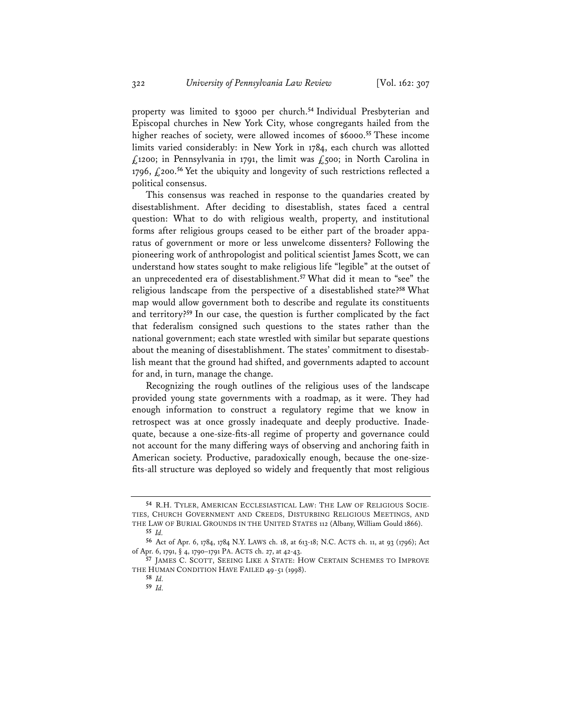property was limited to \$3000 per church.**<sup>54</sup>** Individual Presbyterian and Episcopal churches in New York City, whose congregants hailed from the higher reaches of society, were allowed incomes of \$6000.**<sup>55</sup>** These income limits varied considerably: in New York in 1784, each church was allotted £1200; in Pennsylvania in 1791, the limit was £500; in North Carolina in 1796, £200.**<sup>56</sup>** Yet the ubiquity and longevity of such restrictions reflected a political consensus.

This consensus was reached in response to the quandaries created by disestablishment. After deciding to disestablish, states faced a central question: What to do with religious wealth, property, and institutional forms after religious groups ceased to be either part of the broader apparatus of government or more or less unwelcome dissenters? Following the pioneering work of anthropologist and political scientist James Scott, we can understand how states sought to make religious life "legible" at the outset of an unprecedented era of disestablishment.**<sup>57</sup>** What did it mean to "see" the religious landscape from the perspective of a disestablished state?**<sup>58</sup>** What map would allow government both to describe and regulate its constituents and territory?**<sup>59</sup>** In our case, the question is further complicated by the fact that federalism consigned such questions to the states rather than the national government; each state wrestled with similar but separate questions about the meaning of disestablishment. The states' commitment to disestablish meant that the ground had shifted, and governments adapted to account for and, in turn, manage the change.

Recognizing the rough outlines of the religious uses of the landscape provided young state governments with a roadmap, as it were. They had enough information to construct a regulatory regime that we know in retrospect was at once grossly inadequate and deeply productive. Inadequate, because a one-size-fits-all regime of property and governance could not account for the many differing ways of observing and anchoring faith in American society. Productive, paradoxically enough, because the one-sizefits-all structure was deployed so widely and frequently that most religious

**<sup>54</sup>** R.H. TYLER, AMERICAN ECCLESIASTICAL LAW: THE LAW OF RELIGIOUS SOCIE-TIES, CHURCH GOVERNMENT AND CREEDS, DISTURBING RELIGIOUS MEETINGS, AND THE LAW OF BURIAL GROUNDS IN THE UNITED STATES 112 (Albany, William Gould 1866). **55** *Id.* 

**<sup>56</sup>** Act of Apr. 6, 1784, 1784 N.Y. LAWS ch. 18, at 613-18; N.C. ACTS ch. 11, at 93 (1796); Act of Apr. 6, 1791, § 4, 1790–1791 PA. ACTS ch. 27, at 42-43.

**<sup>57</sup>** JAMES C. SCOTT, SEEING LIKE A STATE: HOW CERTAIN SCHEMES TO IMPROVE THE HUMAN CONDITION HAVE FAILED 49-51 (1998).

**<sup>58</sup>** *Id.*

**<sup>59</sup>** *Id.*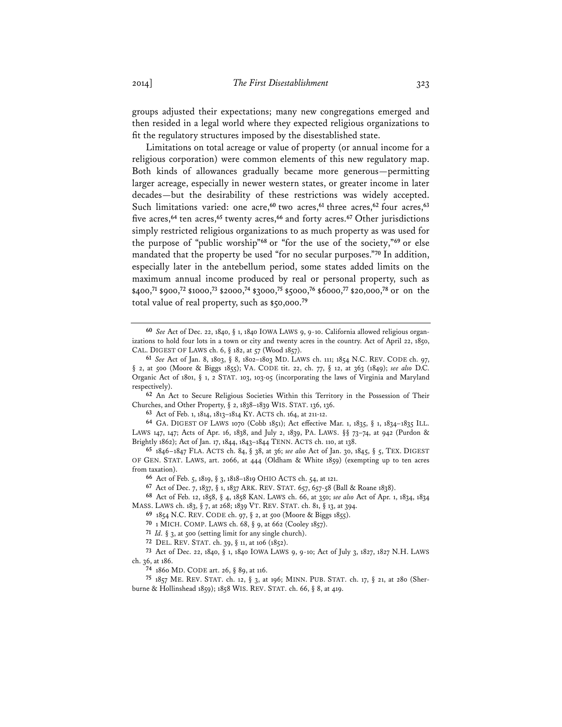groups adjusted their expectations; many new congregations emerged and then resided in a legal world where they expected religious organizations to fit the regulatory structures imposed by the disestablished state.

Limitations on total acreage or value of property (or annual income for a religious corporation) were common elements of this new regulatory map. Both kinds of allowances gradually became more generous—permitting larger acreage, especially in newer western states, or greater income in later decades—but the desirability of these restrictions was widely accepted. Such limitations varied: one acre,**<sup>60</sup>** two acres,**<sup>61</sup>** three acres,**<sup>62</sup>** four acres,**<sup>63</sup>** five acres,**<sup>64</sup>** ten acres,**<sup>65</sup>** twenty acres,**<sup>66</sup>** and forty acres.**<sup>67</sup>** Other jurisdictions simply restricted religious organizations to as much property as was used for the purpose of "public worship"**<sup>68</sup>** or "for the use of the society,"**<sup>69</sup>** or else mandated that the property be used "for no secular purposes."**<sup>70</sup>** In addition, especially later in the antebellum period, some states added limits on the maximum annual income produced by real or personal property, such as \$400,**<sup>71</sup>** \$900,**<sup>72</sup>** \$1000,**<sup>73</sup>** \$2000,**<sup>74</sup>** \$3000,**<sup>75</sup>** \$5000,**<sup>76</sup>** \$6000,**<sup>77</sup>** \$20,000,**<sup>78</sup>** or on the total value of real property, such as \$50,000.**<sup>79</sup>**

**62** An Act to Secure Religious Societies Within this Territory in the Possession of Their Churches, and Other Property, § 2, 1838–1839 WIS. STAT. 136, 136.

**63** Act of Feb. 1, 1814, 1813–1814 KY. ACTS ch. 164, at 211-12.

**64** GA. DIGEST OF LAWS 1070 (Cobb 1851); Act effective Mar. 1, 1835, § 1, 1834–1835 ILL. LAWS 147, 147; Acts of Apr. 16, 1838, and July 2, 1839, PA. LAWS. §§ 73–74, at 942 (Purdon & Brightly 1862); Act of Jan. 17, 1844, 1843–1844 TENN. ACTS ch. 110, at 138.

**65** 1846–1847 FLA. ACTS ch. 84, § 38, at 36; *see also* Act of Jan. 30, 1845, § 5, TEX. DIGEST OF GEN. STAT. LAWS, art. 2066, at 444 (Oldham & White 1859) (exempting up to ten acres from taxation).

**66** Act of Feb. 5, 1819, § 3, 1818–1819 OHIO ACTS ch. 54, at 121.

**67** Act of Dec. 7, 1837, § 1, 1837 ARK. REV. STAT. 657, 657-58 (Ball & Roane 1838).

**68** Act of Feb. 12, 1858, § 4, 1858 KAN. LAWS ch. 66, at 350; *see also* Act of Apr. 1, 1834, 1834 MASS. LAWS ch. 183, § 7, at 268; 1839 VT. REV. STAT. ch. 81, § 13, at 394.

**69** 1854 N.C. REV. CODE ch. 97, § 2, at 500 (Moore & Biggs 1855).

**70** 1 MICH. COMP. LAWS ch. 68, § 9, at 662 (Cooley 1857).

**71** *Id.* § 3, at 500 (setting limit for any single church).

**72** DEL. REV. STAT. ch. 39, § 11, at 106 (1852).

**73** Act of Dec. 22, 1840, § 1, 1840 IOWA LAWS 9, 9-10; Act of July 3, 1827, 1827 N.H. LAWS ch. 36, at 186.

**74** 1860 MD. CODE art. 26, § 89, at 116.

**75** 1857 ME. REV. STAT. ch. 12, § 3, at 196; MINN. PUB. STAT. ch. 17, § 21, at 280 (Sherburne & Hollinshead 1859); 1858 WIS. REV. STAT. ch. 66, § 8, at 419.

**<sup>60</sup>** *See* Act of Dec. 22, 1840, § 1, 1840 IOWA LAWS 9, 9-10. California allowed religious organizations to hold four lots in a town or city and twenty acres in the country. Act of April 22, 1850, CAL. DIGEST OF LAWS ch. 6, § 182, at 57 (Wood 1857).

**<sup>61</sup>** *See* Act of Jan. 8, 1803, § 8, 1802–1803 MD. LAWS ch. 111; 1854 N.C. REV. CODE ch. 97, § 2, at 500 (Moore & Biggs 1855); VA. CODE tit. 22, ch. 77, § 12, at 363 (1849); *see also* D.C. Organic Act of 1801, § 1, 2 STAT. 103, 103-05 (incorporating the laws of Virginia and Maryland respectively).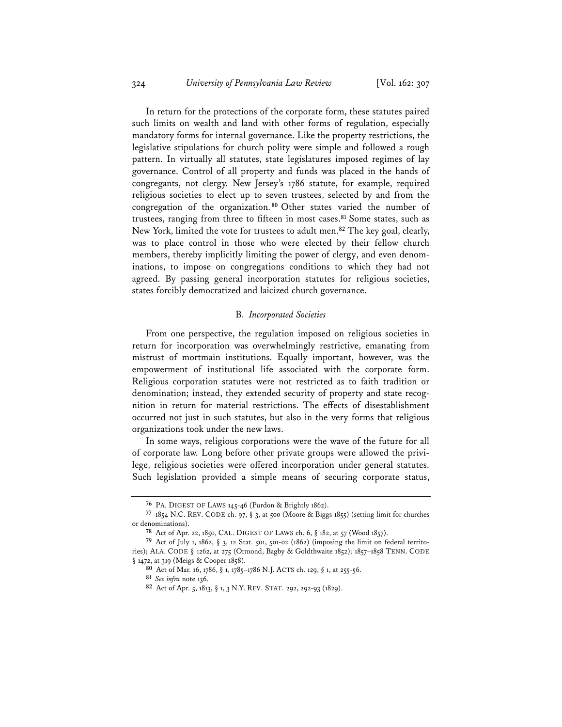In return for the protections of the corporate form, these statutes paired such limits on wealth and land with other forms of regulation, especially mandatory forms for internal governance. Like the property restrictions, the legislative stipulations for church polity were simple and followed a rough pattern. In virtually all statutes, state legislatures imposed regimes of lay governance. Control of all property and funds was placed in the hands of congregants, not clergy. New Jersey's 1786 statute, for example, required religious societies to elect up to seven trustees, selected by and from the congregation of the organization. **<sup>80</sup>** Other states varied the number of trustees, ranging from three to fifteen in most cases.**<sup>81</sup>** Some states, such as New York, limited the vote for trustees to adult men.**<sup>82</sup>** The key goal, clearly, was to place control in those who were elected by their fellow church members, thereby implicitly limiting the power of clergy, and even denominations, to impose on congregations conditions to which they had not agreed. By passing general incorporation statutes for religious societies, states forcibly democratized and laicized church governance.

## B*. Incorporated Societies*

From one perspective, the regulation imposed on religious societies in return for incorporation was overwhelmingly restrictive, emanating from mistrust of mortmain institutions. Equally important, however, was the empowerment of institutional life associated with the corporate form. Religious corporation statutes were not restricted as to faith tradition or denomination; instead, they extended security of property and state recognition in return for material restrictions. The effects of disestablishment occurred not just in such statutes, but also in the very forms that religious organizations took under the new laws.

In some ways, religious corporations were the wave of the future for all of corporate law. Long before other private groups were allowed the privilege, religious societies were offered incorporation under general statutes. Such legislation provided a simple means of securing corporate status,

**<sup>76</sup>** PA. DIGEST OF LAWS 145-46 (Purdon & Brightly 1862).

**<sup>77</sup>** 1854 N.C. REV. CODE ch. 97, § 3, at 500 (Moore & Biggs 1855) (setting limit for churches or denominations).

**<sup>78</sup>** Act of Apr. 22, 1850, CAL. DIGEST OF LAWS ch. 6, § 182, at 57 (Wood 1857).

**<sup>79</sup>** Act of July 1, 1862, § 3, 12 Stat. 501, 501-02 (1862) (imposing the limit on federal territories); ALA. CODE § 1262, at 275 (Ormond, Bagby & Goldthwaite 1852); 1857–1858 TENN. CODE § 1472, at 319 (Meigs & Cooper 1858).

**<sup>80</sup>** Act of Mar. 16, 1786, § 1, 1785–1786 N.J. ACTS ch. 129, § 1, at 255-56.

**<sup>81</sup>** *See infra* note 136.

**<sup>82</sup>** Act of Apr. 5, 1813, § 1, 3 N.Y. REV. STAT. 292, 292-93 (1829).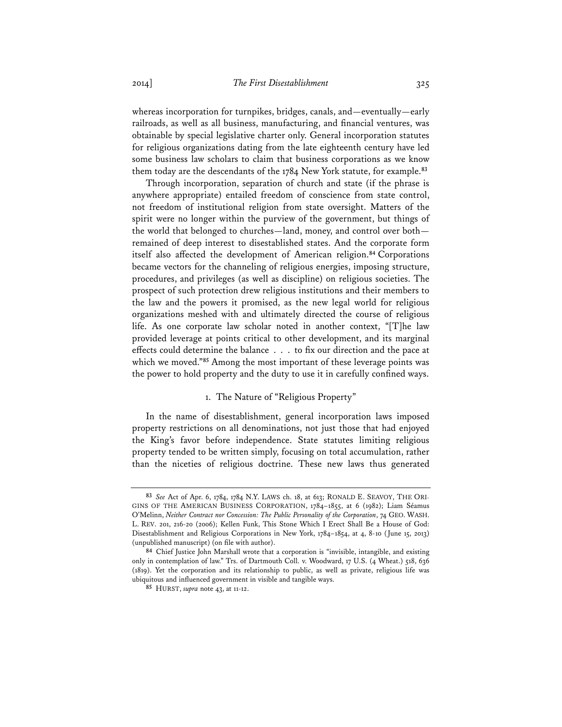whereas incorporation for turnpikes, bridges, canals, and—eventually—early railroads, as well as all business, manufacturing, and financial ventures, was obtainable by special legislative charter only. General incorporation statutes for religious organizations dating from the late eighteenth century have led some business law scholars to claim that business corporations as we know them today are the descendants of the 1784 New York statute, for example.**<sup>83</sup>**

Through incorporation, separation of church and state (if the phrase is anywhere appropriate) entailed freedom of conscience from state control, not freedom of institutional religion from state oversight. Matters of the spirit were no longer within the purview of the government, but things of the world that belonged to churches—land, money, and control over both remained of deep interest to disestablished states. And the corporate form itself also affected the development of American religion.**<sup>84</sup>** Corporations became vectors for the channeling of religious energies, imposing structure, procedures, and privileges (as well as discipline) on religious societies. The prospect of such protection drew religious institutions and their members to the law and the powers it promised, as the new legal world for religious organizations meshed with and ultimately directed the course of religious life. As one corporate law scholar noted in another context, "[T]he law provided leverage at points critical to other development, and its marginal effects could determine the balance . . . to fix our direction and the pace at which we moved."**<sup>85</sup>** Among the most important of these leverage points was the power to hold property and the duty to use it in carefully confined ways.

# 1. The Nature of "Religious Property"

In the name of disestablishment, general incorporation laws imposed property restrictions on all denominations, not just those that had enjoyed the King's favor before independence. State statutes limiting religious property tended to be written simply, focusing on total accumulation, rather than the niceties of religious doctrine. These new laws thus generated

**<sup>83</sup>** *See* Act of Apr. 6, 1784, 1784 N.Y. LAWS ch. 18, at 613; RONALD E. SEAVOY, THE ORI-GINS OF THE AMERICAN BUSINESS CORPORATION, 1784–1855, at 6 (1982); Liam Séamus O'Melinn, *Neither Contract nor Concession: The Public Personality of the Corporation*, 74 GEO. WASH. L. REV. 201, 216-20 (2006); Kellen Funk, This Stone Which I Erect Shall Be a House of God: Disestablishment and Religious Corporations in New York, 1784–1854, at 4, 8-10 (June 15, 2013) (unpublished manuscript) (on file with author).

**<sup>84</sup>** Chief Justice John Marshall wrote that a corporation is "invisible, intangible, and existing only in contemplation of law." Trs. of Dartmouth Coll. v. Woodward, 17 U.S. (4 Wheat.) 518, 636 (1819). Yet the corporation and its relationship to public, as well as private, religious life was ubiquitous and influenced government in visible and tangible ways.

**<sup>85</sup>** HURST, *supra* note 43, at 11-12.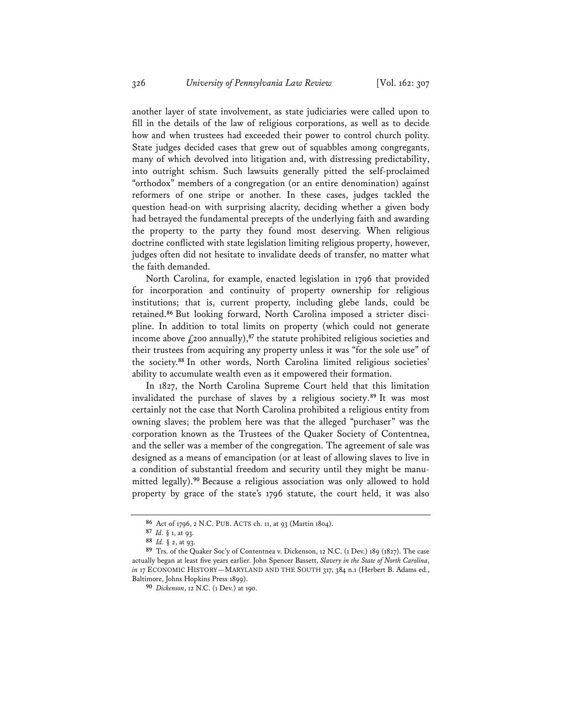another layer of state involvement, as state judiciaries were called upon to fill in the details of the law of religious corporations, as well as to decide how and when trustees had exceeded their power to control church polity. State judges decided cases that grew out of squabbles among congregants, many of which devolved into litigation and, with distressing predictability, into outright schism. Such lawsuits generally pitted the self-proclaimed "orthodox" members of a congregation (or an entire denomination) against reformers of one stripe or another. In these cases, judges tackled the question head-on with surprising alacrity, deciding whether a given body had betrayed the fundamental precepts of the underlying faith and awarding the property to the party they found most deserving. When religious doctrine conflicted with state legislation limiting religious property, however, judges often did not hesitate to invalidate deeds of transfer, no matter what the faith demanded.

North Carolina, for example, enacted legislation in 1796 that provided for incorporation and continuity of property ownership for religious institutions; that is, current property, including glebe lands, could be retained.**86** But looking forward, North Carolina imposed a stricter discipline. In addition to total limits on property (which could not generate income above  $f_1$ 200 annually),<sup>87</sup> the statute prohibited religious societies and their trustees from acquiring any property unless it was "for the sole use" of the society.**<sup>88</sup>** In other words, North Carolina limited religious societies' ability to accumulate wealth even as it empowered their formation.

In 1827, the North Carolina Supreme Court held that this limitation invalidated the purchase of slaves by a religious society.**<sup>89</sup>** It was most certainly not the case that North Carolina prohibited a religious entity from owning slaves; the problem here was that the alleged "purchaser" was the corporation known as the Trustees of the Quaker Society of Contentnea, and the seller was a member of the congregation. The agreement of sale was designed as a means of emancipation (or at least of allowing slaves to live in a condition of substantial freedom and security until they might be manumitted legally).**<sup>90</sup>** Because a religious association was only allowed to hold property by grace of the state's 1796 statute, the court held, it was also

**<sup>86</sup>** Act of 1796, 2 N.C. PUB. ACTS ch. 11, at 93 (Martin 1804).

**<sup>87</sup>** *Id.* § 1, at 93.

**<sup>88</sup>** *Id.* § 2, at 93.

**<sup>89</sup>** Trs. of the Quaker Soc'y of Contentnea v. Dickenson, 12 N.C. (1 Dev.) 189 (1827). The case actually began at least five years earlier. John Spencer Bassett, *Slavery in the State of North Carolina*, *in* 17 ECONOMIC HISTORY—MARYLAND AND THE SOUTH 317, 384 n.1 (Herbert B. Adams ed., Baltimore, Johns Hopkins Press 1899).

**<sup>90</sup>** *Dickenson*, 12 N.C. (1 Dev.) at 190.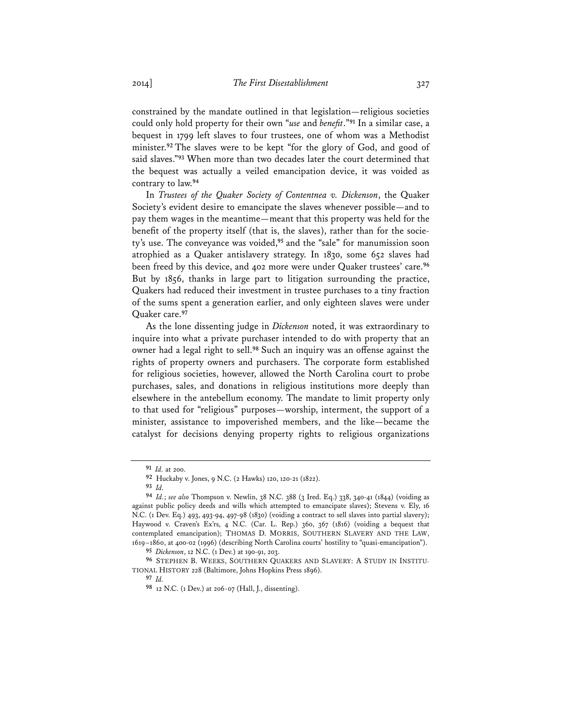constrained by the mandate outlined in that legislation—religious societies could only hold property for their own "*use* and *benefit*."**<sup>91</sup>** In a similar case, a bequest in 1799 left slaves to four trustees, one of whom was a Methodist minister.**<sup>92</sup>** The slaves were to be kept "for the glory of God, and good of said slaves."**<sup>93</sup>** When more than two decades later the court determined that the bequest was actually a veiled emancipation device, it was voided as contrary to law.**<sup>94</sup>**

In *Trustees of the Quaker Society of Contentnea v. Dickenson*, the Quaker Society's evident desire to emancipate the slaves whenever possible—and to pay them wages in the meantime—meant that this property was held for the benefit of the property itself (that is, the slaves), rather than for the society's use. The conveyance was voided,**<sup>95</sup>** and the "sale" for manumission soon atrophied as a Quaker antislavery strategy. In 1830, some 652 slaves had been freed by this device, and 402 more were under Quaker trustees' care.**<sup>96</sup>** But by 1856, thanks in large part to litigation surrounding the practice, Quakers had reduced their investment in trustee purchases to a tiny fraction of the sums spent a generation earlier, and only eighteen slaves were under Quaker care.**<sup>97</sup>**

As the lone dissenting judge in *Dickenson* noted, it was extraordinary to inquire into what a private purchaser intended to do with property that an owner had a legal right to sell.**<sup>98</sup>** Such an inquiry was an offense against the rights of property owners and purchasers. The corporate form established for religious societies, however, allowed the North Carolina court to probe purchases, sales, and donations in religious institutions more deeply than elsewhere in the antebellum economy. The mandate to limit property only to that used for "religious" purposes—worship, interment, the support of a minister, assistance to impoverished members, and the like—became the catalyst for decisions denying property rights to religious organizations

**<sup>91</sup>** *Id.* at 200.

**<sup>92</sup>** Huckaby v. Jones, 9 N.C. (2 Hawks) 120, 120-21 (1822).

**<sup>93</sup>** *Id.*

**<sup>94</sup>** *Id.*; *see also* Thompson v. Newlin, 38 N.C. 388 (3 Ired. Eq.) 338, 340-41 (1844) (voiding as against public policy deeds and wills which attempted to emancipate slaves); Stevens v. Ely, 16 N.C. (1 Dev. Eq.) 493, 493-94, 497-98 (1830) (voiding a contract to sell slaves into partial slavery); Haywood v. Craven's Ex'rs, 4 N.C. (Car. L. Rep.) 360, 367 (1816) (voiding a bequest that contemplated emancipation); THOMAS D. MORRIS, SOUTHERN SLAVERY AND THE LAW, 1619–1860, at 400-02 (1996) (describing North Carolina courts' hostility to "quasi-emancipation").

**<sup>95</sup>** *Dickenson*, 12 N.C. (1 Dev.) at 190-91, 203.

**<sup>96</sup>** STEPHEN B. WEEKS, SOUTHERN QUAKERS AND SLAVERY: A STUDY IN INSTITU-TIONAL HISTORY 228 (Baltimore, Johns Hopkins Press 1896).

**<sup>97</sup>** *Id.*

**<sup>98</sup>** 12 N.C. (1 Dev.) at 206-07 (Hall, J., dissenting).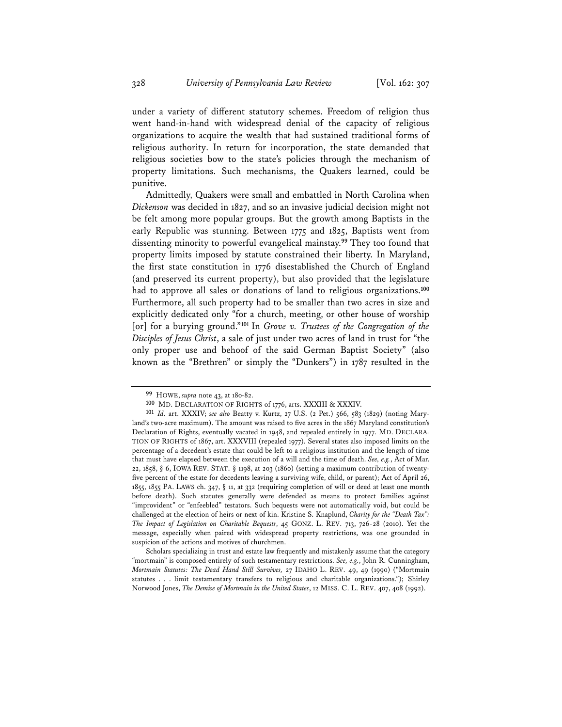under a variety of different statutory schemes. Freedom of religion thus went hand-in-hand with widespread denial of the capacity of religious organizations to acquire the wealth that had sustained traditional forms of religious authority. In return for incorporation, the state demanded that religious societies bow to the state's policies through the mechanism of property limitations. Such mechanisms, the Quakers learned, could be punitive.

Admittedly, Quakers were small and embattled in North Carolina when *Dickenson* was decided in 1827, and so an invasive judicial decision might not be felt among more popular groups. But the growth among Baptists in the early Republic was stunning. Between 1775 and 1825, Baptists went from dissenting minority to powerful evangelical mainstay.**<sup>99</sup>** They too found that property limits imposed by statute constrained their liberty. In Maryland, the first state constitution in 1776 disestablished the Church of England (and preserved its current property), but also provided that the legislature had to approve all sales or donations of land to religious organizations.**<sup>100</sup>** Furthermore, all such property had to be smaller than two acres in size and explicitly dedicated only "for a church, meeting, or other house of worship [or] for a burying ground."**<sup>101</sup>** In *Grove v. Trustees of the Congregation of the Disciples of Jesus Christ*, a sale of just under two acres of land in trust for "the only proper use and behoof of the said German Baptist Society" (also known as the "Brethren" or simply the "Dunkers") in 1787 resulted in the

**<sup>99</sup>** HOWE, *supra* note 43, at 180-82.

**<sup>100</sup>** MD. DECLARATION OF RIGHTS of 1776, arts. XXXIII & XXXIV.

**<sup>101</sup>** *Id.* art. XXXIV; *see also* Beatty v. Kurtz, 27 U.S. (2 Pet.) 566, 583 (1829) (noting Maryland's two-acre maximum). The amount was raised to five acres in the 1867 Maryland constitution's Declaration of Rights, eventually vacated in 1948, and repealed entirely in 1977. MD. DECLARA-TION OF RIGHTS of 1867, art. XXXVIII (repealed 1977). Several states also imposed limits on the percentage of a decedent's estate that could be left to a religious institution and the length of time that must have elapsed between the execution of a will and the time of death. *See, e.g.*, Act of Mar. 22, 1858, § 6, IOWA REV. STAT. § 1198, at 203 (1860) (setting a maximum contribution of twentyfive percent of the estate for decedents leaving a surviving wife, child, or parent); Act of April 26, 1855, 1855 PA. LAWS ch. 347, § 11, at 332 (requiring completion of will or deed at least one month before death). Such statutes generally were defended as means to protect families against "improvident" or "enfeebled" testators. Such bequests were not automatically void, but could be challenged at the election of heirs or next of kin. Kristine S. Knaplund, *Charity for the "Death Tax": The Impact of Legislation on Charitable Bequests*, 45 GONZ. L. REV. 713, 726-28 (2010). Yet the message, especially when paired with widespread property restrictions, was one grounded in suspicion of the actions and motives of churchmen.

Scholars specializing in trust and estate law frequently and mistakenly assume that the category "mortmain" is composed entirely of such testamentary restrictions. *See, e.g.*, John R. Cunningham, *Mortmain Statutes: The Dead Hand Still Survives,* 27 IDAHO L. REV. 49, 49 (1990) ("Mortmain statutes . . . limit testamentary transfers to religious and charitable organizations."); Shirley Norwood Jones, *The Demise of Mortmain in the United States*, 12 MISS. C. L. REV. 407, 408 (1992).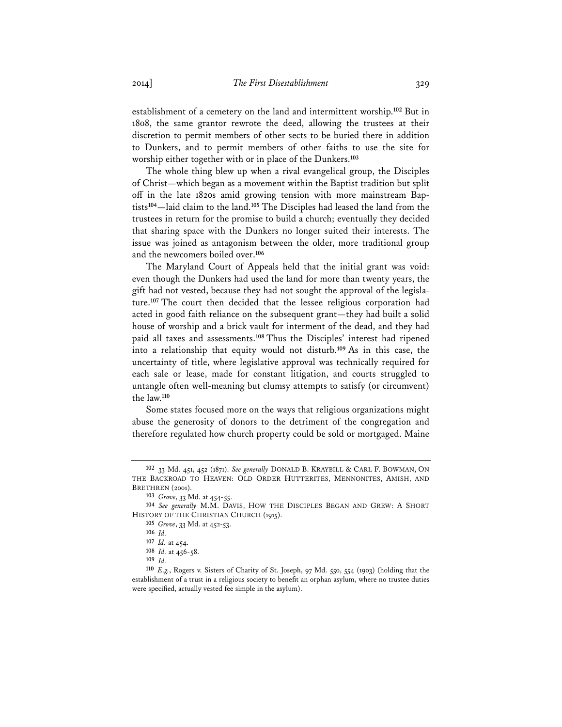establishment of a cemetery on the land and intermittent worship.**<sup>102</sup>** But in 1808, the same grantor rewrote the deed, allowing the trustees at their discretion to permit members of other sects to be buried there in addition to Dunkers, and to permit members of other faiths to use the site for worship either together with or in place of the Dunkers.**<sup>103</sup>**

The whole thing blew up when a rival evangelical group, the Disciples of Christ—which began as a movement within the Baptist tradition but split off in the late 1820s amid growing tension with more mainstream Baptists**<sup>104</sup>**—laid claim to the land.**<sup>105</sup>** The Disciples had leased the land from the trustees in return for the promise to build a church; eventually they decided that sharing space with the Dunkers no longer suited their interests. The issue was joined as antagonism between the older, more traditional group and the newcomers boiled over.**<sup>106</sup>**

The Maryland Court of Appeals held that the initial grant was void: even though the Dunkers had used the land for more than twenty years, the gift had not vested, because they had not sought the approval of the legislature.**<sup>107</sup>** The court then decided that the lessee religious corporation had acted in good faith reliance on the subsequent grant—they had built a solid house of worship and a brick vault for interment of the dead, and they had paid all taxes and assessments.**<sup>108</sup>** Thus the Disciples' interest had ripened into a relationship that equity would not disturb.**<sup>109</sup>** As in this case, the uncertainty of title, where legislative approval was technically required for each sale or lease, made for constant litigation, and courts struggled to untangle often well-meaning but clumsy attempts to satisfy (or circumvent) the law.**<sup>110</sup>**

Some states focused more on the ways that religious organizations might abuse the generosity of donors to the detriment of the congregation and therefore regulated how church property could be sold or mortgaged. Maine

**<sup>102</sup>** 33 Md. 451, 452 (1871). *See generally* DONALD B. KRAYBILL & CARL F. BOWMAN, ON THE BACKROAD TO HEAVEN: OLD ORDER HUTTERITES, MENNONITES, AMISH, AND BRETHREN (2001).

**<sup>103</sup>** *Grove*, 33 Md. at 454-55.

**<sup>104</sup>** *See generally* M.M. DAVIS, HOW THE DISCIPLES BEGAN AND GREW: A SHORT HISTORY OF THE CHRISTIAN CHURCH (1915).

**<sup>105</sup>** *Grove*, 33 Md. at 452-53.

**<sup>106</sup>** *Id.*

**<sup>107</sup>** *Id.* at 454.

**<sup>108</sup>** *Id.* at 456-58.

**<sup>109</sup>** *Id.*

**<sup>110</sup>** *E.g.*, Rogers v. Sisters of Charity of St. Joseph, 97 Md. 550, 554 (1903) (holding that the establishment of a trust in a religious society to benefit an orphan asylum, where no trustee duties were specified, actually vested fee simple in the asylum).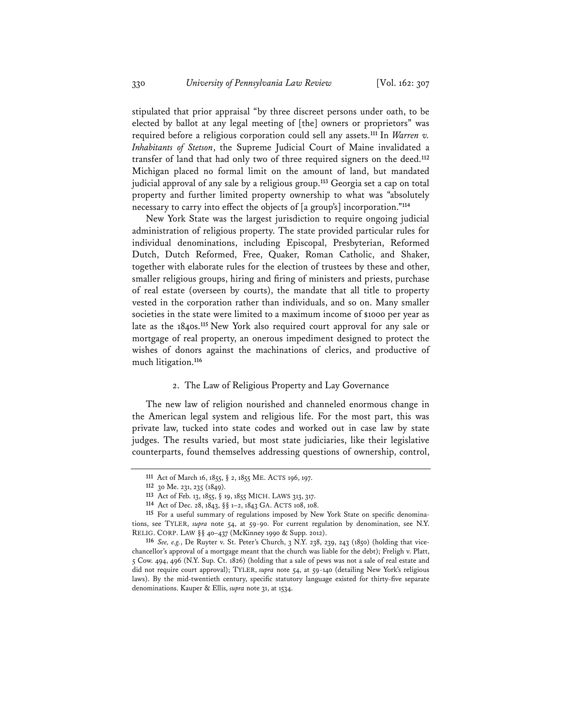stipulated that prior appraisal "by three discreet persons under oath, to be elected by ballot at any legal meeting of [the] owners or proprietors" was required before a religious corporation could sell any assets.**<sup>111</sup>** In *Warren v. Inhabitants of Stetson*, the Supreme Judicial Court of Maine invalidated a transfer of land that had only two of three required signers on the deed.**<sup>112</sup>** Michigan placed no formal limit on the amount of land, but mandated judicial approval of any sale by a religious group.**<sup>113</sup>** Georgia set a cap on total property and further limited property ownership to what was "absolutely necessary to carry into effect the objects of [a group's] incorporation."**<sup>114</sup>**

New York State was the largest jurisdiction to require ongoing judicial administration of religious property. The state provided particular rules for individual denominations, including Episcopal, Presbyterian, Reformed Dutch, Dutch Reformed, Free, Quaker, Roman Catholic, and Shaker, together with elaborate rules for the election of trustees by these and other, smaller religious groups, hiring and firing of ministers and priests, purchase of real estate (overseen by courts), the mandate that all title to property vested in the corporation rather than individuals, and so on. Many smaller societies in the state were limited to a maximum income of \$1000 per year as late as the 1840s.**<sup>115</sup>** New York also required court approval for any sale or mortgage of real property, an onerous impediment designed to protect the wishes of donors against the machinations of clerics, and productive of much litigation.**<sup>116</sup>**

## 2. The Law of Religious Property and Lay Governance

The new law of religion nourished and channeled enormous change in the American legal system and religious life. For the most part, this was private law, tucked into state codes and worked out in case law by state judges. The results varied, but most state judiciaries, like their legislative counterparts, found themselves addressing questions of ownership, control,

**<sup>111</sup>** Act of March 16, 1855, § 2, 1855 ME. ACTS 196, 197.

**<sup>112</sup>** 30 Me. 231, 235 (1849).

**<sup>113</sup>** Act of Feb. 13, 1855, § 19, 1855 MICH. LAWS 313, 317.

**<sup>114</sup>** Act of Dec. 28, 1843, §§ 1–2, 1843 GA. ACTS 108, 108.

**<sup>115</sup>** For a useful summary of regulations imposed by New York State on specific denominations, see TYLER, *supra* note 54, at 59-90. For current regulation by denomination, see N.Y. RELIG. CORP. LAW §§ 40–437 (McKinney 1990 & Supp. 2012).

**<sup>116</sup>** *See, e.g.*, De Ruyter v. St. Peter's Church, 3 N.Y. 238, 239, 243 (1850) (holding that vicechancellor's approval of a mortgage meant that the church was liable for the debt); Freligh v. Platt, 5 Cow. 494, 496 (N.Y. Sup. Ct. 1826) (holding that a sale of pews was not a sale of real estate and did not require court approval); TYLER, *supra* note 54, at 59-140 (detailing New York's religious laws). By the mid-twentieth century, specific statutory language existed for thirty-five separate denominations. Kauper & Ellis, *supra* note 31, at 1534.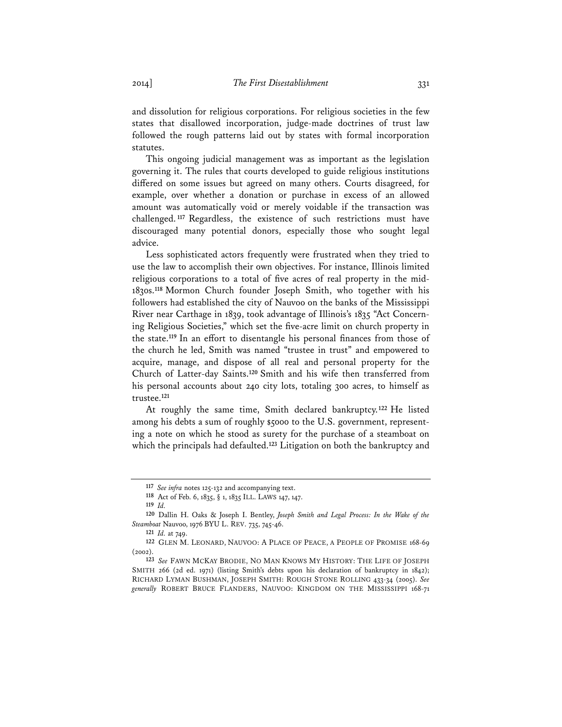and dissolution for religious corporations. For religious societies in the few states that disallowed incorporation, judge-made doctrines of trust law followed the rough patterns laid out by states with formal incorporation statutes.

This ongoing judicial management was as important as the legislation governing it. The rules that courts developed to guide religious institutions differed on some issues but agreed on many others. Courts disagreed, for example, over whether a donation or purchase in excess of an allowed amount was automatically void or merely voidable if the transaction was challenged. **<sup>117</sup>** Regardless, the existence of such restrictions must have discouraged many potential donors, especially those who sought legal advice.

Less sophisticated actors frequently were frustrated when they tried to use the law to accomplish their own objectives. For instance, Illinois limited religious corporations to a total of five acres of real property in the mid-1830s.**<sup>118</sup>** Mormon Church founder Joseph Smith, who together with his followers had established the city of Nauvoo on the banks of the Mississippi River near Carthage in 1839, took advantage of Illinois's 1835 "Act Concerning Religious Societies," which set the five-acre limit on church property in the state.**<sup>119</sup>** In an effort to disentangle his personal finances from those of the church he led, Smith was named "trustee in trust" and empowered to acquire, manage, and dispose of all real and personal property for the Church of Latter-day Saints.**<sup>120</sup>** Smith and his wife then transferred from his personal accounts about 240 city lots, totaling 300 acres, to himself as trustee.**<sup>121</sup>**

At roughly the same time, Smith declared bankruptcy.**<sup>122</sup>** He listed among his debts a sum of roughly \$5000 to the U.S. government, representing a note on which he stood as surety for the purchase of a steamboat on which the principals had defaulted.**<sup>123</sup>** Litigation on both the bankruptcy and

**<sup>117</sup>** *See infra* notes 125-132 and accompanying text.

**<sup>118</sup>** Act of Feb. 6, 1835, § 1, 1835 ILL. LAWS 147, 147.

**<sup>119</sup>** *Id.*

**<sup>120</sup>** Dallin H. Oaks & Joseph I. Bentley, *Joseph Smith and Legal Process: In the Wake of the Steamboat* Nauvoo, 1976 BYU L. REV. 735, 745-46.

**<sup>121</sup>** *Id.* at 749.

**<sup>122</sup>** GLEN M. LEONARD, NAUVOO: A PLACE OF PEACE, A PEOPLE OF PROMISE 168-69  $(2002)$ 

**<sup>123</sup>** *See* FAWN MCKAY BRODIE, NO MAN KNOWS MY HISTORY: THE LIFE OF JOSEPH SMITH 266 (2d ed. 1971) (listing Smith's debts upon his declaration of bankruptcy in 1842); RICHARD LYMAN BUSHMAN, JOSEPH SMITH: ROUGH STONE ROLLING 433-34 (2005). *See generally* ROBERT BRUCE FLANDERS, NAUVOO: KINGDOM ON THE MISSISSIPPI 168-71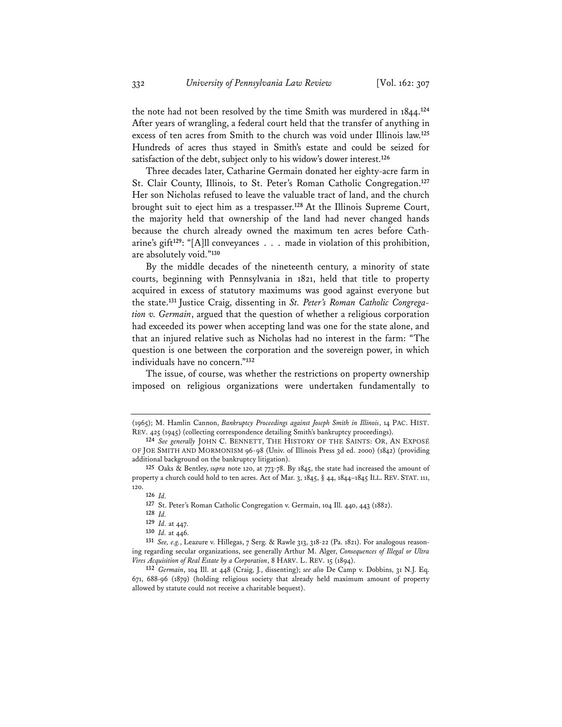the note had not been resolved by the time Smith was murdered in 1844.**<sup>124</sup>** After years of wrangling, a federal court held that the transfer of anything in excess of ten acres from Smith to the church was void under Illinois law.**<sup>125</sup>** Hundreds of acres thus stayed in Smith's estate and could be seized for satisfaction of the debt, subject only to his widow's dower interest.**<sup>126</sup>**

Three decades later, Catharine Germain donated her eighty-acre farm in St. Clair County, Illinois, to St. Peter's Roman Catholic Congregation.**<sup>127</sup>** Her son Nicholas refused to leave the valuable tract of land, and the church brought suit to eject him as a trespasser.**<sup>128</sup>** At the Illinois Supreme Court, the majority held that ownership of the land had never changed hands because the church already owned the maximum ten acres before Catharine's gift**<sup>129</sup>**: "[A]ll conveyances . . . made in violation of this prohibition, are absolutely void."**<sup>130</sup>**

By the middle decades of the nineteenth century, a minority of state courts, beginning with Pennsylvania in 1821, held that title to property acquired in excess of statutory maximums was good against everyone but the state.**131** Justice Craig, dissenting in *St. Peter's Roman Catholic Congregation v. Germain*, argued that the question of whether a religious corporation had exceeded its power when accepting land was one for the state alone, and that an injured relative such as Nicholas had no interest in the farm: "The question is one between the corporation and the sovereign power, in which individuals have no concern."**<sup>132</sup>**

The issue, of course, was whether the restrictions on property ownership imposed on religious organizations were undertaken fundamentally to

<sup>(1965);</sup> M. Hamlin Cannon, *Bankruptcy Proceedings against Joseph Smith in Illinois*, 14 PAC. HIST. REV. 425 (1945) (collecting correspondence detailing Smith's bankruptcy proceedings).

**<sup>124</sup>** *See generally* JOHN C. BENNETT, THE HISTORY OF THE SAINTS: OR, AN EXPOSÉ OF JOE SMITH AND MORMONISM 96-98 (Univ. of Illinois Press 3d ed. 2000) (1842) (providing additional background on the bankruptcy litigation).

**<sup>125</sup>** Oaks & Bentley, *supra* note 120, at 773-78. By 1845, the state had increased the amount of property a church could hold to ten acres. Act of Mar. 3, 1845, § 44, 1844–1845 ILL. REV. STAT. 111, 120.

**<sup>126</sup>** *Id.*

**<sup>127</sup>** St. Peter's Roman Catholic Congregation v. Germain, 104 Ill. 440, 443 (1882).

**<sup>128</sup>** *Id.*

**<sup>129</sup>** *Id.* at 447.

**<sup>130</sup>** *Id.* at 446.

**<sup>131</sup>** *See, e.g.*, Leazure v. Hillegas, 7 Serg. & Rawle 313, 318-22 (Pa. 1821). For analogous reasoning regarding secular organizations, see generally Arthur M. Alger, *Consequences of Illegal or Ultra Vires Acquisition of Real Estate by a Corporation*, 8 HARV. L. REV. 15 (1894).

**<sup>132</sup>** *Germain*, 104 Ill. at 448 (Craig, J., dissenting); *see also* De Camp v. Dobbins, 31 N.J. Eq. 671, 688-96 (1879) (holding religious society that already held maximum amount of property allowed by statute could not receive a charitable bequest).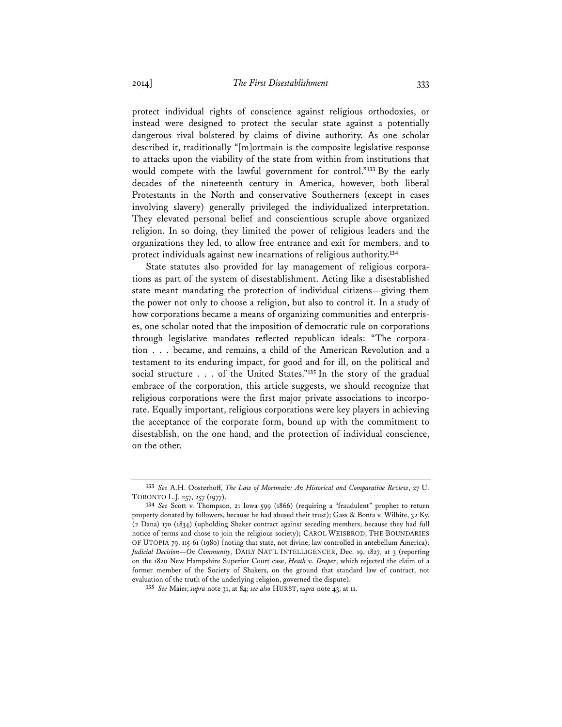protect individual rights of conscience against religious orthodoxies, or instead were designed to protect the secular state against a potentially dangerous rival bolstered by claims of divine authority. As one scholar described it, traditionally "[m]ortmain is the composite legislative response to attacks upon the viability of the state from within from institutions that would compete with the lawful government for control."**<sup>133</sup>** By the early decades of the nineteenth century in America, however, both liberal Protestants in the North and conservative Southerners (except in cases involving slavery) generally privileged the individualized interpretation. They elevated personal belief and conscientious scruple above organized religion. In so doing, they limited the power of religious leaders and the organizations they led, to allow free entrance and exit for members, and to protect individuals against new incarnations of religious authority.**<sup>134</sup>**

State statutes also provided for lay management of religious corporations as part of the system of disestablishment. Acting like a disestablished state meant mandating the protection of individual citizens—giving them the power not only to choose a religion, but also to control it. In a study of how corporations became a means of organizing communities and enterprises, one scholar noted that the imposition of democratic rule on corporations through legislative mandates reflected republican ideals: "The corporation . . . became, and remains, a child of the American Revolution and a testament to its enduring impact, for good and for ill, on the political and social structure . . . of the United States."**<sup>135</sup>** In the story of the gradual embrace of the corporation, this article suggests, we should recognize that religious corporations were the first major private associations to incorporate. Equally important, religious corporations were key players in achieving the acceptance of the corporate form, bound up with the commitment to disestablish, on the one hand, and the protection of individual conscience, on the other.

**<sup>133</sup>** *See* A.H. Oosterhoff, *The Law of Mortmain: An Historical and Comparative Review*, 27 U. TORONTO L.J. 257, 257 (1977).

**<sup>134</sup>** *See* Scott v. Thompson, 21 Iowa 599 (1866) (requiring a "fraudulent" prophet to return property donated by followers, because he had abused their trust); Gass & Bonta v. Wilhite, 32 Ky. (2 Dana) 170 (1834) (upholding Shaker contract against seceding members, because they had full notice of terms and chose to join the religious society); CAROL WEISBROD, THE BOUNDARIES OF UTOPIA 79, 115-61 (1980) (noting that state, not divine, law controlled in antebellum America); *Judicial Decision—On Community*, DAILY NAT'L INTELLIGENCER, Dec. 19, 1827, at 3 (reporting on the 1820 New Hampshire Superior Court case, *Heath v. Draper*, which rejected the claim of a former member of the Society of Shakers, on the ground that standard law of contract, not evaluation of the truth of the underlying religion, governed the dispute).

**<sup>135</sup>** *See* Maier, *supra* note 31, at 84; *see also* HURST, *supra* note 43, at 11.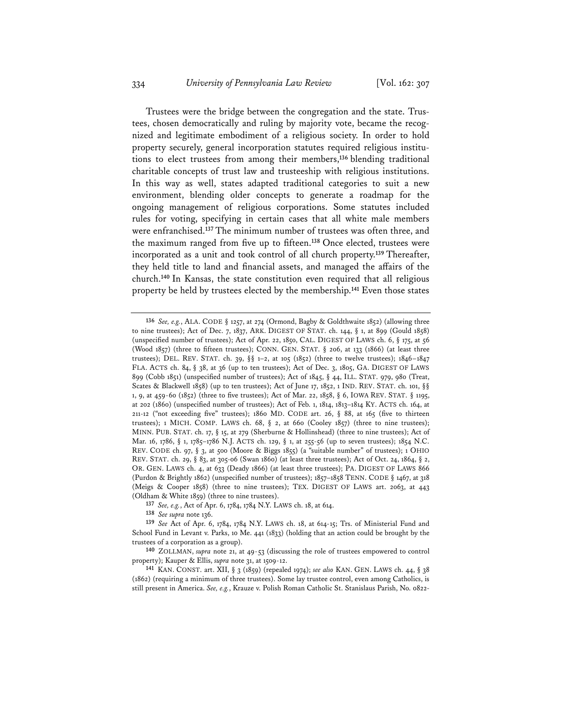Trustees were the bridge between the congregation and the state. Trustees, chosen democratically and ruling by majority vote, became the recognized and legitimate embodiment of a religious society. In order to hold property securely, general incorporation statutes required religious institutions to elect trustees from among their members,**<sup>136</sup>** blending traditional charitable concepts of trust law and trusteeship with religious institutions. In this way as well, states adapted traditional categories to suit a new environment, blending older concepts to generate a roadmap for the ongoing management of religious corporations. Some statutes included rules for voting, specifying in certain cases that all white male members were enfranchised.**<sup>137</sup>** The minimum number of trustees was often three, and the maximum ranged from five up to fifteen.**<sup>138</sup>** Once elected, trustees were incorporated as a unit and took control of all church property.**<sup>139</sup>** Thereafter, they held title to land and financial assets, and managed the affairs of the church.**<sup>140</sup>** In Kansas, the state constitution even required that all religious property be held by trustees elected by the membership.**<sup>141</sup>** Even those states

**<sup>136</sup>** *See, e.g.*, ALA. CODE § 1257, at 274 (Ormond, Bagby & Goldthwaite 1852) (allowing three to nine trustees); Act of Dec. 7, 1837, ARK. DIGEST OF STAT. ch. 144,  $\S$  1, at 899 (Gould 1858) (unspecified number of trustees); Act of Apr. 22, 1850, CAL. DIGEST OF LAWS ch. 6, § 175, at 56 (Wood 1857) (three to fifteen trustees); CONN. GEN. STAT. § 206, at 133 (1866) (at least three trustees); DEL. REV. STAT. ch. 39, §§ 1–2, at 105 (1852) (three to twelve trustees); 1846–1847 FLA. ACTS ch. 84, § 38, at 36 (up to ten trustees); Act of Dec. 3, 1805, GA. DIGEST OF LAWS 899 (Cobb 1851) (unspecified number of trustees); Act of 1845, § 44, ILL. STAT. 979, 980 (Treat, Scates & Blackwell 1858) (up to ten trustees); Act of June 17, 1852, 1 IND. REV. STAT. ch. 101, §§ 1, 9, at 459-60 (1852) (three to five trustees); Act of Mar. 22, 1858, § 6, IOWA REV. STAT. § 1195, at 202 (1860) (unspecified number of trustees); Act of Feb. 1, 1814, 1813–1814 KY. ACTS ch. 164, at 211-12 ("not exceeding five" trustees); 1860 MD. CODE art. 26,  $\S$  88, at 165 (five to thirteen trustees); 1 MICH. COMP. LAWS ch. 68, § 2, at 660 (Cooley 1857) (three to nine trustees); MINN. PUB. STAT. ch. 17, § 15, at 279 (Sherburne & Hollinshead) (three to nine trustees); Act of Mar. 16, 1786, § 1, 1785–1786 N.J. ACTS ch. 129, § 1, at 255-56 (up to seven trustees); 1854 N.C. REV. CODE ch. 97, § 3, at 500 (Moore & Biggs 1855) (a "suitable number" of trustees); 1 OHIO REV. STAT. ch. 29, § 83, at 305-06 (Swan 1860) (at least three trustees); Act of Oct. 24, 1864, § 2, OR. GEN. LAWS ch. 4, at 633 (Deady 1866) (at least three trustees); PA. DIGEST OF LAWS 866 (Purdon & Brightly 1862) (unspecified number of trustees); 1857–1858 TENN. CODE § 1467, at 318 (Meigs & Cooper 1858) (three to nine trustees); TEX. DIGEST OF LAWS art. 2063, at 443 (Oldham & White 1859) (three to nine trustees).

**<sup>137</sup>** *See, e.g.*, Act of Apr. 6, 1784, 1784 N.Y. LAWS ch. 18, at 614.

**<sup>138</sup>** *See supra* note 136.

**<sup>139</sup>** *See* Act of Apr. 6, 1784, 1784 N.Y. LAWS ch. 18, at 614-15; Trs. of Ministerial Fund and School Fund in Levant v. Parks, 10 Me. 441 (1833) (holding that an action could be brought by the trustees of a corporation as a group).

**<sup>140</sup>** ZOLLMAN, *supra* note 21, at 49-53 (discussing the role of trustees empowered to control property); Kauper & Ellis, *supra* note 31, at 1509-12.

**<sup>141</sup>** KAN. CONST. art. XII, § 3 (1859) (repealed 1974); *see also* KAN. GEN. LAWS ch. 44, § 38 (1862) (requiring a minimum of three trustees). Some lay trustee control, even among Catholics, is still present in America. *See, e.g.*, Krauze v. Polish Roman Catholic St. Stanislaus Parish, No. 0822-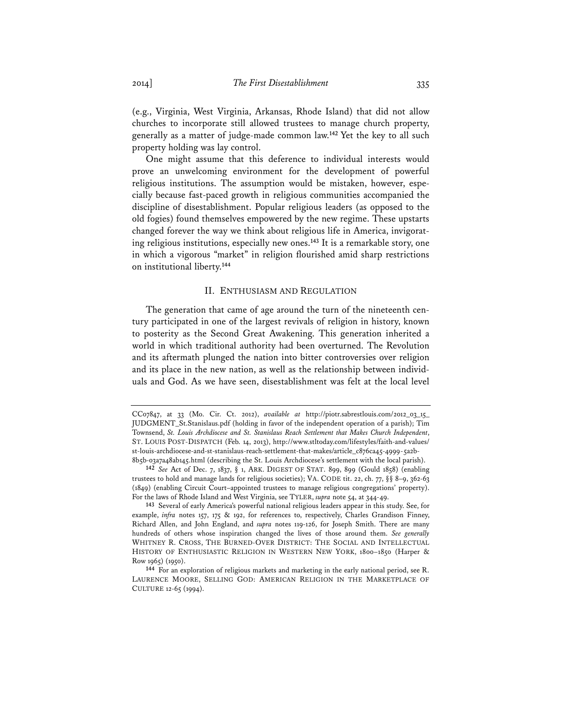(e.g., Virginia, West Virginia, Arkansas, Rhode Island) that did not allow churches to incorporate still allowed trustees to manage church property, generally as a matter of judge-made common law.**<sup>142</sup>** Yet the key to all such property holding was lay control.

One might assume that this deference to individual interests would prove an unwelcoming environment for the development of powerful religious institutions. The assumption would be mistaken, however, especially because fast-paced growth in religious communities accompanied the discipline of disestablishment. Popular religious leaders (as opposed to the old fogies) found themselves empowered by the new regime. These upstarts changed forever the way we think about religious life in America, invigorating religious institutions, especially new ones.**<sup>143</sup>** It is a remarkable story, one in which a vigorous "market" in religion flourished amid sharp restrictions on institutional liberty.**<sup>144</sup>**

# II. ENTHUSIASM AND REGULATION

The generation that came of age around the turn of the nineteenth century participated in one of the largest revivals of religion in history, known to posterity as the Second Great Awakening. This generation inherited a world in which traditional authority had been overturned. The Revolution and its aftermath plunged the nation into bitter controversies over religion and its place in the new nation, as well as the relationship between individuals and God. As we have seen, disestablishment was felt at the local level

CC07847, at 33 (Mo. Cir. Ct. 2012), *available at* http://piotr.sabrestlouis.com/2012\_03\_15\_ JUDGMENT\_St.Stanislaus.pdf (holding in favor of the independent operation of a parish); Tim Townsend, *St. Louis Archdiocese and St. Stanislaus Reach Settlement that Makes Church Independent*, ST. LOUIS POST-DISPATCH (Feb. 14, 2013), http://www.stltoday.com/lifestyles/faith-and-values/ st-louis-archdiocese-and-st-stanislaus-reach-settlement-that-makes/article\_c876ca45-4999-5a2b-8b5b-03a7a48ab145.html (describing the St. Louis Archdiocese's settlement with the local parish).

**<sup>142</sup>** *See* Act of Dec. 7, 1837, § 1, ARK. DIGEST OF STAT. 899, 899 (Gould 1858) (enabling trustees to hold and manage lands for religious societies); VA. CODE tit. 22, ch. 77, §§ 8–9, 362-63 (1849) (enabling Circuit Court–appointed trustees to manage religious congregations' property). For the laws of Rhode Island and West Virginia, see TYLER, *supra* note 54, at 344-49.

**<sup>143</sup>** Several of early America's powerful national religious leaders appear in this study. See, for example, *infra* notes 157, 175 & 192, for references to, respectively, Charles Grandison Finney, Richard Allen, and John England, and *supra* notes 119-126, for Joseph Smith. There are many hundreds of others whose inspiration changed the lives of those around them. *See generally* WHITNEY R. CROSS, THE BURNED-OVER DISTRICT: THE SOCIAL AND INTELLECTUAL HISTORY OF ENTHUSIASTIC RELIGION IN WESTERN NEW YORK, 1800–1850 (Harper & Row 1965) (1950).

**<sup>144</sup>** For an exploration of religious markets and marketing in the early national period, see R. LAURENCE MOORE, SELLING GOD: AMERICAN RELIGION IN THE MARKETPLACE OF CULTURE 12-65 (1994).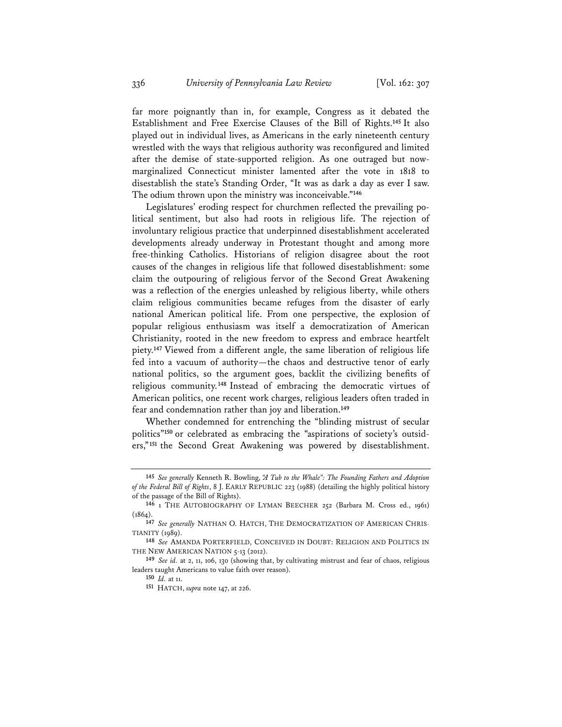far more poignantly than in, for example, Congress as it debated the Establishment and Free Exercise Clauses of the Bill of Rights.**<sup>145</sup>** It also played out in individual lives, as Americans in the early nineteenth century wrestled with the ways that religious authority was reconfigured and limited after the demise of state-supported religion. As one outraged but nowmarginalized Connecticut minister lamented after the vote in 1818 to disestablish the state's Standing Order, "It was as dark a day as ever I saw. The odium thrown upon the ministry was inconceivable."**<sup>146</sup>**

Legislatures' eroding respect for churchmen reflected the prevailing political sentiment, but also had roots in religious life. The rejection of involuntary religious practice that underpinned disestablishment accelerated developments already underway in Protestant thought and among more free-thinking Catholics. Historians of religion disagree about the root causes of the changes in religious life that followed disestablishment: some claim the outpouring of religious fervor of the Second Great Awakening was a reflection of the energies unleashed by religious liberty, while others claim religious communities became refuges from the disaster of early national American political life. From one perspective, the explosion of popular religious enthusiasm was itself a democratization of American Christianity, rooted in the new freedom to express and embrace heartfelt piety.**<sup>147</sup>** Viewed from a different angle, the same liberation of religious life fed into a vacuum of authority—the chaos and destructive tenor of early national politics, so the argument goes, backlit the civilizing benefits of religious community.**<sup>148</sup>** Instead of embracing the democratic virtues of American politics, one recent work charges, religious leaders often traded in fear and condemnation rather than joy and liberation.**<sup>149</sup>**

Whether condemned for entrenching the "blinding mistrust of secular politics"**150** or celebrated as embracing the "aspirations of society's outsiders,"**<sup>151</sup>** the Second Great Awakening was powered by disestablishment.

**<sup>145</sup>** *See generally* Kenneth R. Bowling, *"A Tub to the Whale": The Founding Fathers and Adoption of the Federal Bill of Rights*, 8 J. EARLY REPUBLIC 223 (1988) (detailing the highly political history of the passage of the Bill of Rights).

**<sup>146</sup>** 1 THE AUTOBIOGRAPHY OF LYMAN BEECHER 252 (Barbara M. Cross ed., 1961) (1864).

**<sup>147</sup>** *See generally* NATHAN O. HATCH, THE DEMOCRATIZATION OF AMERICAN CHRIS-TIANITY (1989).

**<sup>148</sup>** *See* AMANDA PORTERFIELD, CONCEIVED IN DOUBT: RELIGION AND POLITICS IN THE NEW AMERICAN NATION 5-13 (2012).

**<sup>149</sup>** *See id.* at 2, 11, 106, 130 (showing that, by cultivating mistrust and fear of chaos, religious leaders taught Americans to value faith over reason).

**<sup>150</sup>** *Id.* at 11.

**<sup>151</sup>** HATCH, *supra* note 147, at 226.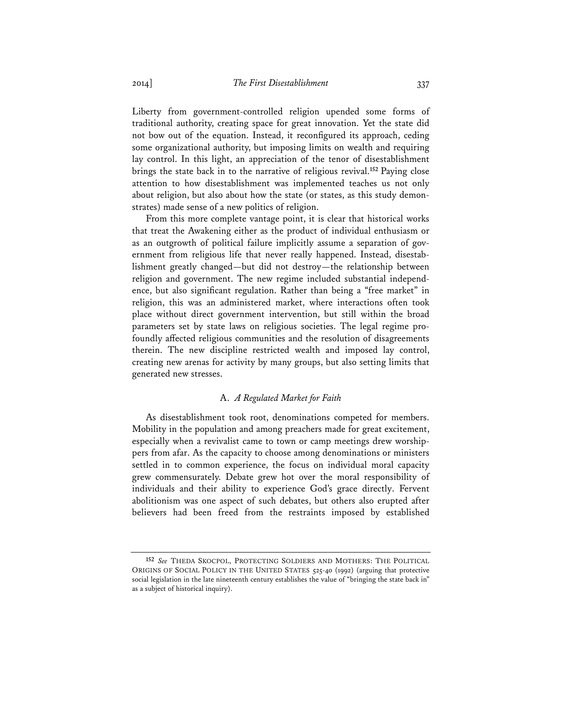Liberty from government-controlled religion upended some forms of traditional authority, creating space for great innovation. Yet the state did not bow out of the equation. Instead, it reconfigured its approach, ceding some organizational authority, but imposing limits on wealth and requiring lay control. In this light, an appreciation of the tenor of disestablishment brings the state back in to the narrative of religious revival.**<sup>152</sup>** Paying close attention to how disestablishment was implemented teaches us not only about religion, but also about how the state (or states, as this study demonstrates) made sense of a new politics of religion.

From this more complete vantage point, it is clear that historical works that treat the Awakening either as the product of individual enthusiasm or as an outgrowth of political failure implicitly assume a separation of government from religious life that never really happened. Instead, disestablishment greatly changed—but did not destroy—the relationship between religion and government. The new regime included substantial independence, but also significant regulation. Rather than being a "free market" in religion, this was an administered market, where interactions often took place without direct government intervention, but still within the broad parameters set by state laws on religious societies. The legal regime profoundly affected religious communities and the resolution of disagreements therein. The new discipline restricted wealth and imposed lay control, creating new arenas for activity by many groups, but also setting limits that generated new stresses.

# A. *A Regulated Market for Faith*

As disestablishment took root, denominations competed for members. Mobility in the population and among preachers made for great excitement, especially when a revivalist came to town or camp meetings drew worshippers from afar. As the capacity to choose among denominations or ministers settled in to common experience, the focus on individual moral capacity grew commensurately. Debate grew hot over the moral responsibility of individuals and their ability to experience God's grace directly. Fervent abolitionism was one aspect of such debates, but others also erupted after believers had been freed from the restraints imposed by established

**<sup>152</sup>** *See* THEDA SKOCPOL, PROTECTING SOLDIERS AND MOTHERS: THE POLITICAL ORIGINS OF SOCIAL POLICY IN THE UNITED STATES 525-40 (1992) (arguing that protective social legislation in the late nineteenth century establishes the value of "bringing the state back in" as a subject of historical inquiry).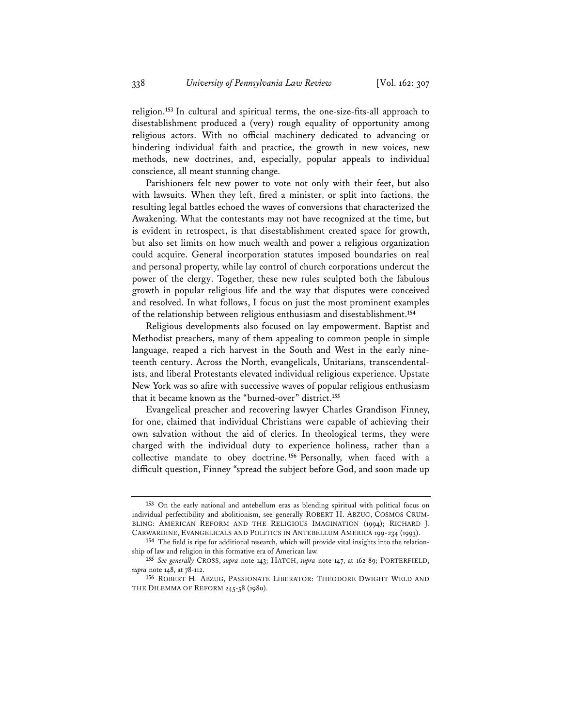religion.**<sup>153</sup>** In cultural and spiritual terms, the one-size-fits-all approach to disestablishment produced a (very) rough equality of opportunity among religious actors. With no official machinery dedicated to advancing or hindering individual faith and practice, the growth in new voices, new methods, new doctrines, and, especially, popular appeals to individual conscience, all meant stunning change.

Parishioners felt new power to vote not only with their feet, but also with lawsuits. When they left, fired a minister, or split into factions, the resulting legal battles echoed the waves of conversions that characterized the Awakening. What the contestants may not have recognized at the time, but is evident in retrospect, is that disestablishment created space for growth, but also set limits on how much wealth and power a religious organization could acquire. General incorporation statutes imposed boundaries on real and personal property, while lay control of church corporations undercut the power of the clergy. Together, these new rules sculpted both the fabulous growth in popular religious life and the way that disputes were conceived and resolved. In what follows, I focus on just the most prominent examples of the relationship between religious enthusiasm and disestablishment.**<sup>154</sup>**

Religious developments also focused on lay empowerment. Baptist and Methodist preachers, many of them appealing to common people in simple language, reaped a rich harvest in the South and West in the early nineteenth century. Across the North, evangelicals, Unitarians, transcendentalists, and liberal Protestants elevated individual religious experience. Upstate New York was so afire with successive waves of popular religious enthusiasm that it became known as the "burned-over" district.**<sup>155</sup>**

Evangelical preacher and recovering lawyer Charles Grandison Finney, for one, claimed that individual Christians were capable of achieving their own salvation without the aid of clerics. In theological terms, they were charged with the individual duty to experience holiness, rather than a collective mandate to obey doctrine. **<sup>156</sup>** Personally, when faced with a difficult question, Finney "spread the subject before God, and soon made up

**<sup>153</sup>** On the early national and antebellum eras as blending spiritual with political focus on individual perfectibility and abolitionism, see generally ROBERT H. ABZUG, COSMOS CRUM-BLING: AMERICAN REFORM AND THE RELIGIOUS IMAGINATION (1994); RICHARD J. CARWARDINE, EVANGELICALS AND POLITICS IN ANTEBELLUM AMERICA 199-234 (1993).

**<sup>154</sup>** The field is ripe for additional research, which will provide vital insights into the relationship of law and religion in this formative era of American law.

**<sup>155</sup>** *See generally* CROSS, *supra* note 143; HATCH, *supra* note 147, at 162-89; PORTERFIELD, *supra* note 148, at 78-112.

**<sup>156</sup>** ROBERT H. ABZUG, PASSIONATE LIBERATOR: THEODORE DWIGHT WELD AND THE DILEMMA OF REFORM 245-58 (1980).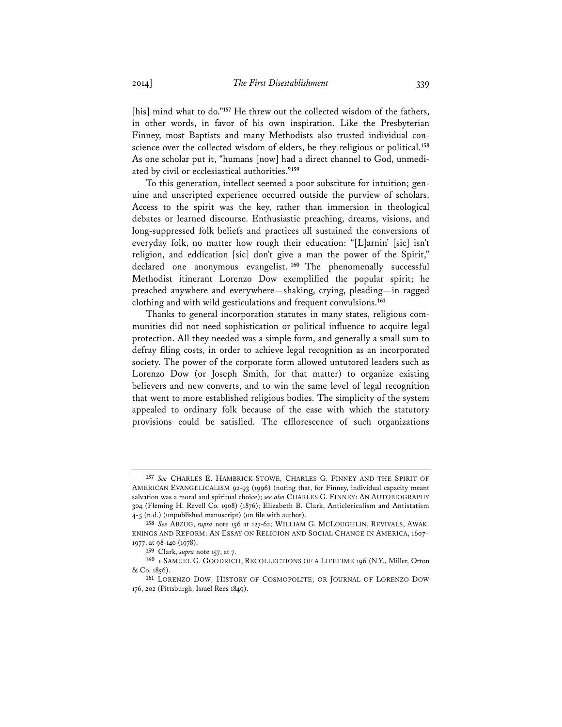[his] mind what to do."<sup>157</sup> He threw out the collected wisdom of the fathers, in other words, in favor of his own inspiration. Like the Presbyterian Finney, most Baptists and many Methodists also trusted individual conscience over the collected wisdom of elders, be they religious or political.**<sup>158</sup>** As one scholar put it, "humans [now] had a direct channel to God, unmediated by civil or ecclesiastical authorities."**<sup>159</sup>**

To this generation, intellect seemed a poor substitute for intuition; genuine and unscripted experience occurred outside the purview of scholars. Access to the spirit was the key, rather than immersion in theological debates or learned discourse. Enthusiastic preaching, dreams, visions, and long-suppressed folk beliefs and practices all sustained the conversions of everyday folk, no matter how rough their education: "[L]arnin' [sic] isn't religion, and eddication [sic] don't give a man the power of the Spirit," declared one anonymous evangelist. **<sup>160</sup>** The phenomenally successful Methodist itinerant Lorenzo Dow exemplified the popular spirit; he preached anywhere and everywhere—shaking, crying, pleading—in ragged clothing and with wild gesticulations and frequent convulsions.**<sup>161</sup>**

Thanks to general incorporation statutes in many states, religious communities did not need sophistication or political influence to acquire legal protection. All they needed was a simple form, and generally a small sum to defray filing costs, in order to achieve legal recognition as an incorporated society. The power of the corporate form allowed untutored leaders such as Lorenzo Dow (or Joseph Smith, for that matter) to organize existing believers and new converts, and to win the same level of legal recognition that went to more established religious bodies. The simplicity of the system appealed to ordinary folk because of the ease with which the statutory provisions could be satisfied. The efflorescence of such organizations

**<sup>157</sup>** *See* CHARLES E. HAMBRICK-STOWE, CHARLES G. FINNEY AND THE SPIRIT OF AMERICAN EVANGELICALISM 92-93 (1996) (noting that, for Finney, individual capacity meant salvation was a moral and spiritual choice); *see also* CHARLES G. FINNEY: AN AUTOBIOGRAPHY 304 (Fleming H. Revell Co. 1908) (1876); Elizabeth B. Clark, Anticlericalism and Antistatism 4-5 (n.d.) (unpublished manuscript) (on file with author).

**<sup>158</sup>** *See* ABZUG, *supra* note 156 at 127-62; WILLIAM G. MCLOUGHLIN, REVIVALS, AWAK-ENINGS AND REFORM: AN ESSAY ON RELIGION AND SOCIAL CHANGE IN AMERICA, 1607– 1977, at 98-140 (1978).

**<sup>159</sup>** Clark, *supra* note 157, at 7.

**<sup>160</sup>** 1 SAMUEL G. GOODRICH, RECOLLECTIONS OF A LIFETIME 196 (N.Y., Miller, Orton & Co. 1856).

**<sup>161</sup>** LORENZO DOW, HISTORY OF COSMOPOLITE; OR JOURNAL OF LORENZO DOW 176, 202 (Pittsburgh, Israel Rees 1849).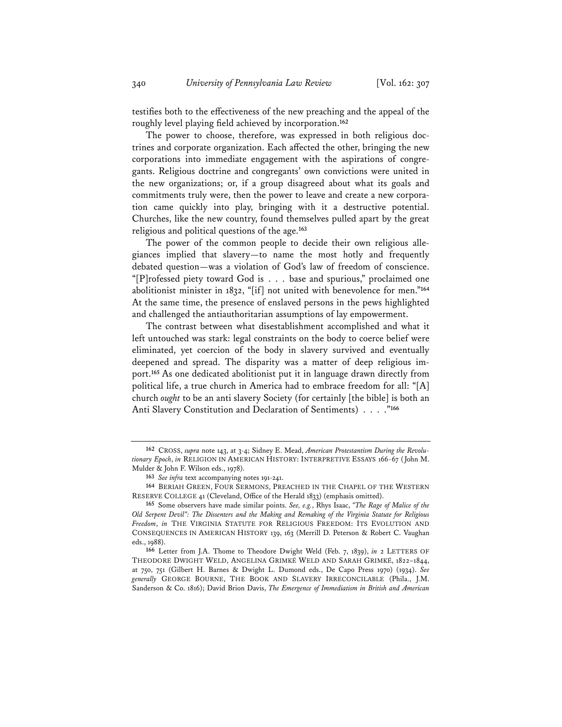testifies both to the effectiveness of the new preaching and the appeal of the roughly level playing field achieved by incorporation.**<sup>162</sup>**

The power to choose, therefore, was expressed in both religious doctrines and corporate organization. Each affected the other, bringing the new corporations into immediate engagement with the aspirations of congregants. Religious doctrine and congregants' own convictions were united in the new organizations; or, if a group disagreed about what its goals and commitments truly were, then the power to leave and create a new corporation came quickly into play, bringing with it a destructive potential. Churches, like the new country, found themselves pulled apart by the great religious and political questions of the age.**<sup>163</sup>**

The power of the common people to decide their own religious allegiances implied that slavery—to name the most hotly and frequently debated question—was a violation of God's law of freedom of conscience. "[P]rofessed piety toward God is . . . base and spurious," proclaimed one abolitionist minister in 1832, "[if] not united with benevolence for men."**<sup>164</sup>** At the same time, the presence of enslaved persons in the pews highlighted and challenged the antiauthoritarian assumptions of lay empowerment.

The contrast between what disestablishment accomplished and what it left untouched was stark: legal constraints on the body to coerce belief were eliminated, yet coercion of the body in slavery survived and eventually deepened and spread. The disparity was a matter of deep religious import.**<sup>165</sup>** As one dedicated abolitionist put it in language drawn directly from political life, a true church in America had to embrace freedom for all: "[A] church *ought* to be an anti slavery Society (for certainly [the bible] is both an Anti Slavery Constitution and Declaration of Sentiments) . . . ."**<sup>166</sup>**

**<sup>162</sup>** CROSS, *supra* note 143, at 3-4; Sidney E. Mead, *American Protestantism During the Revolutionary Epoch*, *in* RELIGION IN AMERICAN HISTORY: INTERPRETIVE ESSAYS 166-67 (John M. Mulder & John F. Wilson eds., 1978).

**<sup>163</sup>** *See infra* text accompanying notes 191-241.

**<sup>164</sup>** BERIAH GREEN, FOUR SERMONS, PREACHED IN THE CHAPEL OF THE WESTERN RESERVE COLLEGE 41 (Cleveland, Office of the Herald 1833) (emphasis omitted).

**<sup>165</sup>** Some observers have made similar points. *See, e.g.*, Rhys Isaac, *"The Rage of Malice of the Old Serpent Devil": The Dissenters and the Making and Remaking of the Virginia Statute for Religious Freedom*, *in* THE VIRGINIA STATUTE FOR RELIGIOUS FREEDOM: ITS EVOLUTION AND CONSEQUENCES IN AMERICAN HISTORY 139, 163 (Merrill D. Peterson & Robert C. Vaughan eds., 1988).

**<sup>166</sup>** Letter from J.A. Thome to Theodore Dwight Weld (Feb. 7, 1839), *in* 2 LETTERS OF THEODORE DWIGHT WELD, ANGELINA GRIMKÉ WELD AND SARAH GRIMKÉ, 1822–1844, at 750, 751 (Gilbert H. Barnes & Dwight L. Dumond eds., De Capo Press 1970) (1934). *See generally* GEORGE BOURNE, THE BOOK AND SLAVERY IRRECONCILABLE (Phila., J.M. Sanderson & Co. 1816); David Brion Davis, *The Emergence of Immediatism in British and American*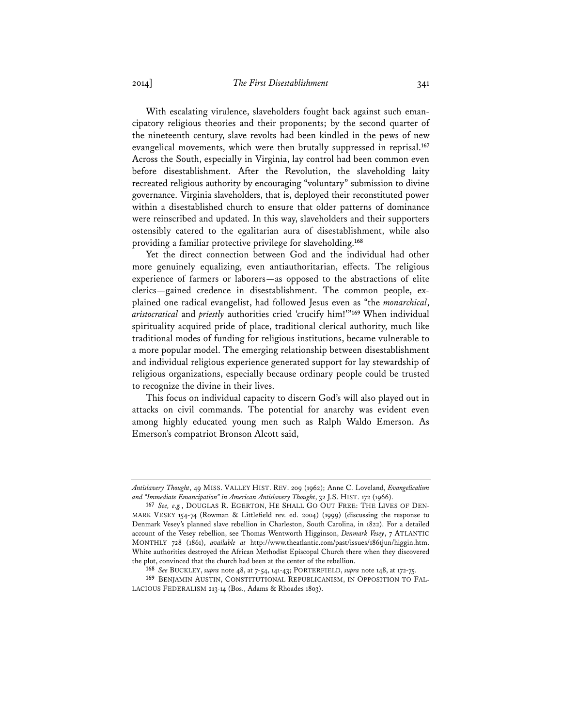With escalating virulence, slaveholders fought back against such emancipatory religious theories and their proponents; by the second quarter of the nineteenth century, slave revolts had been kindled in the pews of new evangelical movements, which were then brutally suppressed in reprisal.**<sup>167</sup>** Across the South, especially in Virginia, lay control had been common even before disestablishment. After the Revolution, the slaveholding laity recreated religious authority by encouraging "voluntary" submission to divine governance. Virginia slaveholders, that is, deployed their reconstituted power within a disestablished church to ensure that older patterns of dominance were reinscribed and updated. In this way, slaveholders and their supporters ostensibly catered to the egalitarian aura of disestablishment, while also providing a familiar protective privilege for slaveholding.**<sup>168</sup>**

Yet the direct connection between God and the individual had other more genuinely equalizing, even antiauthoritarian, effects. The religious experience of farmers or laborers—as opposed to the abstractions of elite clerics—gained credence in disestablishment. The common people, explained one radical evangelist, had followed Jesus even as "the *monarchical*, *aristocratical* and *priestly* authorities cried 'crucify him!'"**<sup>169</sup>** When individual spirituality acquired pride of place, traditional clerical authority, much like traditional modes of funding for religious institutions, became vulnerable to a more popular model. The emerging relationship between disestablishment and individual religious experience generated support for lay stewardship of religious organizations, especially because ordinary people could be trusted to recognize the divine in their lives.

This focus on individual capacity to discern God's will also played out in attacks on civil commands. The potential for anarchy was evident even among highly educated young men such as Ralph Waldo Emerson. As Emerson's compatriot Bronson Alcott said,

*Antislavery Thought*, 49 MISS. VALLEY HIST. REV. 209 (1962); Anne C. Loveland, *Evangelicalism and "Immediate Emancipation" in American Antislavery Thought*, 32 J.S. HIST. 172 (1966).

**<sup>167</sup>** *See, e.g.*, DOUGLAS R. EGERTON, HE SHALL GO OUT FREE: THE LIVES OF DEN-MARK VESEY 154-74 (Rowman & Littlefield rev. ed. 2004) (1999) (discussing the response to Denmark Vesey's planned slave rebellion in Charleston, South Carolina, in 1822). For a detailed account of the Vesey rebellion, see Thomas Wentworth Higginson, *Denmark Vesey*, 7 ATLANTIC MONTHLY 728 (1861), *available at* http://www.theatlantic.com/past/issues/1861jun/higgin.htm. White authorities destroyed the African Methodist Episcopal Church there when they discovered the plot, convinced that the church had been at the center of the rebellion.

**<sup>168</sup>** *See* BUCKLEY, *supra* note 48, at 7-54, 141-43; PORTERFIELD, *supra* note 148, at 172-75.

**<sup>169</sup>** BENJAMIN AUSTIN, CONSTITUTIONAL REPUBLICANISM, IN OPPOSITION TO FAL-LACIOUS FEDERALISM 213-14 (Bos., Adams & Rhoades 1803).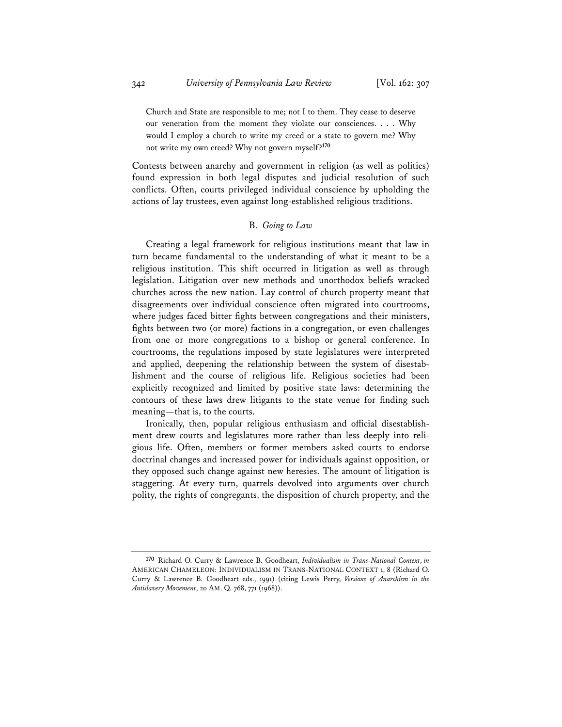Church and State are responsible to me; not I to them. They cease to deserve our veneration from the moment they violate our consciences. . . . Why would I employ a church to write my creed or a state to govern me? Why not write my own creed? Why not govern myself?**<sup>170</sup>**

Contests between anarchy and government in religion (as well as politics) found expression in both legal disputes and judicial resolution of such conflicts. Often, courts privileged individual conscience by upholding the actions of lay trustees, even against long-established religious traditions.

# B. *Going to Law*

Creating a legal framework for religious institutions meant that law in turn became fundamental to the understanding of what it meant to be a religious institution. This shift occurred in litigation as well as through legislation. Litigation over new methods and unorthodox beliefs wracked churches across the new nation. Lay control of church property meant that disagreements over individual conscience often migrated into courtrooms, where judges faced bitter fights between congregations and their ministers, fights between two (or more) factions in a congregation, or even challenges from one or more congregations to a bishop or general conference. In courtrooms, the regulations imposed by state legislatures were interpreted and applied, deepening the relationship between the system of disestablishment and the course of religious life. Religious societies had been explicitly recognized and limited by positive state laws: determining the contours of these laws drew litigants to the state venue for finding such meaning—that is, to the courts.

Ironically, then, popular religious enthusiasm and official disestablishment drew courts and legislatures more rather than less deeply into religious life. Often, members or former members asked courts to endorse doctrinal changes and increased power for individuals against opposition, or they opposed such change against new heresies. The amount of litigation is staggering. At every turn, quarrels devolved into arguments over church polity, the rights of congregants, the disposition of church property, and the

**<sup>170</sup>** Richard O. Curry & Lawrence B. Goodheart, *Individualism in Trans-National Context*, *in* AMERICAN CHAMELEON: INDIVIDUALISM IN TRANS-NATIONAL CONTEXT 1, 8 (Richard O. Curry & Lawrence B. Goodheart eds., 1991) (citing Lewis Perry, *Versions of Anarchism in the Antislavery Movement*, 20 AM. Q. 768, 771 (1968)).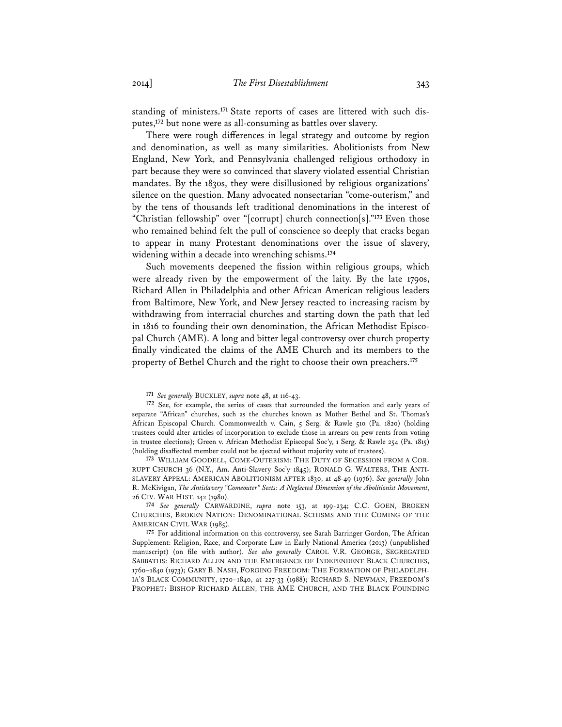standing of ministers.**171** State reports of cases are littered with such disputes,**<sup>172</sup>** but none were as all-consuming as battles over slavery.

There were rough differences in legal strategy and outcome by region and denomination, as well as many similarities. Abolitionists from New England, New York, and Pennsylvania challenged religious orthodoxy in part because they were so convinced that slavery violated essential Christian mandates. By the 1830s, they were disillusioned by religious organizations' silence on the question. Many advocated nonsectarian "come-outerism," and by the tens of thousands left traditional denominations in the interest of "Christian fellowship" over "[corrupt] church connection[s]."**<sup>173</sup>** Even those who remained behind felt the pull of conscience so deeply that cracks began to appear in many Protestant denominations over the issue of slavery, widening within a decade into wrenching schisms.**<sup>174</sup>**

Such movements deepened the fission within religious groups, which were already riven by the empowerment of the laity. By the late 1790s, Richard Allen in Philadelphia and other African American religious leaders from Baltimore, New York, and New Jersey reacted to increasing racism by withdrawing from interracial churches and starting down the path that led in 1816 to founding their own denomination, the African Methodist Episcopal Church (AME). A long and bitter legal controversy over church property finally vindicated the claims of the AME Church and its members to the property of Bethel Church and the right to choose their own preachers.**<sup>175</sup>**

**<sup>171</sup>** *See generally* BUCKLEY, *supra* note 48, at 116-43.

**<sup>172</sup>** See, for example, the series of cases that surrounded the formation and early years of separate "African" churches, such as the churches known as Mother Bethel and St. Thomas's African Episcopal Church. Commonwealth v. Cain, 5 Serg. & Rawle 510 (Pa. 1820) (holding trustees could alter articles of incorporation to exclude those in arrears on pew rents from voting in trustee elections); Green v. African Methodist Episcopal Soc'y, 1 Serg. & Rawle 254 (Pa. 1815) (holding disaffected member could not be ejected without majority vote of trustees).

**<sup>173</sup>** WILLIAM GOODELL, COME-OUTERISM: THE DUTY OF SECESSION FROM A COR-RUPT CHURCH 36 (N.Y., Am. Anti-Slavery Soc'y 1845); RONALD G. WALTERS, THE ANTI-SLAVERY APPEAL: AMERICAN ABOLITIONISM AFTER 1830, at 48-49 (1976). *See generally* John R. McKivigan, *The Antislavery "Comeouter" Sects: A Neglected Dimension of the Abolitionist Movement*, 26 CIV. WAR HIST. 142 (1980).

**<sup>174</sup>** *See generally* CARWARDINE, *supra* note 153, at 199-234; C.C. GOEN, BROKEN CHURCHES, BROKEN NATION: DENOMINATIONAL SCHISMS AND THE COMING OF THE AMERICAN CIVIL WAR (1985).

**<sup>175</sup>** For additional information on this controversy, see Sarah Barringer Gordon, The African Supplement: Religion, Race, and Corporate Law in Early National America (2013) (unpublished manuscript) (on file with author). *See also generally* CAROL V.R. GEORGE, SEGREGATED SABBATHS: RICHARD ALLEN AND THE EMERGENCE OF INDEPENDENT BLACK CHURCHES, 1760–1840 (1973); GARY B. NASH, FORGING FREEDOM: THE FORMATION OF PHILADELPH-IA'S BLACK COMMUNITY, 1720–1840, at 227-33 (1988); RICHARD S. NEWMAN, FREEDOM'S PROPHET: BISHOP RICHARD ALLEN, THE AME CHURCH, AND THE BLACK FOUNDING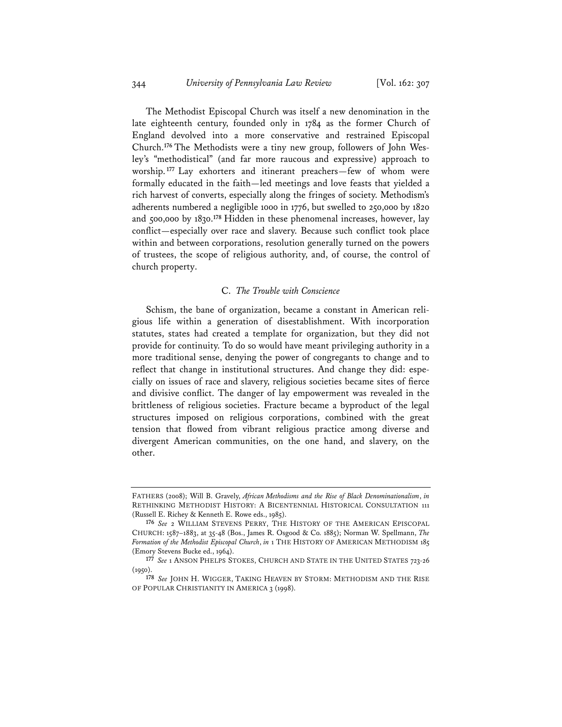The Methodist Episcopal Church was itself a new denomination in the late eighteenth century, founded only in 1784 as the former Church of England devolved into a more conservative and restrained Episcopal Church.**176** The Methodists were a tiny new group, followers of John Wesley's "methodistical" (and far more raucous and expressive) approach to worship.**<sup>177</sup>** Lay exhorters and itinerant preachers—few of whom were formally educated in the faith—led meetings and love feasts that yielded a rich harvest of converts, especially along the fringes of society. Methodism's adherents numbered a negligible 1000 in 1776, but swelled to 250,000 by 1820 and 500,000 by 1830.**<sup>178</sup>** Hidden in these phenomenal increases, however, lay conflict—especially over race and slavery. Because such conflict took place within and between corporations, resolution generally turned on the powers of trustees, the scope of religious authority, and, of course, the control of church property.

#### C. *The Trouble with Conscience*

Schism, the bane of organization, became a constant in American religious life within a generation of disestablishment. With incorporation statutes, states had created a template for organization, but they did not provide for continuity. To do so would have meant privileging authority in a more traditional sense, denying the power of congregants to change and to reflect that change in institutional structures. And change they did: especially on issues of race and slavery, religious societies became sites of fierce and divisive conflict. The danger of lay empowerment was revealed in the brittleness of religious societies. Fracture became a byproduct of the legal structures imposed on religious corporations, combined with the great tension that flowed from vibrant religious practice among diverse and divergent American communities, on the one hand, and slavery, on the other.

FATHERS (2008); Will B. Gravely, *African Methodisms and the Rise of Black Denominationalism*, *in* RETHINKING METHODIST HISTORY: A BICENTENNIAL HISTORICAL CONSULTATION 111 (Russell E. Richey & Kenneth E. Rowe eds., 1985).

**<sup>176</sup>** *See* 2 WILLIAM STEVENS PERRY, THE HISTORY OF THE AMERICAN EPISCOPAL CHURCH: 1587–1883, at 35-48 (Bos., James R. Osgood & Co. 1885); Norman W. Spellmann, *The Formation of the Methodist Episcopal Church*, *in* 1 THE HISTORY OF AMERICAN METHODISM 185 (Emory Stevens Bucke ed., 1964).

**<sup>177</sup>** *See* 1 ANSON PHELPS STOKES, CHURCH AND STATE IN THE UNITED STATES 723-26 (1950).

**<sup>178</sup>** *See* JOHN H. WIGGER, TAKING HEAVEN BY STORM: METHODISM AND THE RISE OF POPULAR CHRISTIANITY IN AMERICA 3 (1998).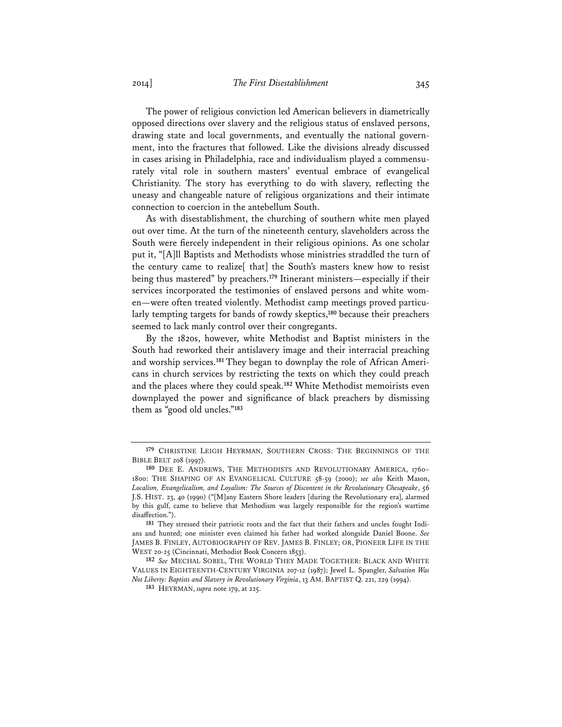The power of religious conviction led American believers in diametrically opposed directions over slavery and the religious status of enslaved persons, drawing state and local governments, and eventually the national government, into the fractures that followed. Like the divisions already discussed in cases arising in Philadelphia, race and individualism played a commensurately vital role in southern masters' eventual embrace of evangelical Christianity. The story has everything to do with slavery, reflecting the uneasy and changeable nature of religious organizations and their intimate connection to coercion in the antebellum South.

As with disestablishment, the churching of southern white men played out over time. At the turn of the nineteenth century, slaveholders across the South were fiercely independent in their religious opinions. As one scholar put it, "[A]ll Baptists and Methodists whose ministries straddled the turn of the century came to realize[ that] the South's masters knew how to resist being thus mastered" by preachers.**<sup>179</sup>** Itinerant ministers—especially if their services incorporated the testimonies of enslaved persons and white women—were often treated violently. Methodist camp meetings proved particularly tempting targets for bands of rowdy skeptics,**<sup>180</sup>** because their preachers seemed to lack manly control over their congregants.

By the 1820s, however, white Methodist and Baptist ministers in the South had reworked their antislavery image and their interracial preaching and worship services.**181** They began to downplay the role of African Americans in church services by restricting the texts on which they could preach and the places where they could speak.**<sup>182</sup>** White Methodist memoirists even downplayed the power and significance of black preachers by dismissing them as "good old uncles."**<sup>183</sup>**

**<sup>179</sup>** CHRISTINE LEIGH HEYRMAN, SOUTHERN CROSS: THE BEGINNINGS OF THE BIBLE BELT 208 (1997).

**<sup>180</sup>** DEE E. ANDREWS, THE METHODISTS AND REVOLUTIONARY AMERICA, 1760– 1800: THE SHAPING OF AN EVANGELICAL CULTURE 58-59 (2000); *see also* Keith Mason, *Localism, Evangelicalism, and Loyalism: The Sources of Discontent in the Revolutionary Chesapeake*, 56 J.S. HIST. 23, 40 (1990) ("[M]any Eastern Shore leaders [during the Revolutionary era], alarmed by this gulf, came to believe that Methodism was largely responsible for the region's wartime disaffection.").

**<sup>181</sup>** They stressed their patriotic roots and the fact that their fathers and uncles fought Indians and hunted; one minister even claimed his father had worked alongside Daniel Boone. *See* JAMES B. FINLEY, AUTOBIOGRAPHY OF REV. JAMES B. FINLEY; OR, PIONEER LIFE IN THE WEST 20-25 (Cincinnati, Methodist Book Concern 1853).

**<sup>182</sup>** *See* MECHAL SOBEL, THE WORLD THEY MADE TOGETHER: BLACK AND WHITE VALUES IN EIGHTEENTH-CENTURY VIRGINIA 207-12 (1987); Jewel L. Spangler, *Salvation Was Not Liberty: Baptists and Slavery in Revolutionary Virginia*, 13 AM. BAPTIST Q. 221, 229 (1994).

**<sup>183</sup>** HEYRMAN, *supra* note 179, at 225.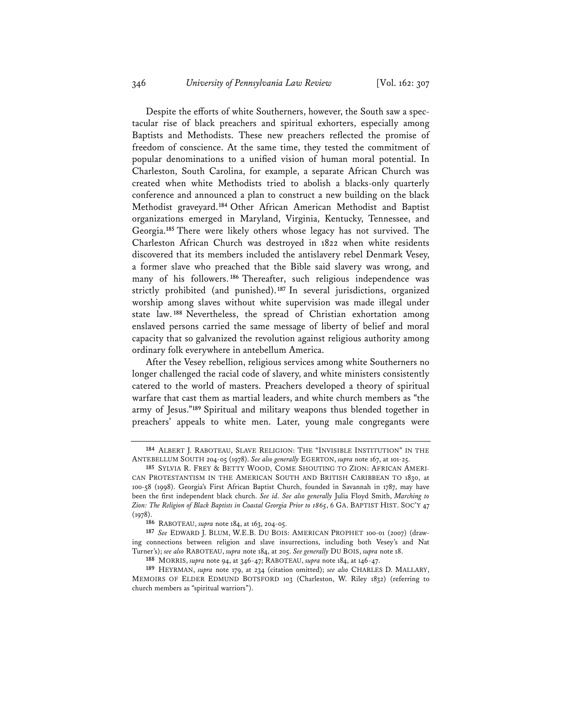Despite the efforts of white Southerners, however, the South saw a spectacular rise of black preachers and spiritual exhorters, especially among Baptists and Methodists. These new preachers reflected the promise of freedom of conscience. At the same time, they tested the commitment of popular denominations to a unified vision of human moral potential. In Charleston, South Carolina, for example, a separate African Church was created when white Methodists tried to abolish a blacks-only quarterly conference and announced a plan to construct a new building on the black Methodist graveyard.**<sup>184</sup>** Other African American Methodist and Baptist organizations emerged in Maryland, Virginia, Kentucky, Tennessee, and Georgia.**<sup>185</sup>** There were likely others whose legacy has not survived. The Charleston African Church was destroyed in 1822 when white residents discovered that its members included the antislavery rebel Denmark Vesey, a former slave who preached that the Bible said slavery was wrong, and many of his followers. **<sup>186</sup>** Thereafter, such religious independence was strictly prohibited (and punished).**<sup>187</sup>** In several jurisdictions, organized worship among slaves without white supervision was made illegal under state law. **<sup>188</sup>** Nevertheless, the spread of Christian exhortation among enslaved persons carried the same message of liberty of belief and moral capacity that so galvanized the revolution against religious authority among ordinary folk everywhere in antebellum America.

After the Vesey rebellion, religious services among white Southerners no longer challenged the racial code of slavery, and white ministers consistently catered to the world of masters. Preachers developed a theory of spiritual warfare that cast them as martial leaders, and white church members as "the army of Jesus."**<sup>189</sup>** Spiritual and military weapons thus blended together in preachers' appeals to white men. Later, young male congregants were

**<sup>184</sup>** ALBERT J. RABOTEAU, SLAVE RELIGION: THE "INVISIBLE INSTITUTION" IN THE ANTEBELLUM SOUTH 204-05 (1978). *See also generally* EGERTON, *supra* note 167, at 101-25.

**<sup>185</sup>** SYLVIA R. FREY & BETTY WOOD, COME SHOUTING TO ZION: AFRICAN AMERI-CAN PROTESTANTISM IN THE AMERICAN SOUTH AND BRITISH CARIBBEAN TO 1830, at 100-58 (1998). Georgia's First African Baptist Church, founded in Savannah in 1787, may have been the first independent black church. *See id. See also generally* Julia Floyd Smith, *Marching to Zion: The Religion of Black Baptists in Coastal Georgia Prior to 1865*, 6 GA. BAPTIST HIST. SOC'Y 47  $(1978)$ .

**<sup>186</sup>** RABOTEAU, *supra* note 184, at 163, 204-05.

**<sup>187</sup>** *See* EDWARD J. BLUM, W.E.B. DU BOIS: AMERICAN PROPHET 100-01 (2007) (drawing connections between religion and slave insurrections, including both Vesey's and Nat Turner's); *see also* RABOTEAU, *supra* note 184, at 205. *See generally* DU BOIS, *supra* note 18.

**<sup>188</sup>** MORRIS, *supra* note 94, at 346-47; RABOTEAU, *supra* note 184, at 146-47.

**<sup>189</sup>** HEYRMAN, *supra* note 179, at 234 (citation omitted); *see also* CHARLES D. MALLARY, MEMOIRS OF ELDER EDMUND BOTSFORD 103 (Charleston, W. Riley 1832) (referring to church members as "spiritual warriors").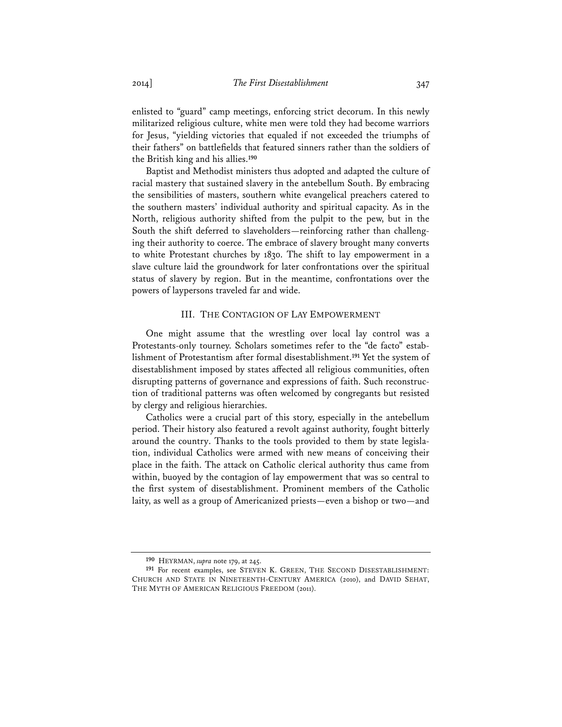enlisted to "guard" camp meetings, enforcing strict decorum. In this newly militarized religious culture, white men were told they had become warriors for Jesus, "yielding victories that equaled if not exceeded the triumphs of their fathers" on battlefields that featured sinners rather than the soldiers of the British king and his allies.**<sup>190</sup>**

Baptist and Methodist ministers thus adopted and adapted the culture of racial mastery that sustained slavery in the antebellum South. By embracing the sensibilities of masters, southern white evangelical preachers catered to the southern masters' individual authority and spiritual capacity. As in the North, religious authority shifted from the pulpit to the pew, but in the South the shift deferred to slaveholders—reinforcing rather than challenging their authority to coerce. The embrace of slavery brought many converts to white Protestant churches by 1830. The shift to lay empowerment in a slave culture laid the groundwork for later confrontations over the spiritual status of slavery by region. But in the meantime, confrontations over the powers of laypersons traveled far and wide.

#### III. THE CONTAGION OF LAY EMPOWERMENT

One might assume that the wrestling over local lay control was a Protestants-only tourney. Scholars sometimes refer to the "de facto" establishment of Protestantism after formal disestablishment.**<sup>191</sup>** Yet the system of disestablishment imposed by states affected all religious communities, often disrupting patterns of governance and expressions of faith. Such reconstruction of traditional patterns was often welcomed by congregants but resisted by clergy and religious hierarchies.

Catholics were a crucial part of this story, especially in the antebellum period. Their history also featured a revolt against authority, fought bitterly around the country. Thanks to the tools provided to them by state legislation, individual Catholics were armed with new means of conceiving their place in the faith. The attack on Catholic clerical authority thus came from within, buoyed by the contagion of lay empowerment that was so central to the first system of disestablishment. Prominent members of the Catholic laity, as well as a group of Americanized priests—even a bishop or two—and

**<sup>190</sup>** HEYRMAN, *supra* note 179, at 245.

**<sup>191</sup>** For recent examples, see STEVEN K. GREEN, THE SECOND DISESTABLISHMENT: CHURCH AND STATE IN NINETEENTH-CENTURY AMERICA (2010), and DAVID SEHAT, THE MYTH OF AMERICAN RELIGIOUS FREEDOM (2011).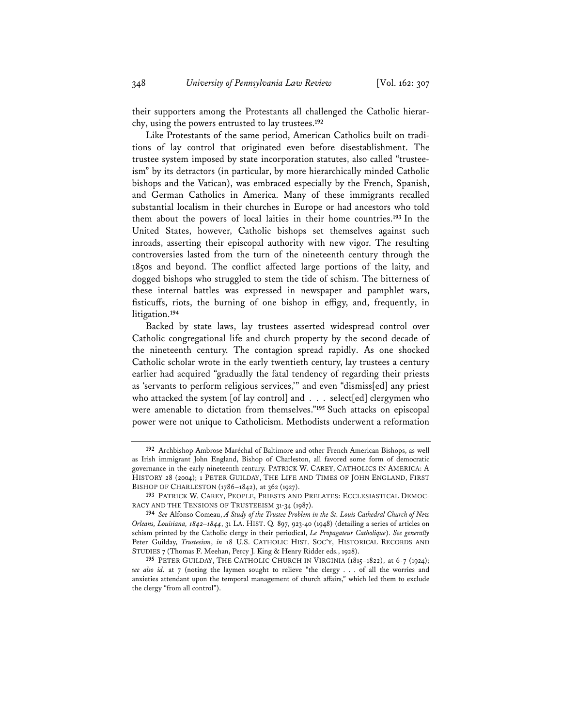their supporters among the Protestants all challenged the Catholic hierarchy, using the powers entrusted to lay trustees.**<sup>192</sup>**

Like Protestants of the same period, American Catholics built on traditions of lay control that originated even before disestablishment. The trustee system imposed by state incorporation statutes, also called "trusteeism" by its detractors (in particular, by more hierarchically minded Catholic bishops and the Vatican), was embraced especially by the French, Spanish, and German Catholics in America. Many of these immigrants recalled substantial localism in their churches in Europe or had ancestors who told them about the powers of local laities in their home countries.**<sup>193</sup>** In the United States, however, Catholic bishops set themselves against such inroads, asserting their episcopal authority with new vigor. The resulting controversies lasted from the turn of the nineteenth century through the 1850s and beyond. The conflict affected large portions of the laity, and dogged bishops who struggled to stem the tide of schism. The bitterness of these internal battles was expressed in newspaper and pamphlet wars, fisticuffs, riots, the burning of one bishop in effigy, and, frequently, in litigation.**<sup>194</sup>**

Backed by state laws, lay trustees asserted widespread control over Catholic congregational life and church property by the second decade of the nineteenth century. The contagion spread rapidly. As one shocked Catholic scholar wrote in the early twentieth century, lay trustees a century earlier had acquired "gradually the fatal tendency of regarding their priests as 'servants to perform religious services,'" and even "dismiss[ed] any priest who attacked the system [of lay control] and . . . select[ed] clergymen who were amenable to dictation from themselves."**<sup>195</sup>** Such attacks on episcopal power were not unique to Catholicism. Methodists underwent a reformation

**<sup>192</sup>** Archbishop Ambrose Maréchal of Baltimore and other French American Bishops, as well as Irish immigrant John England, Bishop of Charleston, all favored some form of democratic governance in the early nineteenth century. PATRICK W. CAREY, CATHOLICS IN AMERICA: A HISTORY 28 (2004); 1 PETER GUILDAY, THE LIFE AND TIMES OF JOHN ENGLAND, FIRST BISHOP OF CHARLESTON (1786–1842), at 362 (1927).

**<sup>193</sup>** PATRICK W. CAREY, PEOPLE, PRIESTS AND PRELATES: ECCLESIASTICAL DEMOC-RACY AND THE TENSIONS OF TRUSTEEISM 31-34 (1987).

**<sup>194</sup>** *See* Alfonso Comeau, *A Study of the Trustee Problem in the St. Louis Cathedral Church of New Orleans, Louisiana, 1842–1844*, 31 LA. HIST. Q. 897, 923-40 (1948) (detailing a series of articles on schism printed by the Catholic clergy in their periodical, *Le Propagateur Catholique*). *See generally* Peter Guilday, *Trusteeism*, *in* 18 U.S. CATHOLIC HIST. SOC'Y, HISTORICAL RECORDS AND STUDIES 7 (Thomas F. Meehan, Percy J. King & Henry Ridder eds., 1928).

**<sup>195</sup>** PETER GUILDAY, THE CATHOLIC CHURCH IN VIRGINIA (1815–1822), at 6-7 (1924); *see also id.* at 7 (noting the laymen sought to relieve "the clergy . . . of all the worries and anxieties attendant upon the temporal management of church affairs," which led them to exclude the clergy "from all control").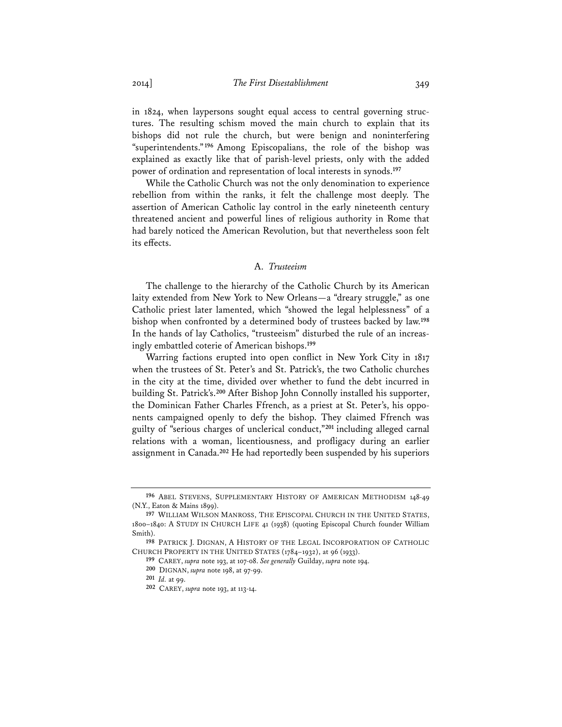in 1824, when laypersons sought equal access to central governing structures. The resulting schism moved the main church to explain that its bishops did not rule the church, but were benign and noninterfering "superintendents."**<sup>196</sup>** Among Episcopalians, the role of the bishop was explained as exactly like that of parish-level priests, only with the added power of ordination and representation of local interests in synods.**<sup>197</sup>**

While the Catholic Church was not the only denomination to experience rebellion from within the ranks, it felt the challenge most deeply. The assertion of American Catholic lay control in the early nineteenth century threatened ancient and powerful lines of religious authority in Rome that had barely noticed the American Revolution, but that nevertheless soon felt its effects.

# A. *Trusteeism*

The challenge to the hierarchy of the Catholic Church by its American laity extended from New York to New Orleans—a "dreary struggle," as one Catholic priest later lamented, which "showed the legal helplessness" of a bishop when confronted by a determined body of trustees backed by law.**<sup>198</sup>** In the hands of lay Catholics, "trusteeism" disturbed the rule of an increasingly embattled coterie of American bishops.**<sup>199</sup>**

Warring factions erupted into open conflict in New York City in 1817 when the trustees of St. Peter's and St. Patrick's, the two Catholic churches in the city at the time, divided over whether to fund the debt incurred in building St. Patrick's.**<sup>200</sup>** After Bishop John Connolly installed his supporter, the Dominican Father Charles Ffrench, as a priest at St. Peter's, his opponents campaigned openly to defy the bishop. They claimed Ffrench was guilty of "serious charges of unclerical conduct,"**<sup>201</sup>** including alleged carnal relations with a woman, licentiousness, and profligacy during an earlier assignment in Canada.**<sup>202</sup>** He had reportedly been suspended by his superiors

**<sup>196</sup>** ABEL STEVENS, SUPPLEMENTARY HISTORY OF AMERICAN METHODISM 148-49 (N.Y., Eaton & Mains 1899).

**<sup>197</sup>** WILLIAM WILSON MANROSS, THE EPISCOPAL CHURCH IN THE UNITED STATES, 1800–1840: A STUDY IN CHURCH LIFE 41 (1938) (quoting Episcopal Church founder William Smith).

**<sup>198</sup>** PATRICK J. DIGNAN, A HISTORY OF THE LEGAL INCORPORATION OF CATHOLIC CHURCH PROPERTY IN THE UNITED STATES (1784–1932), at 96 (1933).

**<sup>199</sup>** CAREY, *supra* note 193, at 107-08. *See generally* Guilday, *supra* note 194.

**<sup>200</sup>** DIGNAN, *supra* note 198, at 97-99.

**<sup>201</sup>** *Id.* at 99.

**<sup>202</sup>** CAREY, *supra* note 193, at 113-14.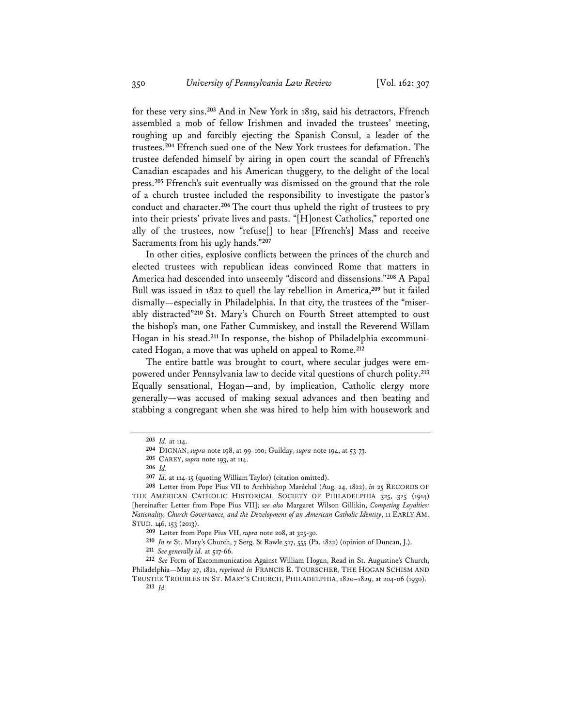for these very sins.**<sup>203</sup>** And in New York in 1819, said his detractors, Ffrench assembled a mob of fellow Irishmen and invaded the trustees' meeting, roughing up and forcibly ejecting the Spanish Consul, a leader of the trustees.**<sup>204</sup>** Ffrench sued one of the New York trustees for defamation. The trustee defended himself by airing in open court the scandal of Ffrench's Canadian escapades and his American thuggery, to the delight of the local press.**<sup>205</sup>** Ffrench's suit eventually was dismissed on the ground that the role of a church trustee included the responsibility to investigate the pastor's conduct and character.**<sup>206</sup>** The court thus upheld the right of trustees to pry into their priests' private lives and pasts. "[H]onest Catholics," reported one ally of the trustees, now "refuse[] to hear [Ffrench's] Mass and receive Sacraments from his ugly hands."**<sup>207</sup>**

In other cities, explosive conflicts between the princes of the church and elected trustees with republican ideas convinced Rome that matters in America had descended into unseemly "discord and dissensions."**<sup>208</sup>** A Papal Bull was issued in 1822 to quell the lay rebellion in America,**<sup>209</sup>** but it failed dismally—especially in Philadelphia. In that city, the trustees of the "miserably distracted"**<sup>210</sup>** St. Mary's Church on Fourth Street attempted to oust the bishop's man, one Father Cummiskey, and install the Reverend Willam Hogan in his stead.**211** In response, the bishop of Philadelphia excommunicated Hogan, a move that was upheld on appeal to Rome.**<sup>212</sup>**

The entire battle was brought to court, where secular judges were empowered under Pennsylvania law to decide vital questions of church polity.**<sup>213</sup>** Equally sensational, Hogan—and, by implication, Catholic clergy more generally—was accused of making sexual advances and then beating and stabbing a congregant when she was hired to help him with housework and

**<sup>203</sup>** *Id.* at 114.

**<sup>204</sup>** DIGNAN, *supra* note 198, at 99-100; Guilday, *supra* note 194, at 53-73.

**<sup>205</sup>** CAREY, *supra* note 193, at 114.

**<sup>206</sup>** *Id.*

**<sup>207</sup>** *Id.* at 114-15 (quoting William Taylor) (citation omitted).

**<sup>208</sup>** Letter from Pope Pius VII to Archbishop Maréchal (Aug. 24, 1822), *in* 25 RECORDS OF THE AMERICAN CATHOLIC HISTORICAL SOCIETY OF PHILADELPHIA 325, 325 (1914) [hereinafter Letter from Pope Pius VII]; *see also* Margaret Wilson Gillikin, *Competing Loyalties: Nationality, Church Governance, and the Development of an American Catholic Identity*, 11 EARLY AM. STUD. 146, 153 (2013).

**<sup>209</sup>** Letter from Pope Pius VII, *supra* note 208, at 325-30.

**<sup>210</sup>** *In re* St. Mary's Church, 7 Serg. & Rawle 517, 555 (Pa. 1822) (opinion of Duncan, J.).

**<sup>211</sup>** *See generally id.* at 517-66.

**<sup>212</sup>** *See* Form of Excommunication Against William Hogan, Read in St. Augustine's Church, Philadelphia—May 27, 1821, *reprinted in* FRANCIS E. TOURSCHER, THE HOGAN SCHISM AND TRUSTEE TROUBLES IN ST. MARY'S CHURCH, PHILADELPHIA, 1820–1829, at 204-06 (1930).

**<sup>213</sup>** *Id.*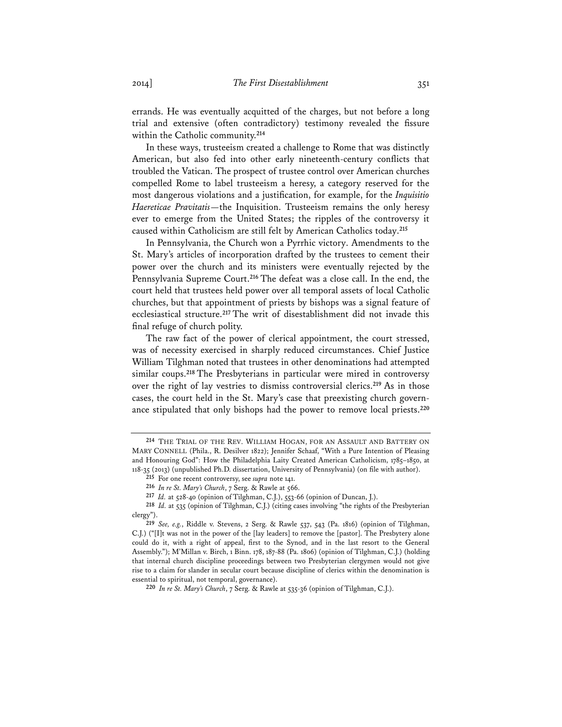errands. He was eventually acquitted of the charges, but not before a long trial and extensive (often contradictory) testimony revealed the fissure within the Catholic community.**<sup>214</sup>**

In these ways, trusteeism created a challenge to Rome that was distinctly American, but also fed into other early nineteenth-century conflicts that troubled the Vatican. The prospect of trustee control over American churches compelled Rome to label trusteeism a heresy, a category reserved for the most dangerous violations and a justification, for example, for the *Inquisitio Haereticae Pravitatis*—the Inquisition. Trusteeism remains the only heresy ever to emerge from the United States; the ripples of the controversy it caused within Catholicism are still felt by American Catholics today.**<sup>215</sup>**

In Pennsylvania, the Church won a Pyrrhic victory. Amendments to the St. Mary's articles of incorporation drafted by the trustees to cement their power over the church and its ministers were eventually rejected by the Pennsylvania Supreme Court.**<sup>216</sup>** The defeat was a close call. In the end, the court held that trustees held power over all temporal assets of local Catholic churches, but that appointment of priests by bishops was a signal feature of ecclesiastical structure.**<sup>217</sup>** The writ of disestablishment did not invade this final refuge of church polity.

The raw fact of the power of clerical appointment, the court stressed, was of necessity exercised in sharply reduced circumstances. Chief Justice William Tilghman noted that trustees in other denominations had attempted similar coups.**<sup>218</sup>** The Presbyterians in particular were mired in controversy over the right of lay vestries to dismiss controversial clerics.**<sup>219</sup>** As in those cases, the court held in the St. Mary's case that preexisting church governance stipulated that only bishops had the power to remove local priests.**<sup>220</sup>**

**217** *Id.* at 528-40 (opinion of Tilghman, C.J.), 553-66 (opinion of Duncan, J.).

**<sup>214</sup>** THE TRIAL OF THE REV. WILLIAM HOGAN, FOR AN ASSAULT AND BATTERY ON MARY CONNELL (Phila., R. Desilver 1822); Jennifer Schaaf, "With a Pure Intention of Pleasing and Honouring God": How the Philadelphia Laity Created American Catholicism, 1785–1850, at 118-35 (2013) (unpublished Ph.D. dissertation, University of Pennsylvania) (on file with author).

**<sup>215</sup>** For one recent controversy, see *supra* note 141.

**<sup>216</sup>** *In re St. Mary's Church*, 7 Serg. & Rawle at 566.

**<sup>218</sup>** *Id.* at 535 (opinion of Tilghman, C.J.) (citing cases involving "the rights of the Presbyterian clergy").

**<sup>219</sup>** *See, e.g.*, Riddle v. Stevens, 2 Serg. & Rawle 537, 543 (Pa. 1816) (opinion of Tilghman, C.J.) ("[I]t was not in the power of the [lay leaders] to remove the [pastor]. The Presbytery alone could do it, with a right of appeal, first to the Synod, and in the last resort to the General Assembly."); M'Millan v. Birch, 1 Binn. 178, 187-88 (Pa. 1806) (opinion of Tilghman, C.J.) (holding that internal church discipline proceedings between two Presbyterian clergymen would not give rise to a claim for slander in secular court because discipline of clerics within the denomination is essential to spiritual, not temporal, governance).

**<sup>220</sup>** *In re St. Mary's Church*, 7 Serg. & Rawle at 535-36 (opinion of Tilghman, C.J.).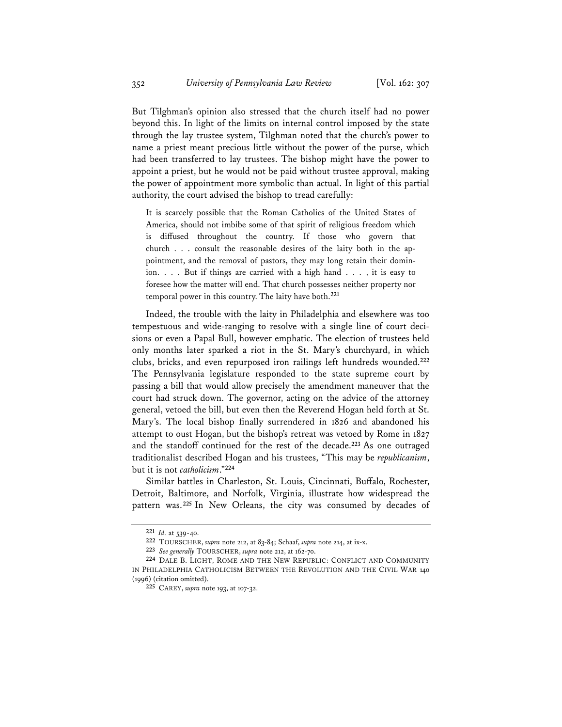But Tilghman's opinion also stressed that the church itself had no power beyond this. In light of the limits on internal control imposed by the state through the lay trustee system, Tilghman noted that the church's power to name a priest meant precious little without the power of the purse, which had been transferred to lay trustees. The bishop might have the power to appoint a priest, but he would not be paid without trustee approval, making the power of appointment more symbolic than actual. In light of this partial authority, the court advised the bishop to tread carefully:

It is scarcely possible that the Roman Catholics of the United States of America, should not imbibe some of that spirit of religious freedom which is diffused throughout the country. If those who govern that church . . . consult the reasonable desires of the laity both in the appointment, and the removal of pastors, they may long retain their dominion. . . . But if things are carried with a high hand . . . , it is easy to foresee how the matter will end. That church possesses neither property nor temporal power in this country. The laity have both.**<sup>221</sup>**

Indeed, the trouble with the laity in Philadelphia and elsewhere was too tempestuous and wide-ranging to resolve with a single line of court decisions or even a Papal Bull, however emphatic. The election of trustees held only months later sparked a riot in the St. Mary's churchyard, in which clubs, bricks, and even repurposed iron railings left hundreds wounded.**<sup>222</sup>** The Pennsylvania legislature responded to the state supreme court by passing a bill that would allow precisely the amendment maneuver that the court had struck down. The governor, acting on the advice of the attorney general, vetoed the bill, but even then the Reverend Hogan held forth at St. Mary's. The local bishop finally surrendered in 1826 and abandoned his attempt to oust Hogan, but the bishop's retreat was vetoed by Rome in 1827 and the standoff continued for the rest of the decade.**<sup>223</sup>** As one outraged traditionalist described Hogan and his trustees, "This may be *republicanism*, but it is not *catholicism*."**<sup>224</sup>**

Similar battles in Charleston, St. Louis, Cincinnati, Buffalo, Rochester, Detroit, Baltimore, and Norfolk, Virginia, illustrate how widespread the pattern was.**<sup>225</sup>** In New Orleans, the city was consumed by decades of

**<sup>221</sup>** *Id.* at 539-40.

**<sup>222</sup>** TOURSCHER, *supra* note 212, at 83-84; Schaaf, *supra* note 214, at ix-x.

**<sup>223</sup>** *See generally* TOURSCHER, *supra* note 212, at 162-70.

**<sup>224</sup>** DALE B. LIGHT, ROME AND THE NEW REPUBLIC: CONFLICT AND COMMUNITY IN PHILADELPHIA CATHOLICISM BETWEEN THE REVOLUTION AND THE CIVIL WAR 140 (1996) (citation omitted).

**<sup>225</sup>** CAREY, *supra* note 193, at 107-32.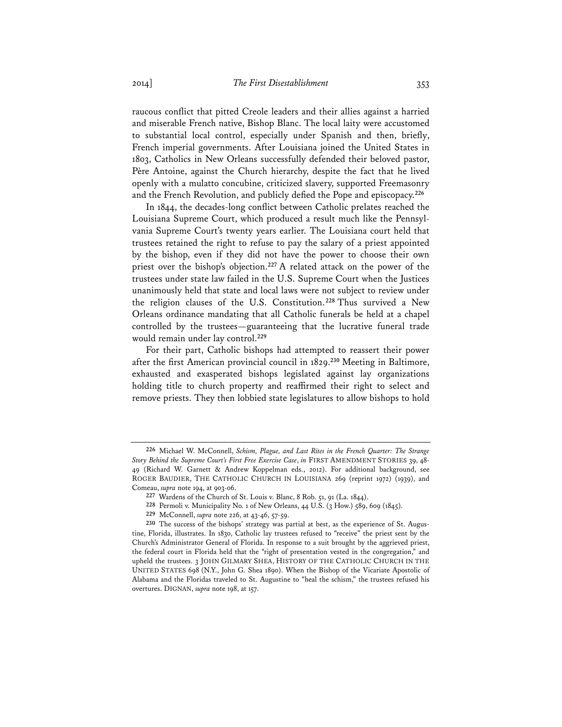raucous conflict that pitted Creole leaders and their allies against a harried and miserable French native, Bishop Blanc. The local laity were accustomed to substantial local control, especially under Spanish and then, briefly, French imperial governments. After Louisiana joined the United States in 1803, Catholics in New Orleans successfully defended their beloved pastor, Père Antoine, against the Church hierarchy, despite the fact that he lived openly with a mulatto concubine, criticized slavery, supported Freemasonry and the French Revolution, and publicly defied the Pope and episcopacy.**<sup>226</sup>**

In 1844, the decades-long conflict between Catholic prelates reached the Louisiana Supreme Court, which produced a result much like the Pennsylvania Supreme Court's twenty years earlier. The Louisiana court held that trustees retained the right to refuse to pay the salary of a priest appointed by the bishop, even if they did not have the power to choose their own priest over the bishop's objection.**<sup>227</sup>** A related attack on the power of the trustees under state law failed in the U.S. Supreme Court when the Justices unanimously held that state and local laws were not subject to review under the religion clauses of the U.S. Constitution.**<sup>228</sup>** Thus survived a New Orleans ordinance mandating that all Catholic funerals be held at a chapel controlled by the trustees—guaranteeing that the lucrative funeral trade would remain under lay control.**<sup>229</sup>**

For their part, Catholic bishops had attempted to reassert their power after the first American provincial council in 1829.**<sup>230</sup>** Meeting in Baltimore, exhausted and exasperated bishops legislated against lay organizations holding title to church property and reaffirmed their right to select and remove priests. They then lobbied state legislatures to allow bishops to hold

**228** Permoli v. Municipality No. 1 of New Orleans, 44 U.S. (3 How.) 589, 609 (1845).

**<sup>226</sup>** Michael W. McConnell, *Schism, Plague, and Last Rites in the French Quarter: The Strange Story Behind the Supreme Court's First Free Exercise Case*, *in* FIRST AMENDMENT STORIES 39, 48- 49 (Richard W. Garnett & Andrew Koppelman eds., 2012). For additional background, see ROGER BAUDIER, THE CATHOLIC CHURCH IN LOUISIANA 269 (reprint 1972) (1939), and Comeau, *supra* note 194, at 903-06.

**<sup>227</sup>** Wardens of the Church of St. Louis v. Blanc, 8 Rob. 51, 91 (La. 1844).

**<sup>229</sup>** McConnell, *supra* note 226, at 43-46, 57-59.

**<sup>230</sup>** The success of the bishops' strategy was partial at best, as the experience of St. Augustine, Florida, illustrates. In 1830, Catholic lay trustees refused to "receive" the priest sent by the Church's Administrator General of Florida. In response to a suit brought by the aggrieved priest, the federal court in Florida held that the "right of presentation vested in the congregation," and upheld the trustees. 3 JOHN GILMARY SHEA, HISTORY OF THE CATHOLIC CHURCH IN THE UNITED STATES 698 (N.Y., John G. Shea 1890). When the Bishop of the Vicariate Apostolic of Alabama and the Floridas traveled to St. Augustine to "heal the schism," the trustees refused his overtures. DIGNAN, *supra* note 198, at 157.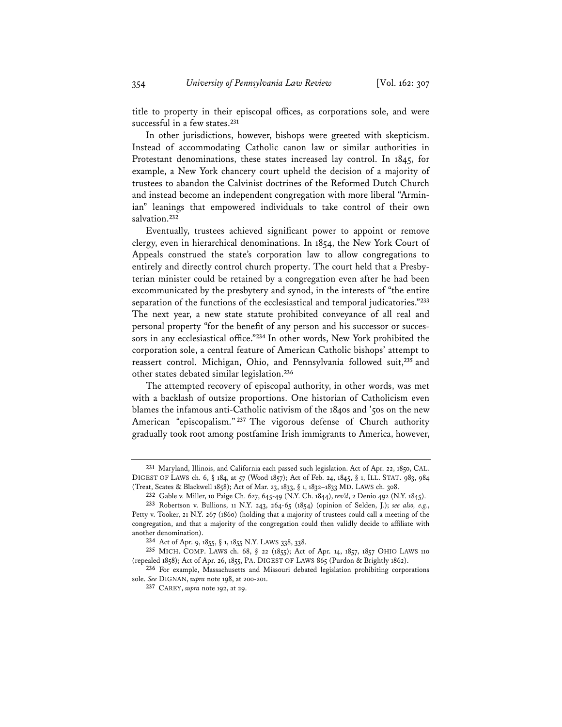title to property in their episcopal offices, as corporations sole, and were successful in a few states.**<sup>231</sup>**

In other jurisdictions, however, bishops were greeted with skepticism. Instead of accommodating Catholic canon law or similar authorities in Protestant denominations, these states increased lay control. In 1845, for example, a New York chancery court upheld the decision of a majority of trustees to abandon the Calvinist doctrines of the Reformed Dutch Church and instead become an independent congregation with more liberal "Arminian" leanings that empowered individuals to take control of their own salvation.**<sup>232</sup>**

Eventually, trustees achieved significant power to appoint or remove clergy, even in hierarchical denominations. In 1854, the New York Court of Appeals construed the state's corporation law to allow congregations to entirely and directly control church property. The court held that a Presbyterian minister could be retained by a congregation even after he had been excommunicated by the presbytery and synod, in the interests of "the entire separation of the functions of the ecclesiastical and temporal judicatories."**<sup>233</sup>** The next year, a new state statute prohibited conveyance of all real and personal property "for the benefit of any person and his successor or successors in any ecclesiastical office."**<sup>234</sup>** In other words, New York prohibited the corporation sole, a central feature of American Catholic bishops' attempt to reassert control. Michigan, Ohio, and Pennsylvania followed suit,**<sup>235</sup>** and other states debated similar legislation.**<sup>236</sup>**

The attempted recovery of episcopal authority, in other words, was met with a backlash of outsize proportions. One historian of Catholicism even blames the infamous anti-Catholic nativism of the 1840s and '50s on the new American "episcopalism." **<sup>237</sup>** The vigorous defense of Church authority gradually took root among postfamine Irish immigrants to America, however,

**<sup>231</sup>** Maryland, Illinois, and California each passed such legislation. Act of Apr. 22, 1850, CAL. DIGEST OF LAWS ch. 6, § 184, at 57 (Wood 1857); Act of Feb. 24, 1845, § 1, ILL. STAT. 983, 984 (Treat, Scates & Blackwell 1858); Act of Mar. 23, 1833, § 1, 1832–1833 MD. LAWS ch. 308.

**<sup>232</sup>** Gable v. Miller, 10 Paige Ch. 627, 645-49 (N.Y. Ch. 1844), *rev'd*, 2 Denio 492 (N.Y. 1845).

**<sup>233</sup>** Robertson v. Bullions, 11 N.Y. 243, 264-65 (1854) (opinion of Selden, J.); *see also, e.g.*, Petty v. Tooker, 21 N.Y. 267 (1860) (holding that a majority of trustees could call a meeting of the congregation, and that a majority of the congregation could then validly decide to affiliate with another denomination).

**<sup>234</sup>** Act of Apr. 9, 1855, § 1, 1855 N.Y. LAWS 338, 338.

**<sup>235</sup>** MICH. COMP. LAWS ch. 68, § 22 (1855); Act of Apr. 14, 1857, 1857 OHIO LAWS 110 (repealed 1858); Act of Apr. 26, 1855, PA. DIGEST OF LAWS 865 (Purdon & Brightly 1862).

**<sup>236</sup>** For example, Massachusetts and Missouri debated legislation prohibiting corporations sole. *See* DIGNAN, *supra* note 198, at 200-201.

**<sup>237</sup>** CAREY, *supra* note 192, at 29.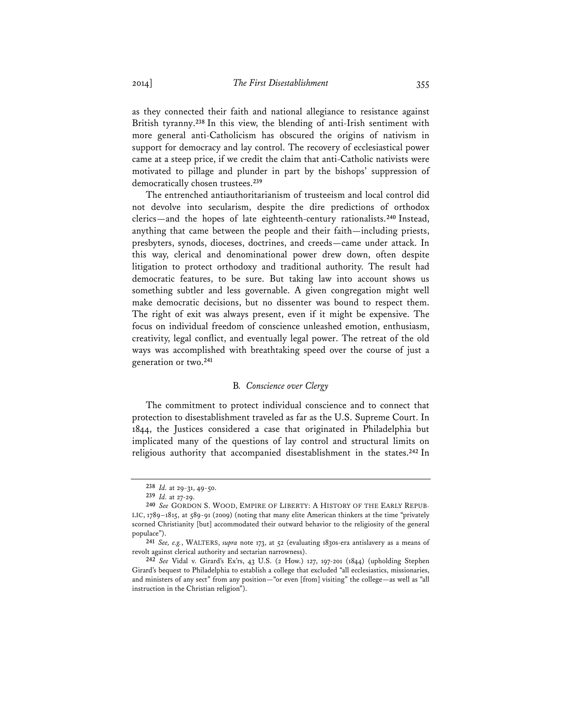as they connected their faith and national allegiance to resistance against British tyranny.**<sup>238</sup>** In this view, the blending of anti-Irish sentiment with more general anti-Catholicism has obscured the origins of nativism in support for democracy and lay control. The recovery of ecclesiastical power came at a steep price, if we credit the claim that anti-Catholic nativists were motivated to pillage and plunder in part by the bishops' suppression of democratically chosen trustees.**<sup>239</sup>**

The entrenched antiauthoritarianism of trusteeism and local control did not devolve into secularism, despite the dire predictions of orthodox clerics—and the hopes of late eighteenth-century rationalists.**<sup>240</sup>** Instead, anything that came between the people and their faith—including priests, presbyters, synods, dioceses, doctrines, and creeds—came under attack. In this way, clerical and denominational power drew down, often despite litigation to protect orthodoxy and traditional authority. The result had democratic features, to be sure. But taking law into account shows us something subtler and less governable. A given congregation might well make democratic decisions, but no dissenter was bound to respect them. The right of exit was always present, even if it might be expensive. The focus on individual freedom of conscience unleashed emotion, enthusiasm, creativity, legal conflict, and eventually legal power. The retreat of the old ways was accomplished with breathtaking speed over the course of just a generation or two.**<sup>241</sup>**

#### B*. Conscience over Clergy*

The commitment to protect individual conscience and to connect that protection to disestablishment traveled as far as the U.S. Supreme Court. In 1844, the Justices considered a case that originated in Philadelphia but implicated many of the questions of lay control and structural limits on religious authority that accompanied disestablishment in the states.**<sup>242</sup>** In

**<sup>238</sup>** *Id.* at 29-31, 49-50.

**<sup>239</sup>** *Id.* at 27-29.

**<sup>240</sup>** *See* GORDON S. WOOD, EMPIRE OF LIBERTY: A HISTORY OF THE EARLY REPUB-LIC, 1789–1815, at 589-91 (2009) (noting that many elite American thinkers at the time "privately scorned Christianity [but] accommodated their outward behavior to the religiosity of the general populace").

**<sup>241</sup>** *See, e.g.*, WALTERS, *supra* note 173, at 52 (evaluating 1830s-era antislavery as a means of revolt against clerical authority and sectarian narrowness).

**<sup>242</sup>** *See* Vidal v. Girard's Ex'rs, 43 U.S. (2 How.) 127, 197-201 (1844) (upholding Stephen Girard's bequest to Philadelphia to establish a college that excluded "all ecclesiastics, missionaries, and ministers of any sect" from any position—"or even [from] visiting" the college—as well as "all instruction in the Christian religion").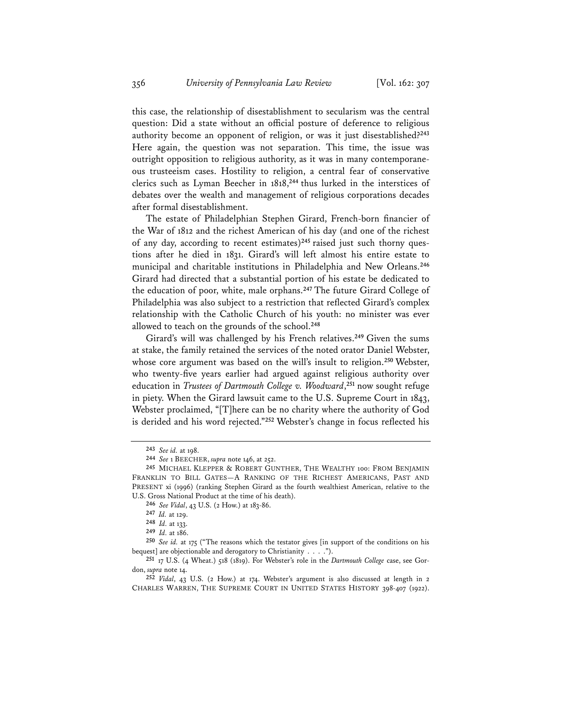this case, the relationship of disestablishment to secularism was the central question: Did a state without an official posture of deference to religious authority become an opponent of religion, or was it just disestablished?**<sup>243</sup>** Here again, the question was not separation. This time, the issue was outright opposition to religious authority, as it was in many contemporaneous trusteeism cases. Hostility to religion, a central fear of conservative clerics such as Lyman Beecher in 1818,**<sup>244</sup>** thus lurked in the interstices of debates over the wealth and management of religious corporations decades after formal disestablishment.

The estate of Philadelphian Stephen Girard, French-born financier of the War of 1812 and the richest American of his day (and one of the richest of any day, according to recent estimates)**245** raised just such thorny questions after he died in 1831. Girard's will left almost his entire estate to municipal and charitable institutions in Philadelphia and New Orleans.**<sup>246</sup>** Girard had directed that a substantial portion of his estate be dedicated to the education of poor, white, male orphans.**<sup>247</sup>** The future Girard College of Philadelphia was also subject to a restriction that reflected Girard's complex relationship with the Catholic Church of his youth: no minister was ever allowed to teach on the grounds of the school.**<sup>248</sup>**

Girard's will was challenged by his French relatives.**<sup>249</sup>** Given the sums at stake, the family retained the services of the noted orator Daniel Webster, whose core argument was based on the will's insult to religion.**<sup>250</sup>** Webster, who twenty-five years earlier had argued against religious authority over education in *Trustees of Dartmouth College v. Woodward*, **<sup>251</sup>** now sought refuge in piety. When the Girard lawsuit came to the U.S. Supreme Court in 1843, Webster proclaimed, "[T]here can be no charity where the authority of God is derided and his word rejected."**<sup>252</sup>** Webster's change in focus reflected his

**<sup>243</sup>** *See id.* at 198.

**<sup>244</sup>** *See* 1 BEECHER, *supra* note 146, at 252.

**<sup>245</sup>** MICHAEL KLEPPER & ROBERT GUNTHER, THE WEALTHY 100: FROM BENJAMIN FRANKLIN TO BILL GATES—A RANKING OF THE RICHEST AMERICANS, PAST AND PRESENT xi (1996) (ranking Stephen Girard as the fourth wealthiest American, relative to the U.S. Gross National Product at the time of his death).

**<sup>246</sup>** *See Vidal*, 43 U.S. (2 How.) at 183-86.

**<sup>247</sup>** *Id.* at 129.

**<sup>248</sup>** *Id.* at 133.

**<sup>249</sup>** *Id.* at 186.

**<sup>250</sup>** *See id.* at 175 ("The reasons which the testator gives [in support of the conditions on his bequest] are objectionable and derogatory to Christianity . . . .").

**<sup>251</sup>** 17 U.S. (4 Wheat.) 518 (1819). For Webster's role in the *Dartmouth College* case, see Gordon, *supra* note 14.

**<sup>252</sup>** *Vidal*, 43 U.S. (2 How.) at 174. Webster's argument is also discussed at length in 2 CHARLES WARREN, THE SUPREME COURT IN UNITED STATES HISTORY 398-407 (1922).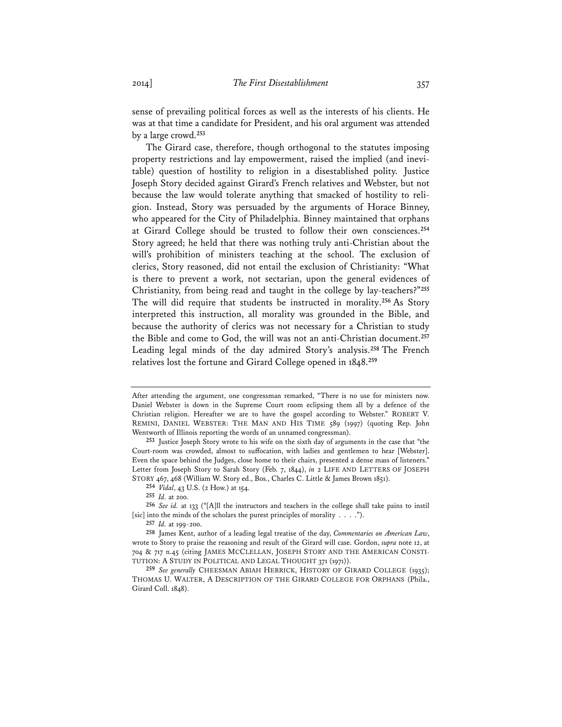sense of prevailing political forces as well as the interests of his clients. He was at that time a candidate for President, and his oral argument was attended by a large crowd.**<sup>253</sup>**

The Girard case, therefore, though orthogonal to the statutes imposing property restrictions and lay empowerment, raised the implied (and inevitable) question of hostility to religion in a disestablished polity. Justice Joseph Story decided against Girard's French relatives and Webster, but not because the law would tolerate anything that smacked of hostility to religion. Instead, Story was persuaded by the arguments of Horace Binney, who appeared for the City of Philadelphia. Binney maintained that orphans at Girard College should be trusted to follow their own consciences.**<sup>254</sup>** Story agreed; he held that there was nothing truly anti-Christian about the will's prohibition of ministers teaching at the school. The exclusion of clerics, Story reasoned, did not entail the exclusion of Christianity: "What is there to prevent a work, not sectarian, upon the general evidences of Christianity, from being read and taught in the college by lay-teachers?"**<sup>255</sup>** The will did require that students be instructed in morality.**<sup>256</sup>** As Story interpreted this instruction, all morality was grounded in the Bible, and because the authority of clerics was not necessary for a Christian to study the Bible and come to God, the will was not an anti-Christian document.**<sup>257</sup>** Leading legal minds of the day admired Story's analysis.**<sup>258</sup>** The French relatives lost the fortune and Girard College opened in 1848.**<sup>259</sup>**

After attending the argument, one congressman remarked, "There is no use for ministers now. Daniel Webster is down in the Supreme Court room eclipsing them all by a defence of the Christian religion. Hereafter we are to have the gospel according to Webster." ROBERT V. REMINI, DANIEL WEBSTER: THE MAN AND HIS TIME 589 (1997) (quoting Rep. John Wentworth of Illinois reporting the words of an unnamed congressman).

**<sup>253</sup>** Justice Joseph Story wrote to his wife on the sixth day of arguments in the case that "the Court-room was crowded, almost to suffocation, with ladies and gentlemen to hear [Webster]. Even the space behind the Judges, close home to their chairs, presented a dense mass of listeners." Letter from Joseph Story to Sarah Story (Feb. 7, 1844), *in* 2 LIFE AND LETTERS OF JOSEPH STORY 467, 468 (William W. Story ed., Bos., Charles C. Little & James Brown 1851).

**<sup>254</sup>** *Vidal*, 43 U.S. (2 How.) at 154.

**<sup>255</sup>** *Id.* at 200.

**<sup>256</sup>** *See id.* at 133 ("[A]ll the instructors and teachers in the college shall take pains to instil [sic] into the minds of the scholars the purest principles of morality . . . .").

**<sup>257</sup>** *Id.* at 199-200.

**<sup>258</sup>** James Kent, author of a leading legal treatise of the day, *Commentaries on American Law*, wrote to Story to praise the reasoning and result of the Girard will case. Gordon, *supra* note 12, at 704 & 717 n.45 (citing JAMES MCCLELLAN, JOSEPH STORY AND THE AMERICAN CONSTI-TUTION: A STUDY IN POLITICAL AND LEGAL THOUGHT 371 (1971)).

**<sup>259</sup>** *See generally* CHEESMAN ABIAH HERRICK, HISTORY OF GIRARD COLLEGE (1935); THOMAS U. WALTER, A DESCRIPTION OF THE GIRARD COLLEGE FOR ORPHANS (Phila., Girard Coll. 1848).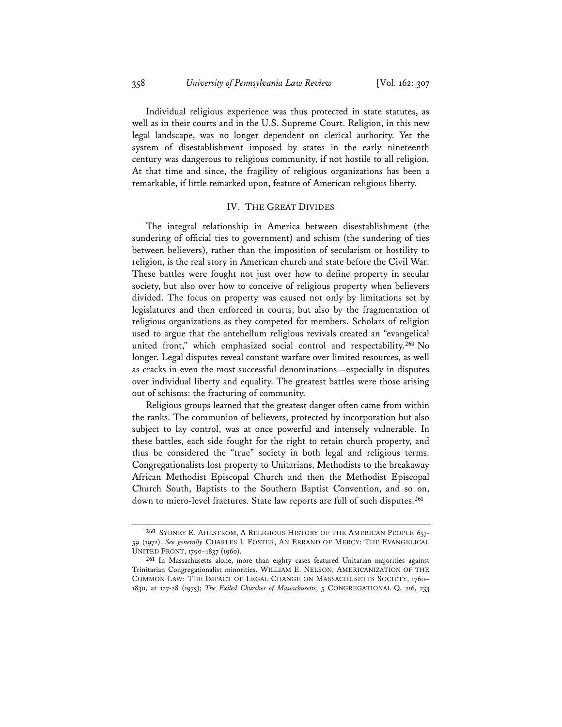Individual religious experience was thus protected in state statutes, as well as in their courts and in the U.S. Supreme Court. Religion, in this new legal landscape, was no longer dependent on clerical authority. Yet the system of disestablishment imposed by states in the early nineteenth century was dangerous to religious community, if not hostile to all religion. At that time and since, the fragility of religious organizations has been a remarkable, if little remarked upon, feature of American religious liberty.

# IV. THE GREAT DIVIDES

The integral relationship in America between disestablishment (the sundering of official ties to government) and schism (the sundering of ties between believers), rather than the imposition of secularism or hostility to religion, is the real story in American church and state before the Civil War. These battles were fought not just over how to define property in secular society, but also over how to conceive of religious property when believers divided. The focus on property was caused not only by limitations set by legislatures and then enforced in courts, but also by the fragmentation of religious organizations as they competed for members. Scholars of religion used to argue that the antebellum religious revivals created an "evangelical united front," which emphasized social control and respectability.**<sup>260</sup>** No longer. Legal disputes reveal constant warfare over limited resources, as well as cracks in even the most successful denominations—especially in disputes over individual liberty and equality. The greatest battles were those arising out of schisms: the fracturing of community.

Religious groups learned that the greatest danger often came from within the ranks. The communion of believers, protected by incorporation but also subject to lay control, was at once powerful and intensely vulnerable. In these battles, each side fought for the right to retain church property, and thus be considered the "true" society in both legal and religious terms. Congregationalists lost property to Unitarians, Methodists to the breakaway African Methodist Episcopal Church and then the Methodist Episcopal Church South, Baptists to the Southern Baptist Convention, and so on, down to micro-level fractures. State law reports are full of such disputes.**<sup>261</sup>**

**<sup>260</sup>** SYDNEY E. AHLSTROM, A RELIGIOUS HISTORY OF THE AMERICAN PEOPLE 657- 59 (1972). *See generally* CHARLES I. FOSTER, AN ERRAND OF MERCY: THE EVANGELICAL UNITED FRONT, 1790–1837 (1960).

**<sup>261</sup>** In Massachusetts alone, more than eighty cases featured Unitarian majorities against Trinitarian Congregationalist minorities. WILLIAM E. NELSON, AMERICANIZATION OF THE COMMON LAW: THE IMPACT OF LEGAL CHANGE ON MASSACHUSETTS SOCIETY, 1760– 1830, at 127-28 (1975); *The Exiled Churches of Massachusetts*, 5 CONGREGATIONAL Q. 216, 233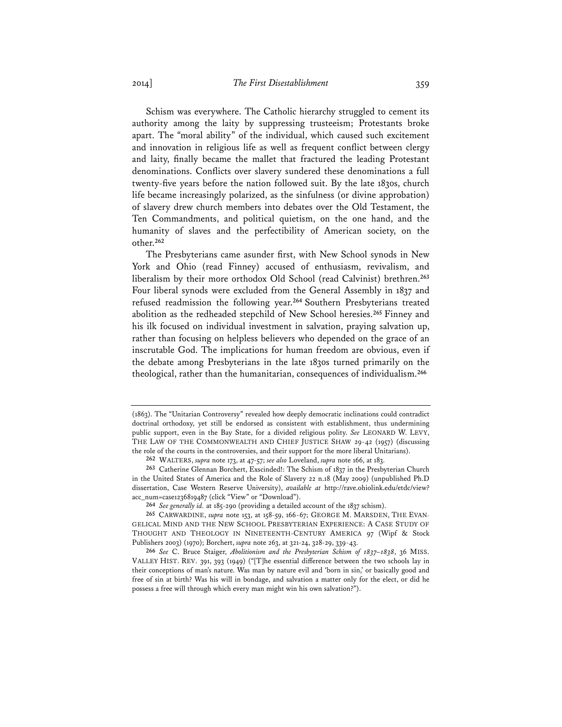Schism was everywhere. The Catholic hierarchy struggled to cement its authority among the laity by suppressing trusteeism; Protestants broke apart. The "moral ability" of the individual, which caused such excitement and innovation in religious life as well as frequent conflict between clergy and laity, finally became the mallet that fractured the leading Protestant denominations. Conflicts over slavery sundered these denominations a full twenty-five years before the nation followed suit. By the late 1830s, church life became increasingly polarized, as the sinfulness (or divine approbation) of slavery drew church members into debates over the Old Testament, the Ten Commandments, and political quietism, on the one hand, and the humanity of slaves and the perfectibility of American society, on the other.**<sup>262</sup>**

The Presbyterians came asunder first, with New School synods in New York and Ohio (read Finney) accused of enthusiasm, revivalism, and liberalism by their more orthodox Old School (read Calvinist) brethren.**<sup>263</sup>** Four liberal synods were excluded from the General Assembly in 1837 and refused readmission the following year.**<sup>264</sup>** Southern Presbyterians treated abolition as the redheaded stepchild of New School heresies.**<sup>265</sup>** Finney and his ilk focused on individual investment in salvation, praying salvation up, rather than focusing on helpless believers who depended on the grace of an inscrutable God. The implications for human freedom are obvious, even if the debate among Presbyterians in the late 1830s turned primarily on the theological, rather than the humanitarian, consequences of individualism.**<sup>266</sup>**

<sup>(1863).</sup> The "Unitarian Controversy" revealed how deeply democratic inclinations could contradict doctrinal orthodoxy, yet still be endorsed as consistent with establishment, thus undermining public support, even in the Bay State, for a divided religious polity. *See* LEONARD W. LEVY, THE LAW OF THE COMMONWEALTH AND CHIEF JUSTICE SHAW 29-42 (1957) (discussing the role of the courts in the controversies, and their support for the more liberal Unitarians).

**<sup>262</sup>** WALTERS, *supra* note 173, at 47-57; *see also* Loveland, *supra* note 166, at 183.

**<sup>263</sup>** Catherine Glennan Borchert, Exscinded!: The Schism of 1837 in the Presbyterian Church in the United States of America and the Role of Slavery 22 n.18 (May 2009) (unpublished Ph.D dissertation, Case Western Reserve University), *available at* http://rave.ohiolink.edu/etdc/view? acc\_num=case1236819487 (click "View" or "Download").

**<sup>264</sup>** *See generally id.* at 185-290 (providing a detailed account of the 1837 schism).

**<sup>265</sup>** CARWARDINE, *supra* note 153, at 158-59, 166-67; GEORGE M. MARSDEN, THE EVAN-GELICAL MIND AND THE NEW SCHOOL PRESBYTERIAN EXPERIENCE: A CASE STUDY OF THOUGHT AND THEOLOGY IN NINETEENTH-CENTURY AMERICA 97 (Wipf & Stock Publishers 2003) (1970); Borchert, *supra* note 263, at 321-24, 328-29, 339-43.

**<sup>266</sup>** *See* C. Bruce Staiger, *Abolitionism and the Presbyterian Schism of 1837–1838*, 36 MISS. VALLEY HIST. REV. 391, 393 (1949) ("[T]he essential difference between the two schools lay in their conceptions of man's nature. Was man by nature evil and 'born in sin,' or basically good and free of sin at birth? Was his will in bondage, and salvation a matter only for the elect, or did he possess a free will through which every man might win his own salvation?").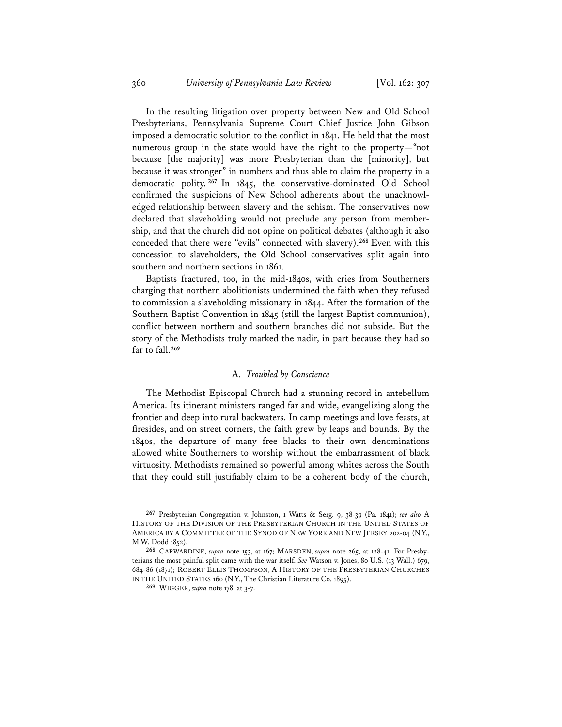In the resulting litigation over property between New and Old School Presbyterians, Pennsylvania Supreme Court Chief Justice John Gibson imposed a democratic solution to the conflict in 1841. He held that the most numerous group in the state would have the right to the property—"not because [the majority] was more Presbyterian than the [minority], but because it was stronger" in numbers and thus able to claim the property in a democratic polity. **<sup>267</sup>** In 1845, the conservative-dominated Old School confirmed the suspicions of New School adherents about the unacknowledged relationship between slavery and the schism. The conservatives now declared that slaveholding would not preclude any person from membership, and that the church did not opine on political debates (although it also conceded that there were "evils" connected with slavery).**<sup>268</sup>** Even with this concession to slaveholders, the Old School conservatives split again into southern and northern sections in 1861.

Baptists fractured, too, in the mid-1840s, with cries from Southerners charging that northern abolitionists undermined the faith when they refused to commission a slaveholding missionary in 1844. After the formation of the Southern Baptist Convention in 1845 (still the largest Baptist communion), conflict between northern and southern branches did not subside. But the story of the Methodists truly marked the nadir, in part because they had so far to fall.**<sup>269</sup>**

### A. *Troubled by Conscience*

The Methodist Episcopal Church had a stunning record in antebellum America. Its itinerant ministers ranged far and wide, evangelizing along the frontier and deep into rural backwaters. In camp meetings and love feasts, at firesides, and on street corners, the faith grew by leaps and bounds. By the 1840s, the departure of many free blacks to their own denominations allowed white Southerners to worship without the embarrassment of black virtuosity. Methodists remained so powerful among whites across the South that they could still justifiably claim to be a coherent body of the church,

**<sup>267</sup>** Presbyterian Congregation v. Johnston, 1 Watts & Serg. 9, 38-39 (Pa. 1841); *see also* A HISTORY OF THE DIVISION OF THE PRESBYTERIAN CHURCH IN THE UNITED STATES OF AMERICA BY A COMMITTEE OF THE SYNOD OF NEW YORK AND NEW JERSEY 202-04 (N.Y., M.W. Dodd 1852).

**<sup>268</sup>** CARWARDINE, *supra* note 153, at 167; MARSDEN, *supra* note 265, at 128-41. For Presbyterians the most painful split came with the war itself. *See* Watson v. Jones, 80 U.S. (13 Wall.) 679, 684-86 (1871); ROBERT ELLIS THOMPSON, A HISTORY OF THE PRESBYTERIAN CHURCHES IN THE UNITED STATES 160 (N.Y., The Christian Literature Co. 1895).

**<sup>269</sup>** WIGGER, *supra* note 178, at 3-7.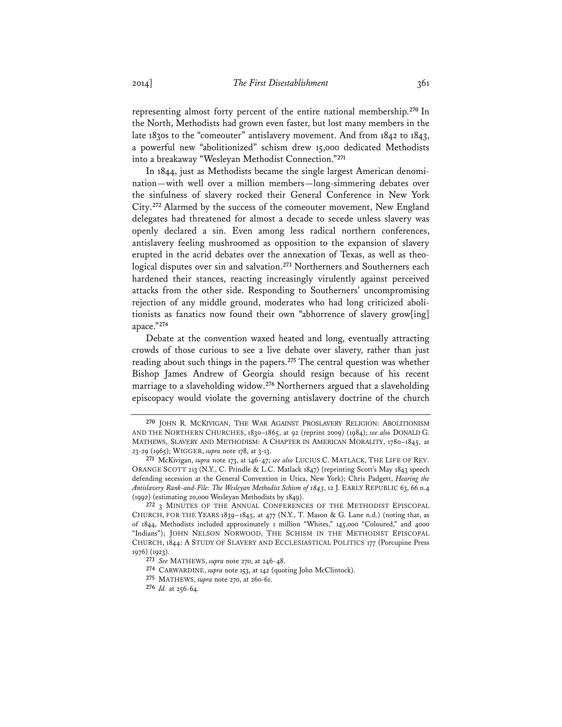representing almost forty percent of the entire national membership.**<sup>270</sup>** In the North, Methodists had grown even faster, but lost many members in the late 1830s to the "comeouter" antislavery movement. And from 1842 to 1843, a powerful new "abolitionized" schism drew 15,000 dedicated Methodists into a breakaway "Wesleyan Methodist Connection."**<sup>271</sup>**

In 1844, just as Methodists became the single largest American denomination—with well over a million members—long-simmering debates over the sinfulness of slavery rocked their General Conference in New York City.**<sup>272</sup>** Alarmed by the success of the comeouter movement, New England delegates had threatened for almost a decade to secede unless slavery was openly declared a sin. Even among less radical northern conferences, antislavery feeling mushroomed as opposition to the expansion of slavery erupted in the acrid debates over the annexation of Texas, as well as theological disputes over sin and salvation.**<sup>273</sup>** Northerners and Southerners each hardened their stances, reacting increasingly virulently against perceived attacks from the other side. Responding to Southerners' uncompromising rejection of any middle ground, moderates who had long criticized abolitionists as fanatics now found their own "abhorrence of slavery grow[ing] apace."**<sup>274</sup>**

Debate at the convention waxed heated and long, eventually attracting crowds of those curious to see a live debate over slavery, rather than just reading about such things in the papers.**<sup>275</sup>** The central question was whether Bishop James Andrew of Georgia should resign because of his recent marriage to a slaveholding widow.**<sup>276</sup>** Northerners argued that a slaveholding episcopacy would violate the governing antislavery doctrine of the church

**<sup>270</sup>** JOHN R. MCKIVIGAN, THE WAR AGAINST PROSLAVERY RELIGION: ABOLITIONISM AND THE NORTHERN CHURCHES, 1830–1865, at 92 (reprint 2009) (1984); *see also* DONALD G. MATHEWS, SLAVERY AND METHODISM: A CHAPTER IN AMERICAN MORALITY, 1780–1845, at 23-29 (1965); WIGGER, *supra* note 178, at 3-13.

**<sup>271</sup>** McKivigan, *supra* note 173, at 146-47; *see also* LUCIUS C. MATLACK, THE LIFE OF REV. ORANGE SCOTT 213 (N.Y., C. Prindle & L.C. Matlack 1847) (reprinting Scott's May 1843 speech defending secession at the General Convention in Utica, New York); Chris Padgett, *Hearing the Antislavery Rank-and-File: The Wesleyan Methodist Schism of 1843*, 12 J. EARLY REPUBLIC 63, 66 n.4 (1992) (estimating 20,000 Wesleyan Methodists by 1849).

**<sup>272</sup>** 3 MINUTES OF THE ANNUAL CONFERENCES OF THE METHODIST EPISCOPAL CHURCH, FOR THE YEARS 1839–1845, at 477 (N.Y., T. Mason & G. Lane n.d.) (noting that, as of 1844, Methodists included approximately 1 million "Whites," 145,000 "Coloured," and 4000 "Indians"); JOHN NELSON NORWOOD, THE SCHISM IN THE METHODIST EPISCOPAL CHURCH, 1844: A STUDY OF SLAVERY AND ECCLESIASTICAL POLITICS 177 (Porcupine Press 1976) (1923).

**<sup>273</sup>** *See* MATHEWS, *supra* note 270, at 246-48.

**<sup>274</sup>** CARWARDINE, *supra* note 153, at 142 (quoting John McClintock).

**<sup>275</sup>** MATHEWS, *supra* note 270, at 260-61.

**<sup>276</sup>** *Id.* at 256-64.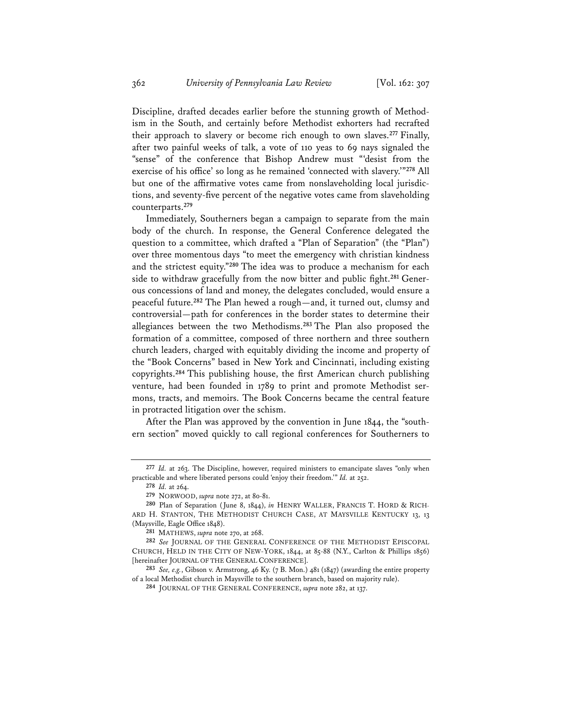Discipline, drafted decades earlier before the stunning growth of Methodism in the South, and certainly before Methodist exhorters had recrafted their approach to slavery or become rich enough to own slaves.**<sup>277</sup>** Finally, after two painful weeks of talk, a vote of 110 yeas to 69 nays signaled the "sense" of the conference that Bishop Andrew must "'desist from the exercise of his office' so long as he remained 'connected with slavery.'"**<sup>278</sup>** All but one of the affirmative votes came from nonslaveholding local jurisdictions, and seventy-five percent of the negative votes came from slaveholding counterparts.**<sup>279</sup>**

Immediately, Southerners began a campaign to separate from the main body of the church. In response, the General Conference delegated the question to a committee, which drafted a "Plan of Separation" (the "Plan") over three momentous days "to meet the emergency with christian kindness and the strictest equity."**<sup>280</sup>** The idea was to produce a mechanism for each side to withdraw gracefully from the now bitter and public fight.**281** Generous concessions of land and money, the delegates concluded, would ensure a peaceful future.**<sup>282</sup>** The Plan hewed a rough—and, it turned out, clumsy and controversial—path for conferences in the border states to determine their allegiances between the two Methodisms.**<sup>283</sup>** The Plan also proposed the formation of a committee, composed of three northern and three southern church leaders, charged with equitably dividing the income and property of the "Book Concerns" based in New York and Cincinnati, including existing copyrights.**<sup>284</sup>** This publishing house, the first American church publishing venture, had been founded in 1789 to print and promote Methodist sermons, tracts, and memoirs. The Book Concerns became the central feature in protracted litigation over the schism.

After the Plan was approved by the convention in June 1844, the "southern section" moved quickly to call regional conferences for Southerners to

**<sup>277</sup>** *Id.* at 263. The Discipline, however, required ministers to emancipate slaves "only when practicable and where liberated persons could 'enjoy their freedom.'" *Id.* at 252.

**<sup>278</sup>** *Id.* at 264.

**<sup>279</sup>** NORWOOD, *supra* note 272, at 80-81.

**<sup>280</sup>** Plan of Separation (June 8, 1844), *in* HENRY WALLER, FRANCIS T. HORD & RICH-ARD H. STANTON, THE METHODIST CHURCH CASE, AT MAYSVILLE KENTUCKY 13, 13 (Maysville, Eagle Office 1848).

**<sup>281</sup>** MATHEWS, *supra* note 270, at 268.

**<sup>282</sup>** *See* JOURNAL OF THE GENERAL CONFERENCE OF THE METHODIST EPISCOPAL CHURCH, HELD IN THE CITY OF NEW-YORK, 1844, at 85-88 (N.Y., Carlton & Phillips 1856) [hereinafter JOURNAL OF THE GENERAL CONFERENCE].

**<sup>283</sup>** *See, e.g.*, Gibson v. Armstrong, 46 Ky. (7 B. Mon.) 481 (1847) (awarding the entire property of a local Methodist church in Maysville to the southern branch, based on majority rule).

**<sup>284</sup>** JOURNAL OF THE GENERAL CONFERENCE, *supra* note 282, at 137.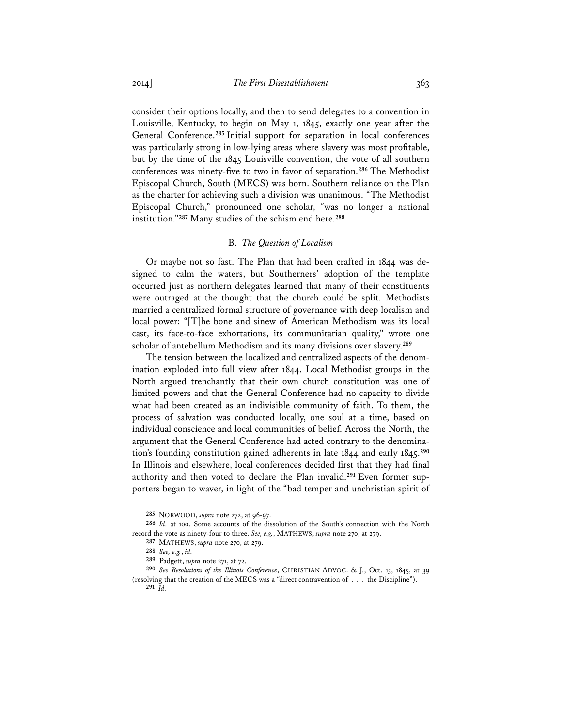consider their options locally, and then to send delegates to a convention in Louisville, Kentucky, to begin on May 1, 1845, exactly one year after the General Conference.**<sup>285</sup>** Initial support for separation in local conferences was particularly strong in low-lying areas where slavery was most profitable, but by the time of the 1845 Louisville convention, the vote of all southern conferences was ninety-five to two in favor of separation.**<sup>286</sup>** The Methodist Episcopal Church, South (MECS) was born. Southern reliance on the Plan as the charter for achieving such a division was unanimous. "The Methodist Episcopal Church," pronounced one scholar, "was no longer a national institution."**<sup>287</sup>** Many studies of the schism end here.**<sup>288</sup>**

## B. *The Question of Localism*

Or maybe not so fast. The Plan that had been crafted in 1844 was designed to calm the waters, but Southerners' adoption of the template occurred just as northern delegates learned that many of their constituents were outraged at the thought that the church could be split. Methodists married a centralized formal structure of governance with deep localism and local power: "[T]he bone and sinew of American Methodism was its local cast, its face-to-face exhortations, its communitarian quality," wrote one scholar of antebellum Methodism and its many divisions over slavery.**<sup>289</sup>**

The tension between the localized and centralized aspects of the denomination exploded into full view after 1844. Local Methodist groups in the North argued trenchantly that their own church constitution was one of limited powers and that the General Conference had no capacity to divide what had been created as an indivisible community of faith. To them, the process of salvation was conducted locally, one soul at a time, based on individual conscience and local communities of belief. Across the North, the argument that the General Conference had acted contrary to the denomination's founding constitution gained adherents in late 1844 and early 1845.**<sup>290</sup>** In Illinois and elsewhere, local conferences decided first that they had final authority and then voted to declare the Plan invalid.**291** Even former supporters began to waver, in light of the "bad temper and unchristian spirit of

**<sup>285</sup>** NORWOOD, *supra* note 272, at 96-97.

**<sup>286</sup>** *Id.* at 100. Some accounts of the dissolution of the South's connection with the North record the vote as ninety-four to three. *See, e.g.*, MATHEWS, *supra* note 270, at 279.

**<sup>287</sup>** MATHEWS, *supra* note 270, at 279.

**<sup>288</sup>** *See, e.g.*, *id.*

**<sup>289</sup>** Padgett, *supra* note 271, at 72.

**<sup>290</sup>** *See Resolutions of the Illinois Conference*, CHRISTIAN ADVOC. & J., Oct. 15, 1845, at 39 (resolving that the creation of the MECS was a "direct contravention of . . . the Discipline"). **291** *Id.*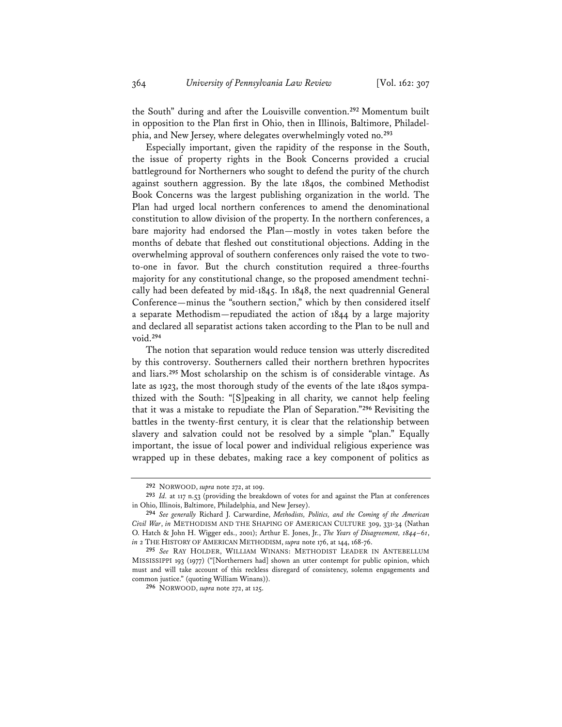the South" during and after the Louisville convention.**<sup>292</sup>** Momentum built in opposition to the Plan first in Ohio, then in Illinois, Baltimore, Philadelphia, and New Jersey, where delegates overwhelmingly voted no.**<sup>293</sup>**

Especially important, given the rapidity of the response in the South, the issue of property rights in the Book Concerns provided a crucial battleground for Northerners who sought to defend the purity of the church against southern aggression. By the late 1840s, the combined Methodist Book Concerns was the largest publishing organization in the world. The Plan had urged local northern conferences to amend the denominational constitution to allow division of the property. In the northern conferences, a bare majority had endorsed the Plan—mostly in votes taken before the months of debate that fleshed out constitutional objections. Adding in the overwhelming approval of southern conferences only raised the vote to twoto-one in favor. But the church constitution required a three-fourths majority for any constitutional change, so the proposed amendment technically had been defeated by mid-1845. In 1848, the next quadrennial General Conference—minus the "southern section," which by then considered itself a separate Methodism—repudiated the action of 1844 by a large majority and declared all separatist actions taken according to the Plan to be null and void.**<sup>294</sup>**

The notion that separation would reduce tension was utterly discredited by this controversy. Southerners called their northern brethren hypocrites and liars.**<sup>295</sup>** Most scholarship on the schism is of considerable vintage. As late as 1923, the most thorough study of the events of the late 1840s sympathized with the South: "[S]peaking in all charity, we cannot help feeling that it was a mistake to repudiate the Plan of Separation."**<sup>296</sup>** Revisiting the battles in the twenty-first century, it is clear that the relationship between slavery and salvation could not be resolved by a simple "plan." Equally important, the issue of local power and individual religious experience was wrapped up in these debates, making race a key component of politics as

**<sup>292</sup>** NORWOOD, *supra* note 272, at 109.

**<sup>293</sup>** *Id.* at 117 n.53 (providing the breakdown of votes for and against the Plan at conferences in Ohio, Illinois, Baltimore, Philadelphia, and New Jersey).

**<sup>294</sup>** *See generally* Richard J. Carwardine, *Methodists, Politics, and the Coming of the American Civil War*, *in* METHODISM AND THE SHAPING OF AMERICAN CULTURE 309, 331-34 (Nathan O. Hatch & John H. Wigger eds., 2001); Arthur E. Jones, Jr., *The Years of Disagreement, 1844*–*61*, *in* 2 THE HISTORY OF AMERICAN METHODISM, *supra* note 176, at 144, 168-76.

**<sup>295</sup>** *See* RAY HOLDER, WILLIAM WINANS: METHODIST LEADER IN ANTEBELLUM MISSISSIPPI 193 (1977) ("[Northerners had] shown an utter contempt for public opinion, which must and will take account of this reckless disregard of consistency, solemn engagements and common justice." (quoting William Winans)).

**<sup>296</sup>** NORWOOD, *supra* note 272, at 125.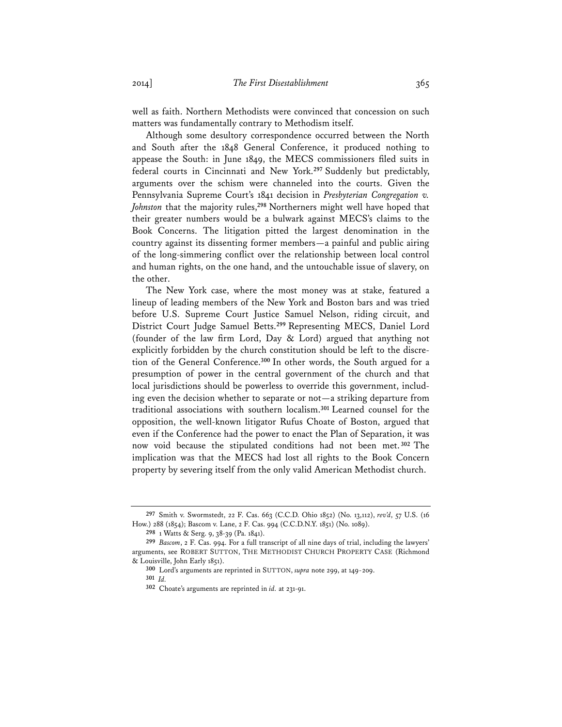well as faith. Northern Methodists were convinced that concession on such matters was fundamentally contrary to Methodism itself.

Although some desultory correspondence occurred between the North and South after the 1848 General Conference, it produced nothing to appease the South: in June 1849, the MECS commissioners filed suits in federal courts in Cincinnati and New York.**<sup>297</sup>** Suddenly but predictably, arguments over the schism were channeled into the courts. Given the Pennsylvania Supreme Court's 1841 decision in *Presbyterian Congregation v. Johnston* that the majority rules,**<sup>298</sup>** Northerners might well have hoped that their greater numbers would be a bulwark against MECS's claims to the Book Concerns. The litigation pitted the largest denomination in the country against its dissenting former members—a painful and public airing of the long-simmering conflict over the relationship between local control and human rights, on the one hand, and the untouchable issue of slavery, on the other.

The New York case, where the most money was at stake, featured a lineup of leading members of the New York and Boston bars and was tried before U.S. Supreme Court Justice Samuel Nelson, riding circuit, and District Court Judge Samuel Betts.**<sup>299</sup>** Representing MECS, Daniel Lord (founder of the law firm Lord, Day & Lord) argued that anything not explicitly forbidden by the church constitution should be left to the discretion of the General Conference.**<sup>300</sup>** In other words, the South argued for a presumption of power in the central government of the church and that local jurisdictions should be powerless to override this government, including even the decision whether to separate or not—a striking departure from traditional associations with southern localism.**<sup>301</sup>** Learned counsel for the opposition, the well-known litigator Rufus Choate of Boston, argued that even if the Conference had the power to enact the Plan of Separation, it was now void because the stipulated conditions had not been met. **<sup>302</sup>** The implication was that the MECS had lost all rights to the Book Concern property by severing itself from the only valid American Methodist church.

**<sup>297</sup>** Smith v. Swormstedt, 22 F. Cas. 663 (C.C.D. Ohio 1852) (No. 13,112), *rev'd*, 57 U.S. (16 How.) 288 (1854); Bascom v. Lane, 2 F. Cas. 994 (C.C.D.N.Y. 1851) (No. 1089).

**<sup>298</sup>** 1 Watts & Serg. 9, 38-39 (Pa. 1841).

**<sup>299</sup>** *Bascom*, 2 F. Cas. 994. For a full transcript of all nine days of trial, including the lawyers' arguments, see ROBERT SUTTON, THE METHODIST CHURCH PROPERTY CASE (Richmond & Louisville, John Early 1851).

**<sup>300</sup>** Lord's arguments are reprinted in SUTTON, *supra* note 299, at 149-209.

**<sup>301</sup>** *Id.*

**<sup>302</sup>** Choate's arguments are reprinted in *id.* at 231-91.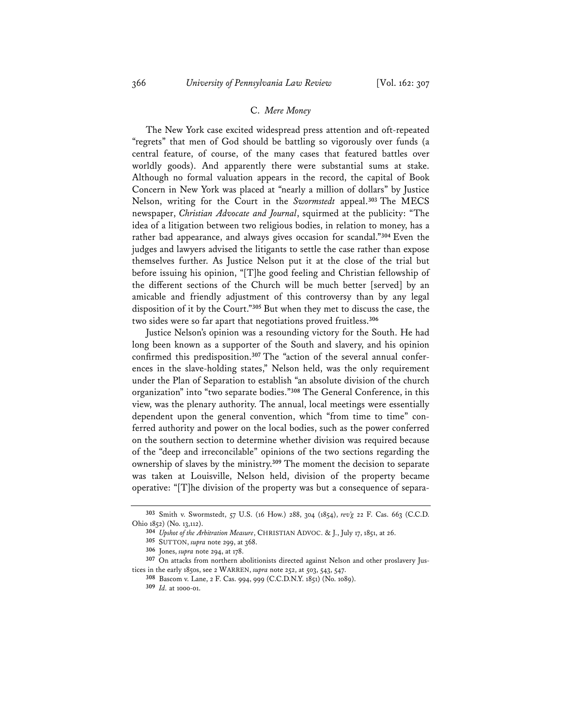## C. *Mere Money*

The New York case excited widespread press attention and oft-repeated "regrets" that men of God should be battling so vigorously over funds (a central feature, of course, of the many cases that featured battles over worldly goods). And apparently there were substantial sums at stake. Although no formal valuation appears in the record, the capital of Book Concern in New York was placed at "nearly a million of dollars" by Justice Nelson, writing for the Court in the *Swormstedt* appeal.**<sup>303</sup>** The MECS newspaper, *Christian Advocate and Journal*, squirmed at the publicity: "The idea of a litigation between two religious bodies, in relation to money, has a rather bad appearance, and always gives occasion for scandal."**<sup>304</sup>** Even the judges and lawyers advised the litigants to settle the case rather than expose themselves further. As Justice Nelson put it at the close of the trial but before issuing his opinion, "[T]he good feeling and Christian fellowship of the different sections of the Church will be much better [served] by an amicable and friendly adjustment of this controversy than by any legal disposition of it by the Court."**<sup>305</sup>** But when they met to discuss the case, the two sides were so far apart that negotiations proved fruitless.**<sup>306</sup>**

Justice Nelson's opinion was a resounding victory for the South. He had long been known as a supporter of the South and slavery, and his opinion confirmed this predisposition.**307** The "action of the several annual conferences in the slave-holding states," Nelson held, was the only requirement under the Plan of Separation to establish "an absolute division of the church organization" into "two separate bodies."**<sup>308</sup>** The General Conference, in this view, was the plenary authority. The annual, local meetings were essentially dependent upon the general convention, which "from time to time" conferred authority and power on the local bodies, such as the power conferred on the southern section to determine whether division was required because of the "deep and irreconcilable" opinions of the two sections regarding the ownership of slaves by the ministry.**<sup>309</sup>** The moment the decision to separate was taken at Louisville, Nelson held, division of the property became operative: "[T]he division of the property was but a consequence of separa-

**<sup>303</sup>** Smith v. Swormstedt, 57 U.S. (16 How.) 288, 304 (1854), *rev'g* 22 F. Cas. 663 (C.C.D. Ohio 1852) (No. 13,112).

**<sup>304</sup>** *Upshot of the Arbitration Measure*, CHRISTIAN ADVOC. & J., July 17, 1851, at 26.

**<sup>305</sup>** SUTTON, *supra* note 299, at 368.

**<sup>306</sup>** Jones, *supra* note 294, at 178.

**<sup>307</sup>** On attacks from northern abolitionists directed against Nelson and other proslavery Justices in the early 1850s, see 2 WARREN, *supra* note 252, at 503, 543, 547.

**<sup>308</sup>** Bascom v. Lane, 2 F. Cas. 994, 999 (C.C.D.N.Y. 1851) (No. 1089).

**<sup>309</sup>** *Id.* at 1000-01.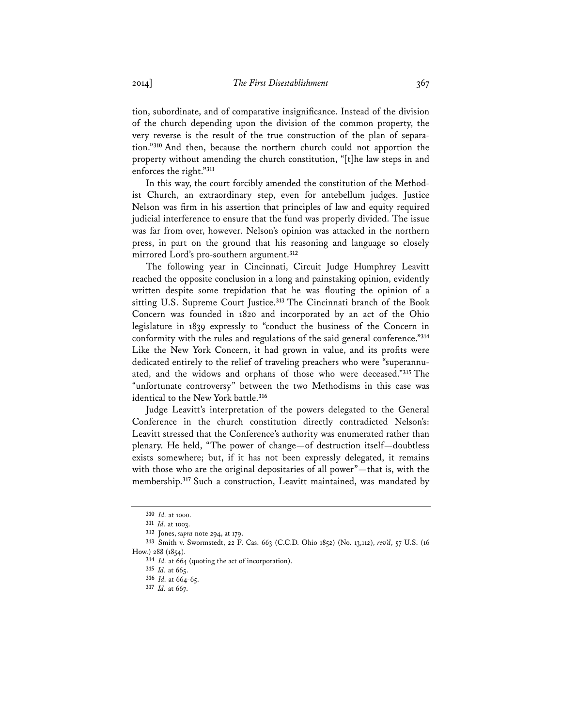tion, subordinate, and of comparative insignificance. Instead of the division of the church depending upon the division of the common property, the very reverse is the result of the true construction of the plan of separation."**<sup>310</sup>** And then, because the northern church could not apportion the property without amending the church constitution, "[t]he law steps in and enforces the right."**<sup>311</sup>**

In this way, the court forcibly amended the constitution of the Methodist Church, an extraordinary step, even for antebellum judges. Justice Nelson was firm in his assertion that principles of law and equity required judicial interference to ensure that the fund was properly divided. The issue was far from over, however. Nelson's opinion was attacked in the northern press, in part on the ground that his reasoning and language so closely mirrored Lord's pro-southern argument.**<sup>312</sup>**

The following year in Cincinnati, Circuit Judge Humphrey Leavitt reached the opposite conclusion in a long and painstaking opinion, evidently written despite some trepidation that he was flouting the opinion of a sitting U.S. Supreme Court Justice.**<sup>313</sup>** The Cincinnati branch of the Book Concern was founded in 1820 and incorporated by an act of the Ohio legislature in 1839 expressly to "conduct the business of the Concern in conformity with the rules and regulations of the said general conference."**<sup>314</sup>** Like the New York Concern, it had grown in value, and its profits were dedicated entirely to the relief of traveling preachers who were "superannuated, and the widows and orphans of those who were deceased."**<sup>315</sup>** The "unfortunate controversy" between the two Methodisms in this case was identical to the New York battle.**<sup>316</sup>**

Judge Leavitt's interpretation of the powers delegated to the General Conference in the church constitution directly contradicted Nelson's: Leavitt stressed that the Conference's authority was enumerated rather than plenary. He held, "The power of change—of destruction itself—doubtless exists somewhere; but, if it has not been expressly delegated, it remains with those who are the original depositaries of all power"—that is, with the membership.**<sup>317</sup>** Such a construction, Leavitt maintained, was mandated by

**<sup>310</sup>** *Id.* at 1000.

**<sup>311</sup>** *Id.* at 1003.

**<sup>312</sup>** Jones, *supra* note 294, at 179.

**<sup>313</sup>** Smith v. Swormstedt, 22 F. Cas. 663 (C.C.D. Ohio 1852) (No. 13,112), *rev'd*, 57 U.S. (16

How.) 288 (1854).

**<sup>314</sup>** *Id.* at 664 (quoting the act of incorporation).

**<sup>315</sup>** *Id.* at 665.

**<sup>316</sup>** *Id.* at 664-65.

**<sup>317</sup>** *Id.* at 667.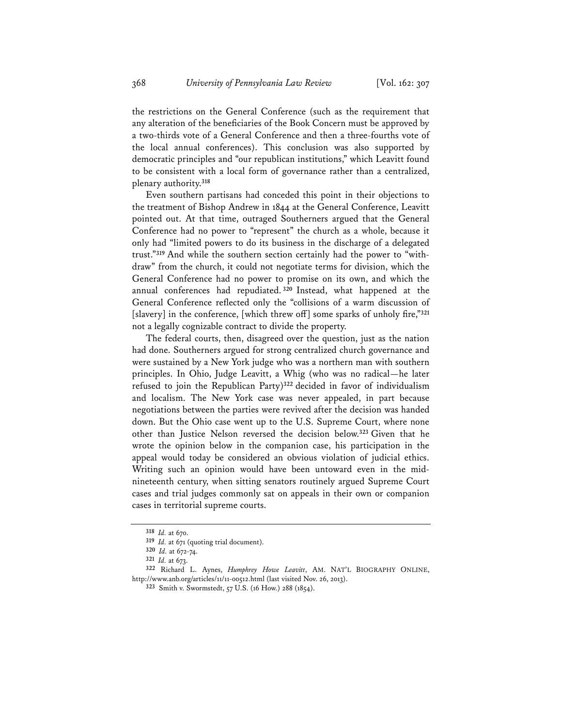the restrictions on the General Conference (such as the requirement that any alteration of the beneficiaries of the Book Concern must be approved by a two-thirds vote of a General Conference and then a three-fourths vote of the local annual conferences). This conclusion was also supported by democratic principles and "our republican institutions," which Leavitt found to be consistent with a local form of governance rather than a centralized, plenary authority.**<sup>318</sup>**

Even southern partisans had conceded this point in their objections to the treatment of Bishop Andrew in 1844 at the General Conference, Leavitt pointed out. At that time, outraged Southerners argued that the General Conference had no power to "represent" the church as a whole, because it only had "limited powers to do its business in the discharge of a delegated trust."**319** And while the southern section certainly had the power to "withdraw" from the church, it could not negotiate terms for division, which the General Conference had no power to promise on its own, and which the annual conferences had repudiated. **<sup>320</sup>** Instead, what happened at the General Conference reflected only the "collisions of a warm discussion of [slavery] in the conference, [which threw off] some sparks of unholy fire,"**<sup>321</sup>** not a legally cognizable contract to divide the property.

The federal courts, then, disagreed over the question, just as the nation had done. Southerners argued for strong centralized church governance and were sustained by a New York judge who was a northern man with southern principles. In Ohio, Judge Leavitt, a Whig (who was no radical—he later refused to join the Republican Party)**<sup>322</sup>** decided in favor of individualism and localism. The New York case was never appealed, in part because negotiations between the parties were revived after the decision was handed down. But the Ohio case went up to the U.S. Supreme Court, where none other than Justice Nelson reversed the decision below.**<sup>323</sup>** Given that he wrote the opinion below in the companion case, his participation in the appeal would today be considered an obvious violation of judicial ethics. Writing such an opinion would have been untoward even in the midnineteenth century, when sitting senators routinely argued Supreme Court cases and trial judges commonly sat on appeals in their own or companion cases in territorial supreme courts.

**<sup>318</sup>** *Id.* at 670.

**<sup>319</sup>** *Id.* at 671 (quoting trial document).

**<sup>320</sup>** *Id.* at 672-74.

**<sup>321</sup>** *Id.* at 673.

**<sup>322</sup>** Richard L. Aynes, *Humphrey Howe Leavitt*, AM. NAT'L BIOGRAPHY ONLINE, http://www.anb.org/articles/11/11-00512.html (last visited Nov. 26, 2013).

**<sup>323</sup>** Smith v. Swormstedt, 57 U.S. (16 How.) 288 (1854).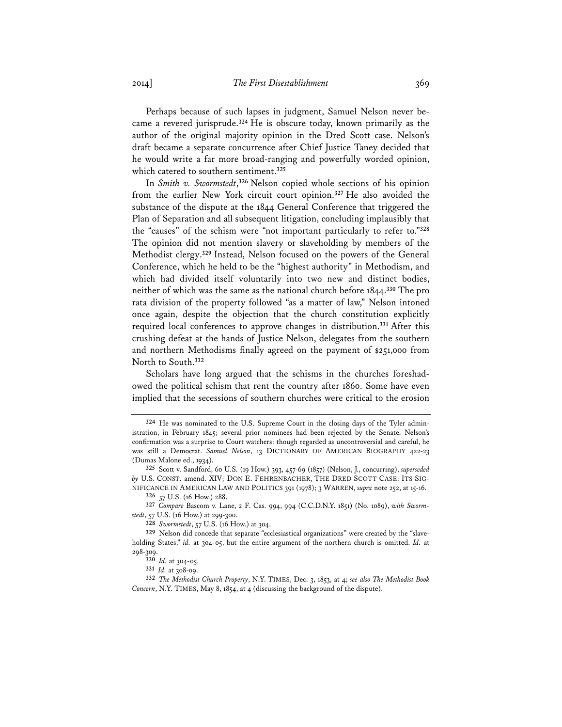Perhaps because of such lapses in judgment, Samuel Nelson never became a revered jurisprude.**<sup>324</sup>** He is obscure today, known primarily as the author of the original majority opinion in the Dred Scott case. Nelson's draft became a separate concurrence after Chief Justice Taney decided that he would write a far more broad-ranging and powerfully worded opinion, which catered to southern sentiment.**<sup>325</sup>**

In *Smith v. Swormstedt*, **<sup>326</sup>** Nelson copied whole sections of his opinion from the earlier New York circuit court opinion.**<sup>327</sup>** He also avoided the substance of the dispute at the 1844 General Conference that triggered the Plan of Separation and all subsequent litigation, concluding implausibly that the "causes" of the schism were "not important particularly to refer to."**<sup>328</sup>** The opinion did not mention slavery or slaveholding by members of the Methodist clergy.**<sup>329</sup>** Instead, Nelson focused on the powers of the General Conference, which he held to be the "highest authority" in Methodism, and which had divided itself voluntarily into two new and distinct bodies, neither of which was the same as the national church before 1844.**<sup>330</sup>** The pro rata division of the property followed "as a matter of law," Nelson intoned once again, despite the objection that the church constitution explicitly required local conferences to approve changes in distribution.**<sup>331</sup>** After this crushing defeat at the hands of Justice Nelson, delegates from the southern and northern Methodisms finally agreed on the payment of \$251,000 from North to South.**<sup>332</sup>**

Scholars have long argued that the schisms in the churches foreshadowed the political schism that rent the country after 1860. Some have even implied that the secessions of southern churches were critical to the erosion

**<sup>324</sup>** He was nominated to the U.S. Supreme Court in the closing days of the Tyler administration, in February 1845; several prior nominees had been rejected by the Senate. Nelson's confirmation was a surprise to Court watchers: though regarded as uncontroversial and careful, he was still a Democrat. *Samuel Nelson*, 13 DICTIONARY OF AMERICAN BIOGRAPHY 422-23 (Dumas Malone ed., 1934).

**<sup>325</sup>** Scott v. Sandford, 60 U.S. (19 How.) 393, 457-69 (1857) (Nelson, J., concurring), *superseded by* U.S. CONST. amend. XIV; DON E. FEHRENBACHER, THE DRED SCOTT CASE: ITS SIG-NIFICANCE IN AMERICAN LAW AND POLITICS 391 (1978); 3 WARREN, *supra* note 252, at 15-16.

**<sup>326</sup>** 57 U.S. (16 How.) 288.

**<sup>327</sup>** *Compare* Bascom v. Lane, 2 F. Cas. 994, 994 (C.C.D.N.Y. 1851) (No. 1089), *with Swormstedt*, 57 U.S. (16 How.) at 299-300.

**<sup>328</sup>** *Swormstedt*, 57 U.S. (16 How.) at 304.

**<sup>329</sup>** Nelson did concede that separate "ecclesiastical organizations" were created by the "slaveholding States," *id.* at 304-05, but the entire argument of the northern church is omitted. *Id.* at 298-309.

**<sup>330</sup>** *Id.* at 304-05.

**<sup>331</sup>** *Id.* at 308-09.

**<sup>332</sup>** *The Methodist Church Property*, N.Y. TIMES, Dec. 3, 1853, at 4; *see also The Methodist Book Concern*, N.Y. TIMES, May 8, 1854, at 4 (discussing the background of the dispute).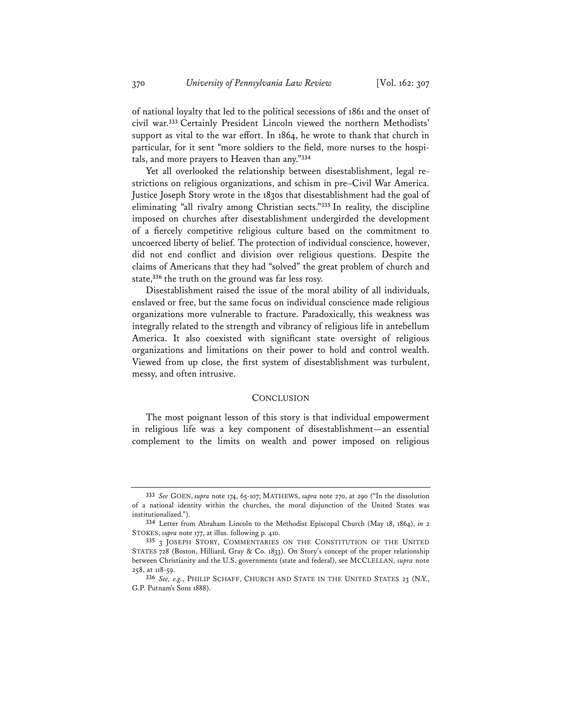of national loyalty that led to the political secessions of 1861 and the onset of civil war.**<sup>333</sup>** Certainly President Lincoln viewed the northern Methodists' support as vital to the war effort. In 1864, he wrote to thank that church in particular, for it sent "more soldiers to the field, more nurses to the hospitals, and more prayers to Heaven than any."**<sup>334</sup>**

Yet all overlooked the relationship between disestablishment, legal restrictions on religious organizations, and schism in pre–Civil War America. Justice Joseph Story wrote in the 1830s that disestablishment had the goal of eliminating "all rivalry among Christian sects."**<sup>335</sup>** In reality, the discipline imposed on churches after disestablishment undergirded the development of a fiercely competitive religious culture based on the commitment to uncoerced liberty of belief. The protection of individual conscience, however, did not end conflict and division over religious questions. Despite the claims of Americans that they had "solved" the great problem of church and state,**<sup>336</sup>** the truth on the ground was far less rosy.

Disestablishment raised the issue of the moral ability of all individuals, enslaved or free, but the same focus on individual conscience made religious organizations more vulnerable to fracture. Paradoxically, this weakness was integrally related to the strength and vibrancy of religious life in antebellum America. It also coexisted with significant state oversight of religious organizations and limitations on their power to hold and control wealth. Viewed from up close, the first system of disestablishment was turbulent, messy, and often intrusive.

#### **CONCLUSION**

The most poignant lesson of this story is that individual empowerment in religious life was a key component of disestablishment—an essential complement to the limits on wealth and power imposed on religious

**<sup>333</sup>** *See* GOEN, *supra* note 174, 65-107; MATHEWS, *supra* note 270, at 290 ("In the dissolution of a national identity within the churches, the moral disjunction of the United States was institutionalized.").

**<sup>334</sup>** Letter from Abraham Lincoln to the Methodist Episcopal Church (May 18, 1864), *in* 2 STOKES, *supra* note 177, at illus. following p. 410.

**<sup>335</sup>** 3 JOSEPH STORY, COMMENTARIES ON THE CONSTITUTION OF THE UNITED STATES 728 (Boston, Hilliard, Gray & Co. 1833). On Story's concept of the proper relationship between Christianity and the U.S. governments (state and federal), see MCCLELLAN, *supra* note 258, at 118-59.

**<sup>336</sup>** *See, e.g.*, PHILIP SCHAFF, CHURCH AND STATE IN THE UNITED STATES 23 (N.Y., G.P. Putnam's Sons 1888).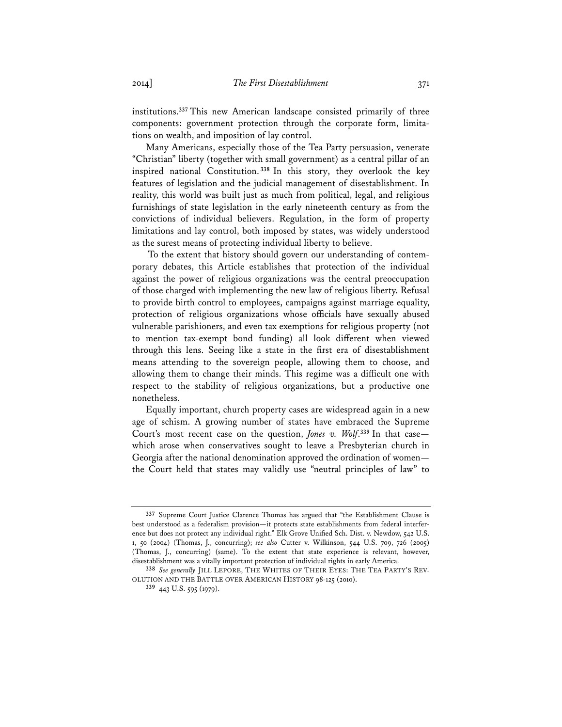institutions.**<sup>337</sup>** This new American landscape consisted primarily of three components: government protection through the corporate form, limitations on wealth, and imposition of lay control.

Many Americans, especially those of the Tea Party persuasion, venerate "Christian" liberty (together with small government) as a central pillar of an inspired national Constitution. **<sup>338</sup>** In this story, they overlook the key features of legislation and the judicial management of disestablishment. In reality, this world was built just as much from political, legal, and religious furnishings of state legislation in the early nineteenth century as from the convictions of individual believers. Regulation, in the form of property limitations and lay control, both imposed by states, was widely understood as the surest means of protecting individual liberty to believe.

 To the extent that history should govern our understanding of contemporary debates, this Article establishes that protection of the individual against the power of religious organizations was the central preoccupation of those charged with implementing the new law of religious liberty. Refusal to provide birth control to employees, campaigns against marriage equality, protection of religious organizations whose officials have sexually abused vulnerable parishioners, and even tax exemptions for religious property (not to mention tax-exempt bond funding) all look different when viewed through this lens. Seeing like a state in the first era of disestablishment means attending to the sovereign people, allowing them to choose, and allowing them to change their minds. This regime was a difficult one with respect to the stability of religious organizations, but a productive one nonetheless.

Equally important, church property cases are widespread again in a new age of schism. A growing number of states have embraced the Supreme Court's most recent case on the question, *Jones v. Wolf*. **<sup>339</sup>** In that case which arose when conservatives sought to leave a Presbyterian church in Georgia after the national denomination approved the ordination of women the Court held that states may validly use "neutral principles of law" to

**<sup>337</sup>** Supreme Court Justice Clarence Thomas has argued that "the Establishment Clause is best understood as a federalism provision—it protects state establishments from federal interference but does not protect any individual right." Elk Grove Unified Sch. Dist. v. Newdow, 542 U.S. 1, 50 (2004) (Thomas, J., concurring); *see also* Cutter v. Wilkinson, 544 U.S. 709, 726 (2005) (Thomas, J., concurring) (same). To the extent that state experience is relevant, however, disestablishment was a vitally important protection of individual rights in early America.

**<sup>338</sup>** *See generally* JILL LEPORE, THE WHITES OF THEIR EYES: THE TEA PARTY'S REV-OLUTION AND THE BATTLE OVER AMERICAN HISTORY 98-125 (2010).

**<sup>339</sup>** 443 U.S. 595 (1979).